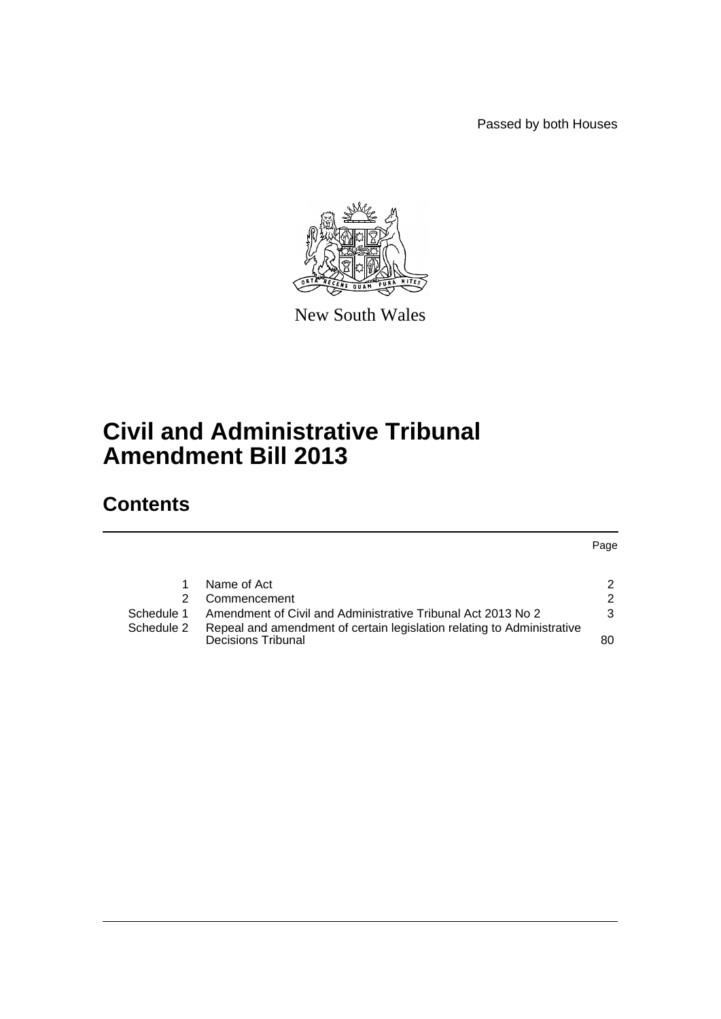Passed by both Houses



New South Wales

# **Civil and Administrative Tribunal Amendment Bill 2013**

# **Contents**

Page

|            | Name of Act                                                                                  | 2             |
|------------|----------------------------------------------------------------------------------------------|---------------|
|            |                                                                                              |               |
|            | 2 Commencement                                                                               | $\mathcal{P}$ |
| Schedule 1 | Amendment of Civil and Administrative Tribunal Act 2013 No 2                                 | 3             |
| Schedule 2 | Repeal and amendment of certain legislation relating to Administrative<br>Decisions Tribunal | 80            |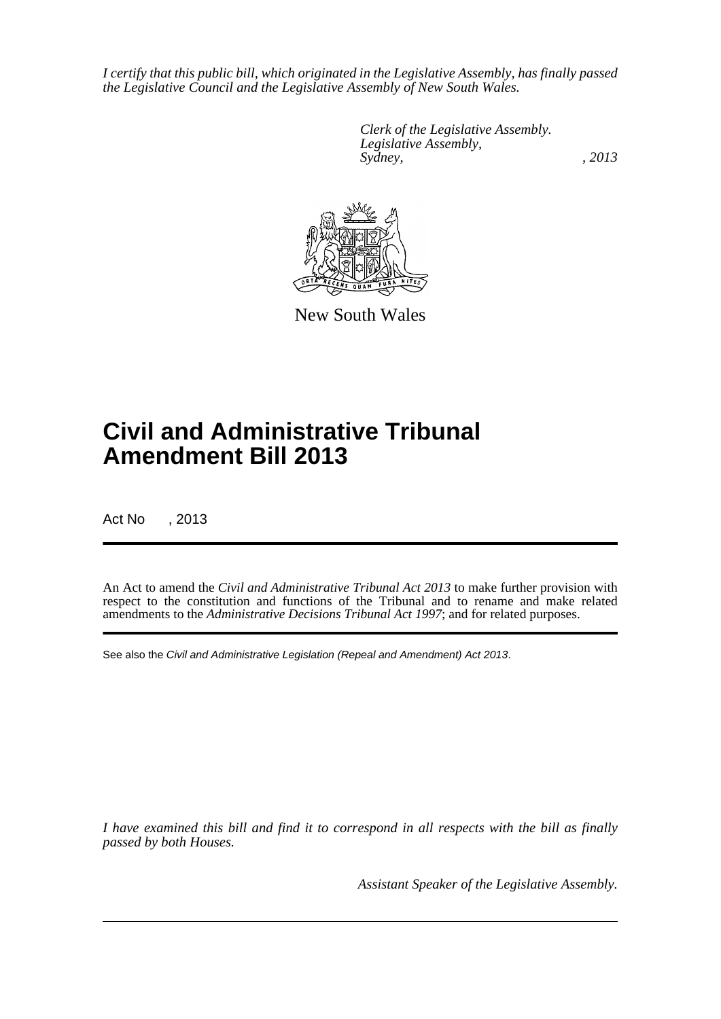*I certify that this public bill, which originated in the Legislative Assembly, has finally passed the Legislative Council and the Legislative Assembly of New South Wales.*

> *Clerk of the Legislative Assembly. Legislative Assembly, Sydney, , 2013*



New South Wales

# **Civil and Administrative Tribunal Amendment Bill 2013**

Act No , 2013

An Act to amend the *Civil and Administrative Tribunal Act 2013* to make further provision with respect to the constitution and functions of the Tribunal and to rename and make related amendments to the *Administrative Decisions Tribunal Act 1997*; and for related purposes.

See also the *Civil and Administrative Legislation (Repeal and Amendment) Act 2013*.

*I have examined this bill and find it to correspond in all respects with the bill as finally passed by both Houses.*

*Assistant Speaker of the Legislative Assembly.*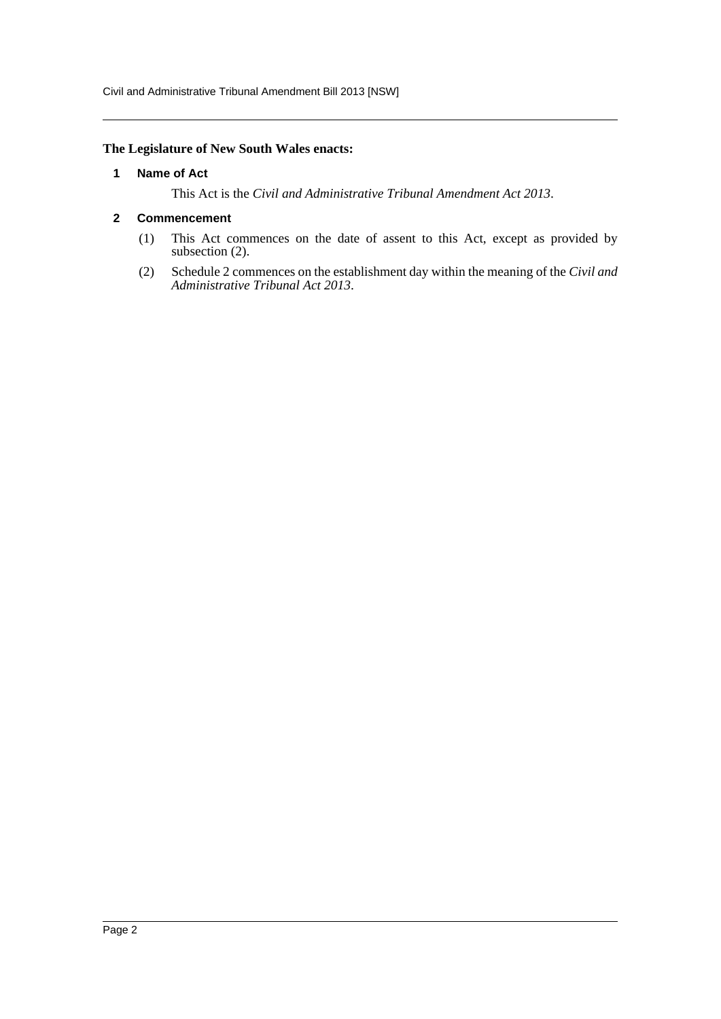Civil and Administrative Tribunal Amendment Bill 2013 [NSW]

#### <span id="page-2-0"></span>**The Legislature of New South Wales enacts:**

#### **1 Name of Act**

This Act is the *Civil and Administrative Tribunal Amendment Act 2013*.

#### <span id="page-2-1"></span>**2 Commencement**

- (1) This Act commences on the date of assent to this Act, except as provided by subsection (2).
- (2) Schedule 2 commences on the establishment day within the meaning of the *Civil and Administrative Tribunal Act 2013*.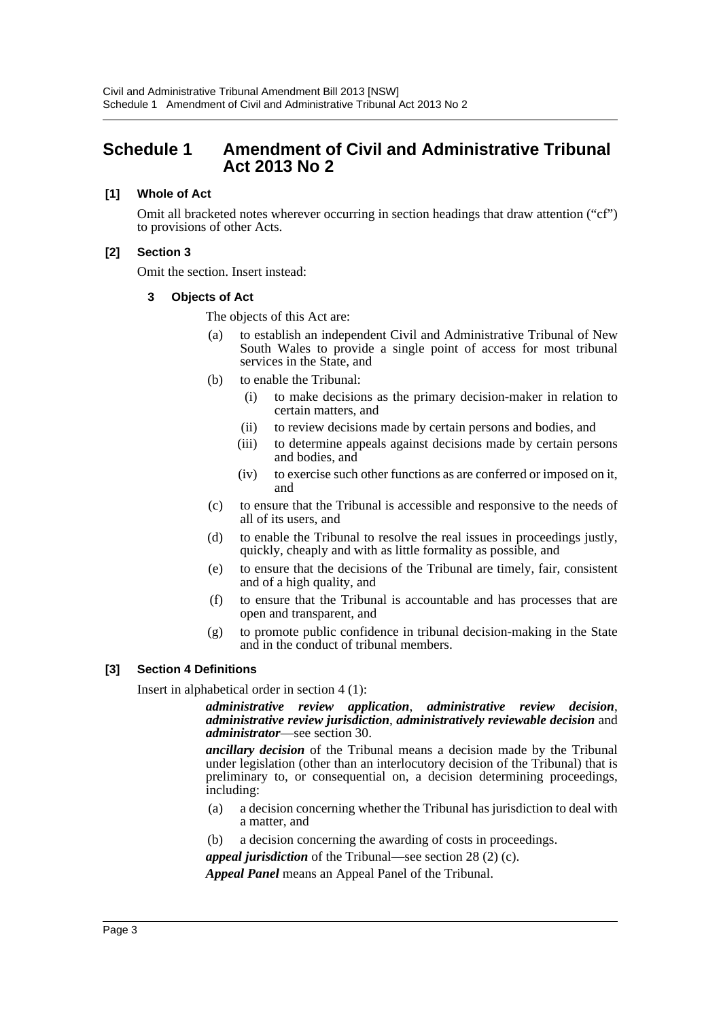# <span id="page-3-0"></span>**Schedule 1 Amendment of Civil and Administrative Tribunal Act 2013 No 2**

#### **[1] Whole of Act**

Omit all bracketed notes wherever occurring in section headings that draw attention ("cf") to provisions of other Acts.

#### **[2] Section 3**

Omit the section. Insert instead:

#### **3 Objects of Act**

The objects of this Act are:

- (a) to establish an independent Civil and Administrative Tribunal of New South Wales to provide a single point of access for most tribunal services in the State, and
- (b) to enable the Tribunal:
	- (i) to make decisions as the primary decision-maker in relation to certain matters, and
	- (ii) to review decisions made by certain persons and bodies, and
	- (iii) to determine appeals against decisions made by certain persons and bodies, and
	- (iv) to exercise such other functions as are conferred or imposed on it, and
- (c) to ensure that the Tribunal is accessible and responsive to the needs of all of its users, and
- (d) to enable the Tribunal to resolve the real issues in proceedings justly, quickly, cheaply and with as little formality as possible, and
- (e) to ensure that the decisions of the Tribunal are timely, fair, consistent and of a high quality, and
- (f) to ensure that the Tribunal is accountable and has processes that are open and transparent, and
- (g) to promote public confidence in tribunal decision-making in the State and in the conduct of tribunal members.

#### **[3] Section 4 Definitions**

Insert in alphabetical order in section 4 (1):

# *administrative review application*, *administrative review decision*, *administrative review jurisdiction*, *administratively reviewable decision* and *administrator*—see section 30.

*ancillary decision* of the Tribunal means a decision made by the Tribunal under legislation (other than an interlocutory decision of the Tribunal) that is preliminary to, or consequential on, a decision determining proceedings, including:

- (a) a decision concerning whether the Tribunal has jurisdiction to deal with a matter, and
- (b) a decision concerning the awarding of costs in proceedings.
- *appeal jurisdiction* of the Tribunal—see section 28 (2) (c).

*Appeal Panel* means an Appeal Panel of the Tribunal.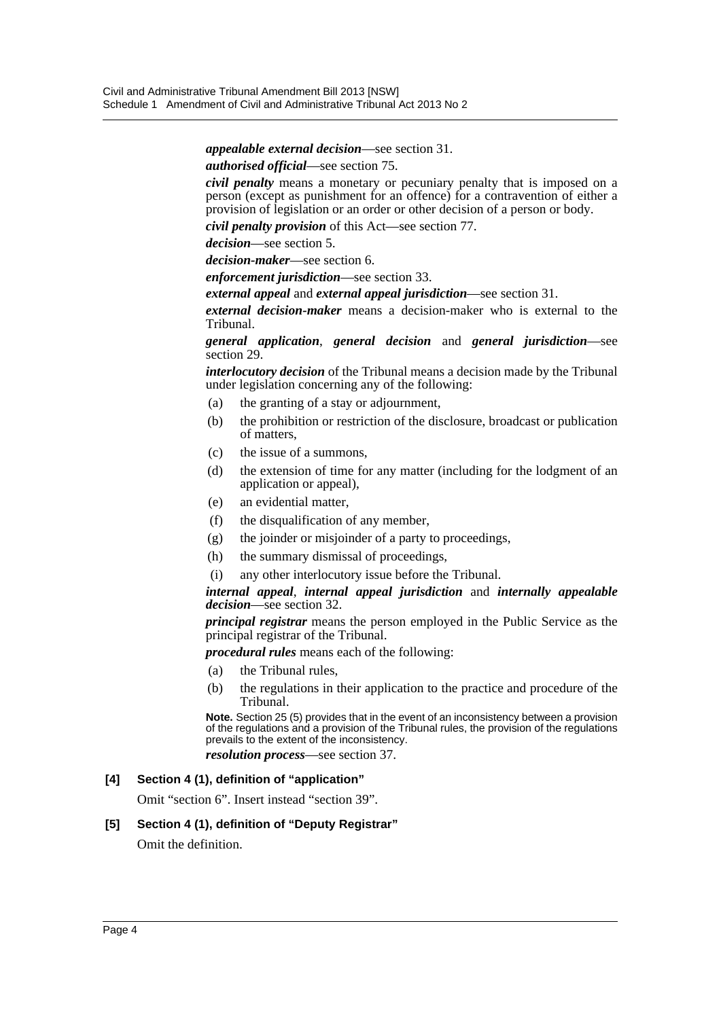*appealable external decision*—see section 31.

*authorised official*—see section 75.

*civil penalty* means a monetary or pecuniary penalty that is imposed on a person (except as punishment for an offence) for a contravention of either a provision of legislation or an order or other decision of a person or body.

*civil penalty provision* of this Act—see section 77.

*decision*—see section 5.

*decision-maker*—see section 6.

*enforcement jurisdiction*—see section 33.

*external appeal* and *external appeal jurisdiction*—see section 31.

*external decision-maker* means a decision-maker who is external to the Tribunal.

*general application*, *general decision* and *general jurisdiction*—see section 29.

*interlocutory decision* of the Tribunal means a decision made by the Tribunal under legislation concerning any of the following:

- (a) the granting of a stay or adjournment,
- (b) the prohibition or restriction of the disclosure, broadcast or publication of matters,
- (c) the issue of a summons,
- (d) the extension of time for any matter (including for the lodgment of an application or appeal),
- (e) an evidential matter,
- (f) the disqualification of any member,
- (g) the joinder or misjoinder of a party to proceedings,
- (h) the summary dismissal of proceedings,
- (i) any other interlocutory issue before the Tribunal.

#### *internal appeal*, *internal appeal jurisdiction* and *internally appealable decision*—see section 32.

*principal registrar* means the person employed in the Public Service as the principal registrar of the Tribunal.

*procedural rules* means each of the following:

- (a) the Tribunal rules,
- (b) the regulations in their application to the practice and procedure of the Tribunal.

**Note.** Section 25 (5) provides that in the event of an inconsistency between a provision of the regulations and a provision of the Tribunal rules, the provision of the regulations prevails to the extent of the inconsistency.

*resolution process*—see section 37.

#### **[4] Section 4 (1), definition of "application"**

Omit "section 6". Insert instead "section 39".

#### **[5] Section 4 (1), definition of "Deputy Registrar"**

Omit the definition.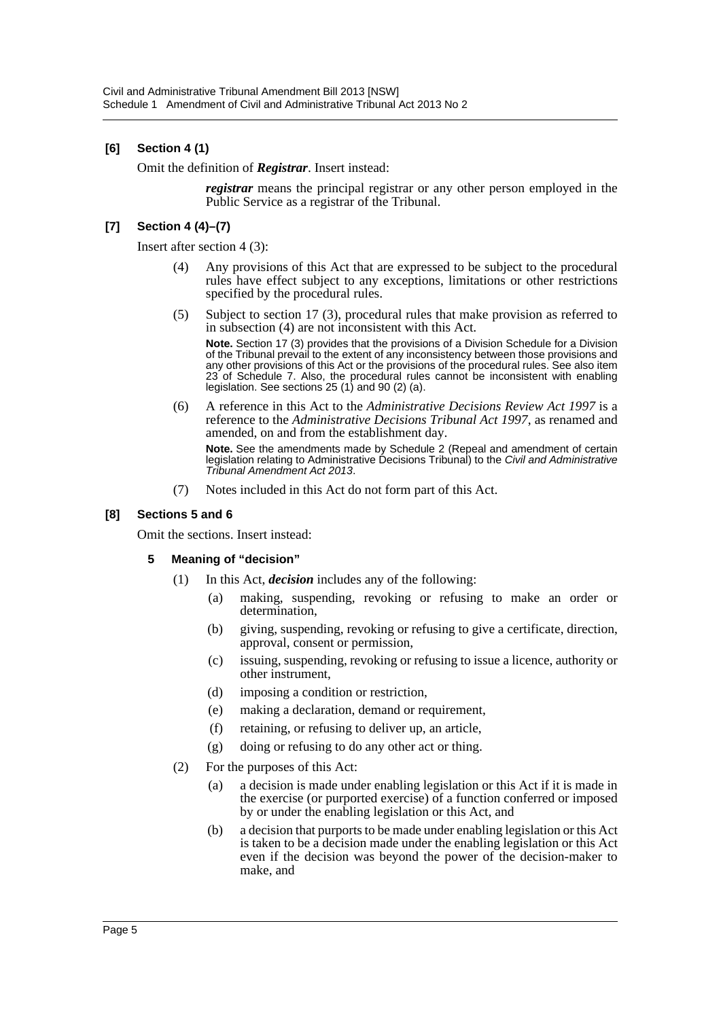### **[6] Section 4 (1)**

Omit the definition of *Registrar*. Insert instead:

*registrar* means the principal registrar or any other person employed in the Public Service as a registrar of the Tribunal.

#### **[7] Section 4 (4)–(7)**

Insert after section 4 (3):

- (4) Any provisions of this Act that are expressed to be subject to the procedural rules have effect subject to any exceptions, limitations or other restrictions specified by the procedural rules.
- (5) Subject to section 17 (3), procedural rules that make provision as referred to in subsection (4) are not inconsistent with this Act.

**Note.** Section 17 (3) provides that the provisions of a Division Schedule for a Division of the Tribunal prevail to the extent of any inconsistency between those provisions and any other provisions of this Act or the provisions of the procedural rules. See also item 23 of Schedule 7. Also, the procedural rules cannot be inconsistent with enabling legislation. See sections 25 (1) and 90 (2) (a).

(6) A reference in this Act to the *Administrative Decisions Review Act 1997* is a reference to the *Administrative Decisions Tribunal Act 1997*, as renamed and amended, on and from the establishment day.

**Note.** See the amendments made by Schedule 2 (Repeal and amendment of certain legislation relating to Administrative Decisions Tribunal) to the *Civil and Administrative Tribunal Amendment Act 2013*.

(7) Notes included in this Act do not form part of this Act.

#### **[8] Sections 5 and 6**

Omit the sections. Insert instead:

#### **5 Meaning of "decision"**

- (1) In this Act, *decision* includes any of the following:
	- (a) making, suspending, revoking or refusing to make an order or determination,
	- (b) giving, suspending, revoking or refusing to give a certificate, direction, approval, consent or permission,
	- (c) issuing, suspending, revoking or refusing to issue a licence, authority or other instrument,
	- (d) imposing a condition or restriction,
	- (e) making a declaration, demand or requirement,
	- (f) retaining, or refusing to deliver up, an article,
	- (g) doing or refusing to do any other act or thing.
- (2) For the purposes of this Act:
	- (a) a decision is made under enabling legislation or this Act if it is made in the exercise (or purported exercise) of a function conferred or imposed by or under the enabling legislation or this Act, and
	- (b) a decision that purports to be made under enabling legislation or this Act is taken to be a decision made under the enabling legislation or this Act even if the decision was beyond the power of the decision-maker to make, and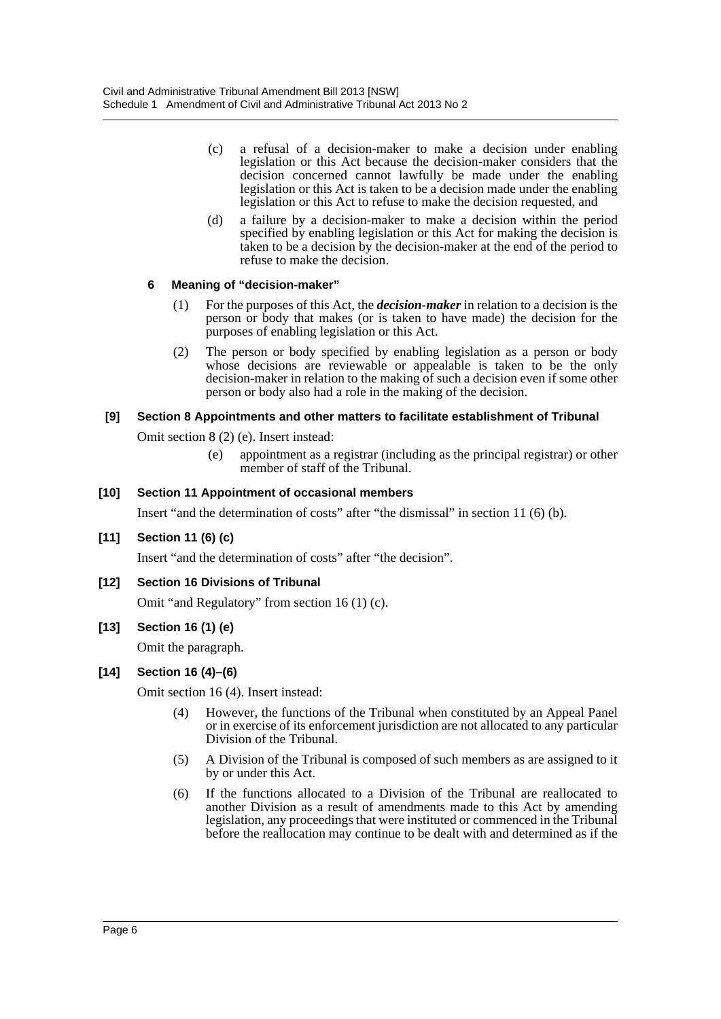- (c) a refusal of a decision-maker to make a decision under enabling legislation or this Act because the decision-maker considers that the decision concerned cannot lawfully be made under the enabling legislation or this Act is taken to be a decision made under the enabling legislation or this Act to refuse to make the decision requested, and
- (d) a failure by a decision-maker to make a decision within the period specified by enabling legislation or this Act for making the decision is taken to be a decision by the decision-maker at the end of the period to refuse to make the decision.

# **6 Meaning of "decision-maker"**

- (1) For the purposes of this Act, the *decision-maker* in relation to a decision is the person or body that makes (or is taken to have made) the decision for the purposes of enabling legislation or this Act.
- (2) The person or body specified by enabling legislation as a person or body whose decisions are reviewable or appealable is taken to be the only decision-maker in relation to the making of such a decision even if some other person or body also had a role in the making of the decision.

# **[9] Section 8 Appointments and other matters to facilitate establishment of Tribunal**

Omit section 8 (2) (e). Insert instead:

(e) appointment as a registrar (including as the principal registrar) or other member of staff of the Tribunal.

#### **[10] Section 11 Appointment of occasional members**

Insert "and the determination of costs" after "the dismissal" in section 11 (6) (b).

# **[11] Section 11 (6) (c)**

Insert "and the determination of costs" after "the decision".

# **[12] Section 16 Divisions of Tribunal**

Omit "and Regulatory" from section 16 (1) (c).

# **[13] Section 16 (1) (e)**

Omit the paragraph.

# **[14] Section 16 (4)–(6)**

Omit section 16 (4). Insert instead:

- (4) However, the functions of the Tribunal when constituted by an Appeal Panel or in exercise of its enforcement jurisdiction are not allocated to any particular Division of the Tribunal.
- (5) A Division of the Tribunal is composed of such members as are assigned to it by or under this Act.
- (6) If the functions allocated to a Division of the Tribunal are reallocated to another Division as a result of amendments made to this Act by amending legislation, any proceedings that were instituted or commenced in the Tribunal before the reallocation may continue to be dealt with and determined as if the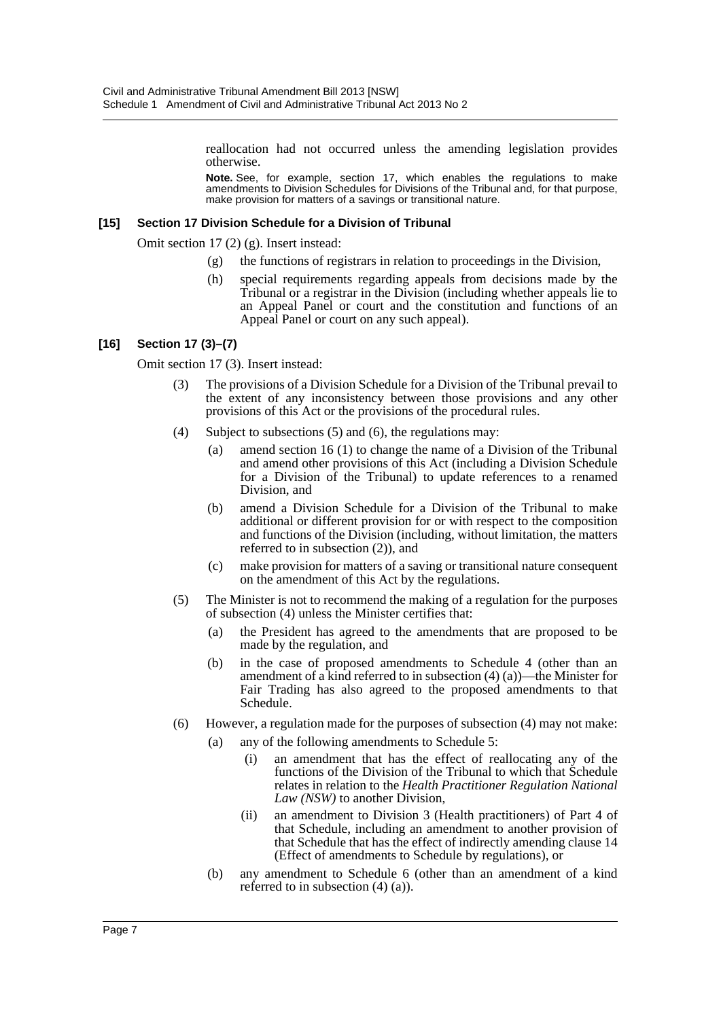reallocation had not occurred unless the amending legislation provides otherwise.

**Note.** See, for example, section 17, which enables the regulations to make amendments to Division Schedules for Divisions of the Tribunal and, for that purpose, make provision for matters of a savings or transitional nature.

#### **[15] Section 17 Division Schedule for a Division of Tribunal**

Omit section 17 (2) (g). Insert instead:

- (g) the functions of registrars in relation to proceedings in the Division,
- (h) special requirements regarding appeals from decisions made by the Tribunal or a registrar in the Division (including whether appeals lie to an Appeal Panel or court and the constitution and functions of an Appeal Panel or court on any such appeal).

#### **[16] Section 17 (3)–(7)**

Omit section 17 (3). Insert instead:

- (3) The provisions of a Division Schedule for a Division of the Tribunal prevail to the extent of any inconsistency between those provisions and any other provisions of this Act or the provisions of the procedural rules.
- (4) Subject to subsections (5) and (6), the regulations may:
	- (a) amend section 16 (1) to change the name of a Division of the Tribunal and amend other provisions of this Act (including a Division Schedule for a Division of the Tribunal) to update references to a renamed Division, and
	- (b) amend a Division Schedule for a Division of the Tribunal to make additional or different provision for or with respect to the composition and functions of the Division (including, without limitation, the matters referred to in subsection (2)), and
	- (c) make provision for matters of a saving or transitional nature consequent on the amendment of this Act by the regulations.
- (5) The Minister is not to recommend the making of a regulation for the purposes of subsection (4) unless the Minister certifies that:
	- (a) the President has agreed to the amendments that are proposed to be made by the regulation, and
	- (b) in the case of proposed amendments to Schedule 4 (other than an amendment of a kind referred to in subsection  $(4)$   $(a)$ )—the Minister for Fair Trading has also agreed to the proposed amendments to that Schedule.
- (6) However, a regulation made for the purposes of subsection (4) may not make:
	- (a) any of the following amendments to Schedule 5:
		- (i) an amendment that has the effect of reallocating any of the functions of the Division of the Tribunal to which that Schedule relates in relation to the *Health Practitioner Regulation National Law (NSW)* to another Division,
		- (ii) an amendment to Division 3 (Health practitioners) of Part 4 of that Schedule, including an amendment to another provision of that Schedule that has the effect of indirectly amending clause 14 (Effect of amendments to Schedule by regulations), or
	- (b) any amendment to Schedule 6 (other than an amendment of a kind referred to in subsection (4) (a)).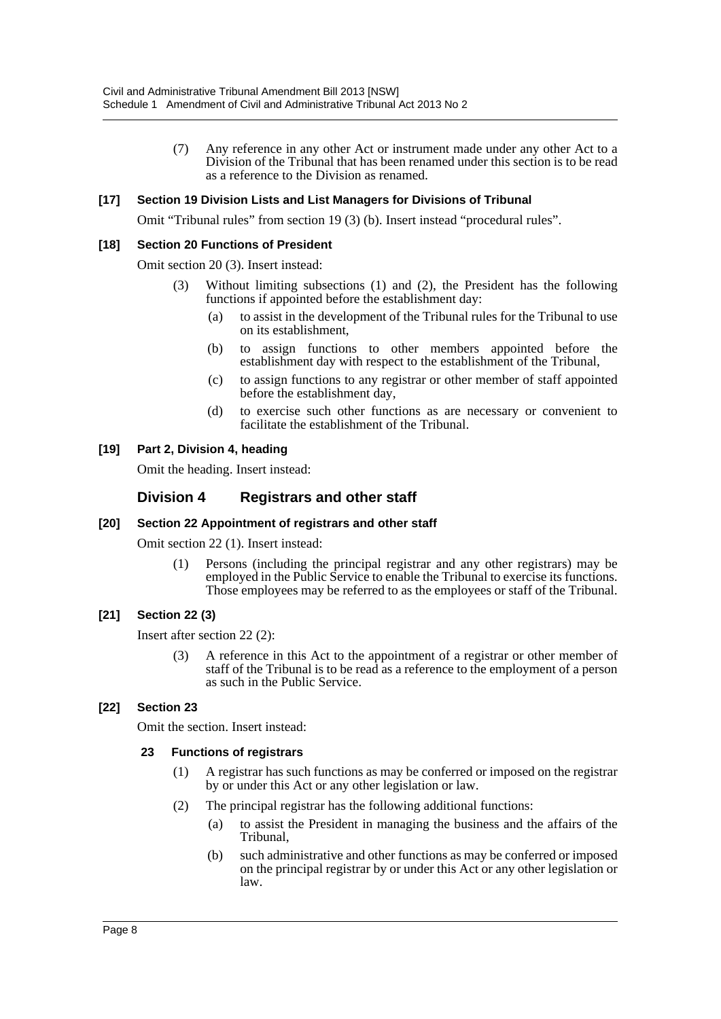(7) Any reference in any other Act or instrument made under any other Act to a Division of the Tribunal that has been renamed under this section is to be read as a reference to the Division as renamed.

#### **[17] Section 19 Division Lists and List Managers for Divisions of Tribunal**

Omit "Tribunal rules" from section 19 (3) (b). Insert instead "procedural rules".

#### **[18] Section 20 Functions of President**

Omit section 20 (3). Insert instead:

- (3) Without limiting subsections (1) and (2), the President has the following functions if appointed before the establishment day:
	- (a) to assist in the development of the Tribunal rules for the Tribunal to use on its establishment,
	- (b) to assign functions to other members appointed before the establishment day with respect to the establishment of the Tribunal,
	- (c) to assign functions to any registrar or other member of staff appointed before the establishment day,
	- (d) to exercise such other functions as are necessary or convenient to facilitate the establishment of the Tribunal.

#### **[19] Part 2, Division 4, heading**

Omit the heading. Insert instead:

# **Division 4 Registrars and other staff**

#### **[20] Section 22 Appointment of registrars and other staff**

Omit section 22 (1). Insert instead:

(1) Persons (including the principal registrar and any other registrars) may be employed in the Public Service to enable the Tribunal to exercise its functions. Those employees may be referred to as the employees or staff of the Tribunal.

#### **[21] Section 22 (3)**

Insert after section 22 (2):

(3) A reference in this Act to the appointment of a registrar or other member of staff of the Tribunal is to be read as a reference to the employment of a person as such in the Public Service.

#### **[22] Section 23**

Omit the section. Insert instead:

#### **23 Functions of registrars**

- (1) A registrar has such functions as may be conferred or imposed on the registrar by or under this Act or any other legislation or law.
- (2) The principal registrar has the following additional functions:
	- (a) to assist the President in managing the business and the affairs of the Tribunal,
	- (b) such administrative and other functions as may be conferred or imposed on the principal registrar by or under this Act or any other legislation or law.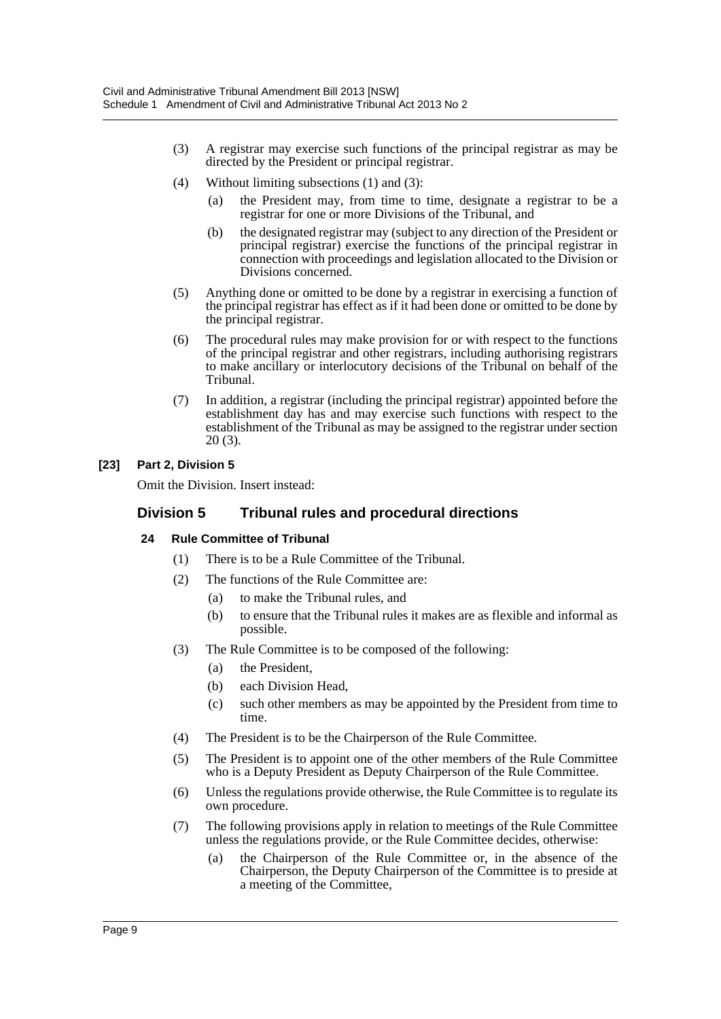- (3) A registrar may exercise such functions of the principal registrar as may be directed by the President or principal registrar.
- (4) Without limiting subsections (1) and (3):
	- (a) the President may, from time to time, designate a registrar to be a registrar for one or more Divisions of the Tribunal, and
	- (b) the designated registrar may (subject to any direction of the President or principal registrar) exercise the functions of the principal registrar in connection with proceedings and legislation allocated to the Division or Divisions concerned.
- (5) Anything done or omitted to be done by a registrar in exercising a function of the principal registrar has effect as if it had been done or omitted to be done by the principal registrar.
- (6) The procedural rules may make provision for or with respect to the functions of the principal registrar and other registrars, including authorising registrars to make ancillary or interlocutory decisions of the Tribunal on behalf of the Tribunal.
- (7) In addition, a registrar (including the principal registrar) appointed before the establishment day has and may exercise such functions with respect to the establishment of the Tribunal as may be assigned to the registrar under section 20 (3).

# **[23] Part 2, Division 5**

Omit the Division. Insert instead:

# **Division 5 Tribunal rules and procedural directions**

# **24 Rule Committee of Tribunal**

- (1) There is to be a Rule Committee of the Tribunal.
- (2) The functions of the Rule Committee are:
	- (a) to make the Tribunal rules, and
	- (b) to ensure that the Tribunal rules it makes are as flexible and informal as possible.
- (3) The Rule Committee is to be composed of the following:
	- (a) the President,
	- (b) each Division Head,
	- (c) such other members as may be appointed by the President from time to time.
- (4) The President is to be the Chairperson of the Rule Committee.
- (5) The President is to appoint one of the other members of the Rule Committee who is a Deputy President as Deputy Chairperson of the Rule Committee.
- (6) Unless the regulations provide otherwise, the Rule Committee is to regulate its own procedure.
- (7) The following provisions apply in relation to meetings of the Rule Committee unless the regulations provide, or the Rule Committee decides, otherwise:
	- (a) the Chairperson of the Rule Committee or, in the absence of the Chairperson, the Deputy Chairperson of the Committee is to preside at a meeting of the Committee,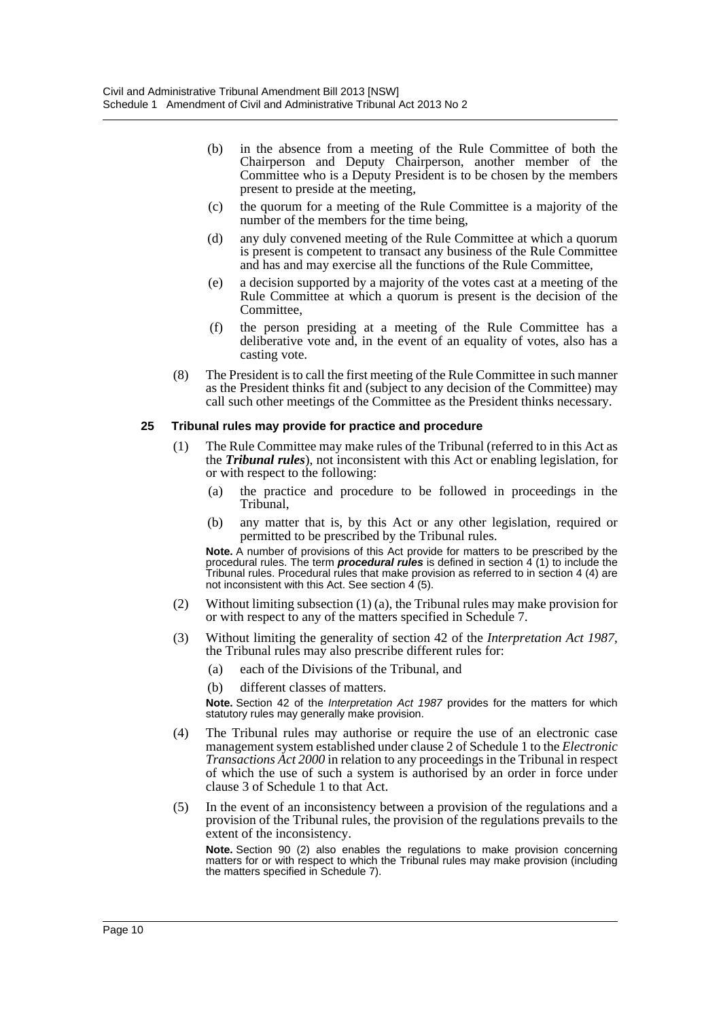- (b) in the absence from a meeting of the Rule Committee of both the Chairperson and Deputy Chairperson, another member of the Committee who is a Deputy President is to be chosen by the members present to preside at the meeting,
- (c) the quorum for a meeting of the Rule Committee is a majority of the number of the members for the time being,
- (d) any duly convened meeting of the Rule Committee at which a quorum is present is competent to transact any business of the Rule Committee and has and may exercise all the functions of the Rule Committee,
- (e) a decision supported by a majority of the votes cast at a meeting of the Rule Committee at which a quorum is present is the decision of the Committee,
- (f) the person presiding at a meeting of the Rule Committee has a deliberative vote and, in the event of an equality of votes, also has a casting vote.
- (8) The President is to call the first meeting of the Rule Committee in such manner as the President thinks fit and (subject to any decision of the Committee) may call such other meetings of the Committee as the President thinks necessary.

#### **25 Tribunal rules may provide for practice and procedure**

- (1) The Rule Committee may make rules of the Tribunal (referred to in this Act as the *Tribunal rules*), not inconsistent with this Act or enabling legislation, for or with respect to the following:
	- (a) the practice and procedure to be followed in proceedings in the Tribunal,
	- (b) any matter that is, by this Act or any other legislation, required or permitted to be prescribed by the Tribunal rules.

**Note.** A number of provisions of this Act provide for matters to be prescribed by the procedural rules. The term *procedural rules* is defined in section 4 (1) to include the Tribunal rules. Procedural rules that make provision as referred to in section 4 (4) are not inconsistent with this Act. See section  $\frac{4}{5}$ .

- (2) Without limiting subsection (1) (a), the Tribunal rules may make provision for or with respect to any of the matters specified in Schedule 7.
- (3) Without limiting the generality of section 42 of the *Interpretation Act 1987*, the Tribunal rules may also prescribe different rules for:
	- (a) each of the Divisions of the Tribunal, and
	- (b) different classes of matters.

**Note.** Section 42 of the *Interpretation Act 1987* provides for the matters for which statutory rules may generally make provision.

- (4) The Tribunal rules may authorise or require the use of an electronic case management system established under clause 2 of Schedule 1 to the *Electronic Transactions Act 2000* in relation to any proceedings in the Tribunal in respect of which the use of such a system is authorised by an order in force under clause 3 of Schedule 1 to that Act.
- (5) In the event of an inconsistency between a provision of the regulations and a provision of the Tribunal rules, the provision of the regulations prevails to the extent of the inconsistency.

**Note.** Section 90 (2) also enables the regulations to make provision concerning matters for or with respect to which the Tribunal rules may make provision (including the matters specified in Schedule 7).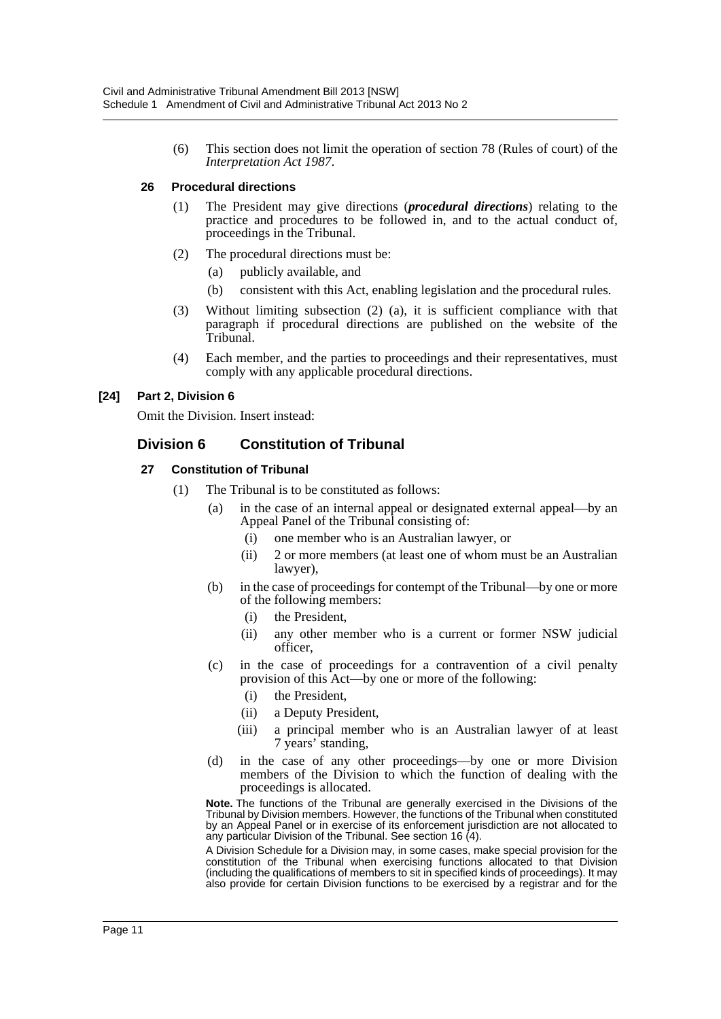(6) This section does not limit the operation of section 78 (Rules of court) of the *Interpretation Act 1987*.

#### **26 Procedural directions**

- (1) The President may give directions (*procedural directions*) relating to the practice and procedures to be followed in, and to the actual conduct of, proceedings in the Tribunal.
- (2) The procedural directions must be:
	- (a) publicly available, and
	- (b) consistent with this Act, enabling legislation and the procedural rules.
- (3) Without limiting subsection (2) (a), it is sufficient compliance with that paragraph if procedural directions are published on the website of the Tribunal.
- (4) Each member, and the parties to proceedings and their representatives, must comply with any applicable procedural directions.

# **[24] Part 2, Division 6**

Omit the Division. Insert instead:

# **Division 6 Constitution of Tribunal**

#### **27 Constitution of Tribunal**

- (1) The Tribunal is to be constituted as follows:
	- (a) in the case of an internal appeal or designated external appeal—by an Appeal Panel of the Tribunal consisting of:
		- (i) one member who is an Australian lawyer, or
		- (ii) 2 or more members (at least one of whom must be an Australian lawyer),
	- (b) in the case of proceedings for contempt of the Tribunal—by one or more of the following members:
		- (i) the President,
		- (ii) any other member who is a current or former NSW judicial officer,
	- (c) in the case of proceedings for a contravention of a civil penalty provision of this Act—by one or more of the following:
		- (i) the President,
		- (ii) a Deputy President,
		- (iii) a principal member who is an Australian lawyer of at least 7 years' standing,
	- (d) in the case of any other proceedings—by one or more Division members of the Division to which the function of dealing with the proceedings is allocated.

**Note.** The functions of the Tribunal are generally exercised in the Divisions of the Tribunal by Division members. However, the functions of the Tribunal when constituted by an Appeal Panel or in exercise of its enforcement jurisdiction are not allocated to any particular Division of the Tribunal. See section 16 (4).

A Division Schedule for a Division may, in some cases, make special provision for the constitution of the Tribunal when exercising functions allocated to that Division (including the qualifications of members to sit in specified kinds of proceedings). It may also provide for certain Division functions to be exercised by a registrar and for the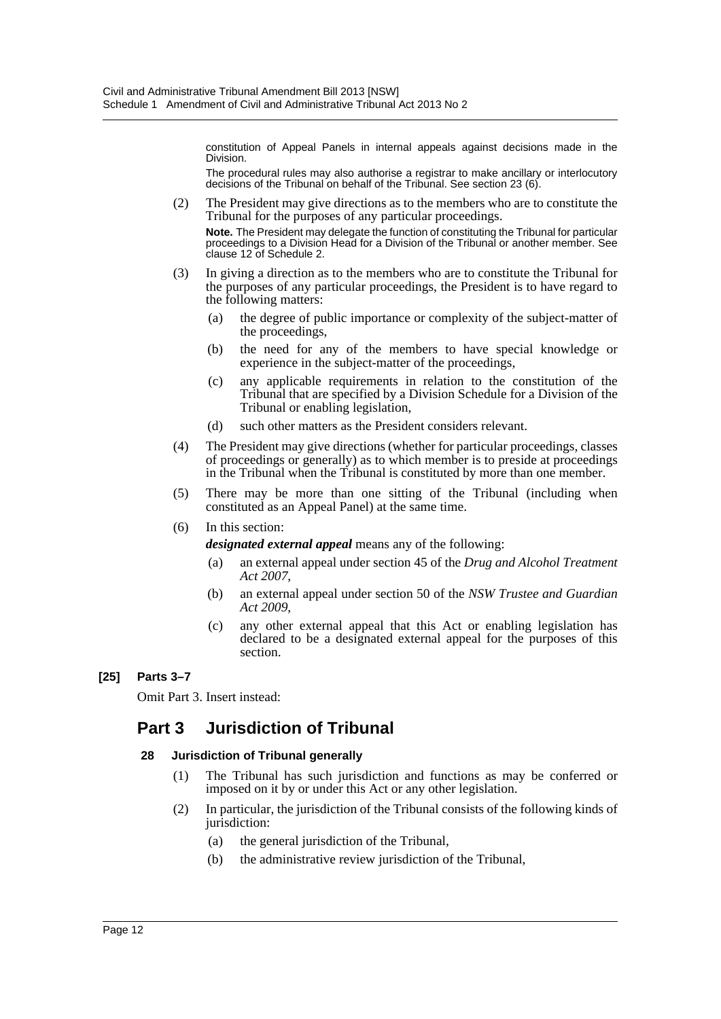constitution of Appeal Panels in internal appeals against decisions made in the Division.

The procedural rules may also authorise a registrar to make ancillary or interlocutory decisions of the Tribunal on behalf of the Tribunal. See section 23 (6).

- (2) The President may give directions as to the members who are to constitute the Tribunal for the purposes of any particular proceedings. **Note.** The President may delegate the function of constituting the Tribunal for particular proceedings to a Division Head for a Division of the Tribunal or another member. See clause 12 of Schedule 2.
- (3) In giving a direction as to the members who are to constitute the Tribunal for the purposes of any particular proceedings, the President is to have regard to the following matters:
	- (a) the degree of public importance or complexity of the subject-matter of the proceedings,
	- (b) the need for any of the members to have special knowledge or experience in the subject-matter of the proceedings,
	- (c) any applicable requirements in relation to the constitution of the Tribunal that are specified by a Division Schedule for a Division of the Tribunal or enabling legislation,
	- (d) such other matters as the President considers relevant.
- (4) The President may give directions (whether for particular proceedings, classes of proceedings or generally) as to which member is to preside at proceedings in the Tribunal when the Tribunal is constituted by more than one member.
- (5) There may be more than one sitting of the Tribunal (including when constituted as an Appeal Panel) at the same time.

#### (6) In this section:

*designated external appeal* means any of the following:

- (a) an external appeal under section 45 of the *Drug and Alcohol Treatment Act 2007*,
- (b) an external appeal under section 50 of the *NSW Trustee and Guardian Act 2009*,
- (c) any other external appeal that this Act or enabling legislation has declared to be a designated external appeal for the purposes of this section.

# **[25] Parts 3–7**

Omit Part 3. Insert instead:

# **Part 3 Jurisdiction of Tribunal**

#### **28 Jurisdiction of Tribunal generally**

- (1) The Tribunal has such jurisdiction and functions as may be conferred or imposed on it by or under this Act or any other legislation.
- (2) In particular, the jurisdiction of the Tribunal consists of the following kinds of jurisdiction:
	- (a) the general jurisdiction of the Tribunal,
	- (b) the administrative review jurisdiction of the Tribunal,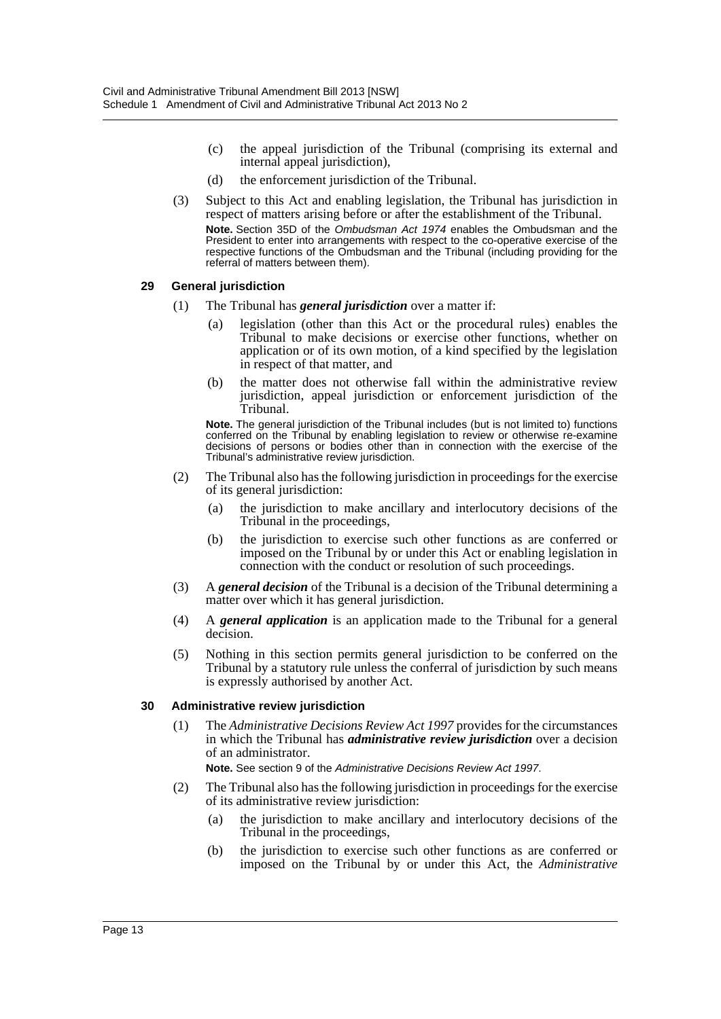- (c) the appeal jurisdiction of the Tribunal (comprising its external and internal appeal jurisdiction),
- (d) the enforcement jurisdiction of the Tribunal.
- (3) Subject to this Act and enabling legislation, the Tribunal has jurisdiction in respect of matters arising before or after the establishment of the Tribunal. **Note.** Section 35D of the *Ombudsman Act 1974* enables the Ombudsman and the President to enter into arrangements with respect to the co-operative exercise of the respective functions of the Ombudsman and the Tribunal (including providing for the referral of matters between them).

#### **29 General jurisdiction**

- (1) The Tribunal has *general jurisdiction* over a matter if:
	- (a) legislation (other than this Act or the procedural rules) enables the Tribunal to make decisions or exercise other functions, whether on application or of its own motion, of a kind specified by the legislation in respect of that matter, and
	- (b) the matter does not otherwise fall within the administrative review jurisdiction, appeal jurisdiction or enforcement jurisdiction of the Tribunal.

**Note.** The general jurisdiction of the Tribunal includes (but is not limited to) functions conferred on the Tribunal by enabling legislation to review or otherwise re-examine decisions of persons or bodies other than in connection with the exercise of the Tribunal's administrative review jurisdiction.

- (2) The Tribunal also has the following jurisdiction in proceedings for the exercise of its general jurisdiction:
	- (a) the jurisdiction to make ancillary and interlocutory decisions of the Tribunal in the proceedings,
	- (b) the jurisdiction to exercise such other functions as are conferred or imposed on the Tribunal by or under this Act or enabling legislation in connection with the conduct or resolution of such proceedings.
- (3) A *general decision* of the Tribunal is a decision of the Tribunal determining a matter over which it has general jurisdiction.
- (4) A *general application* is an application made to the Tribunal for a general decision.
- (5) Nothing in this section permits general jurisdiction to be conferred on the Tribunal by a statutory rule unless the conferral of jurisdiction by such means is expressly authorised by another Act.

#### **30 Administrative review jurisdiction**

(1) The *Administrative Decisions Review Act 1997* provides for the circumstances in which the Tribunal has *administrative review jurisdiction* over a decision of an administrator.

**Note.** See section 9 of the *Administrative Decisions Review Act 1997*.

- (2) The Tribunal also has the following jurisdiction in proceedings for the exercise of its administrative review jurisdiction:
	- (a) the jurisdiction to make ancillary and interlocutory decisions of the Tribunal in the proceedings,
	- (b) the jurisdiction to exercise such other functions as are conferred or imposed on the Tribunal by or under this Act, the *Administrative*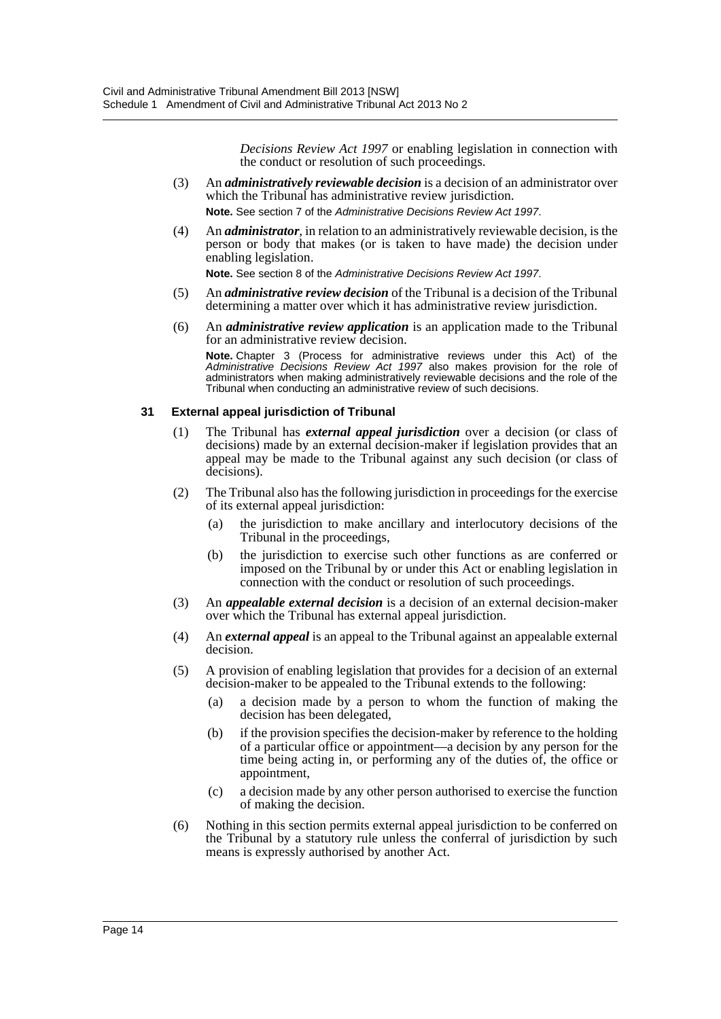*Decisions Review Act 1997* or enabling legislation in connection with the conduct or resolution of such proceedings.

- (3) An *administratively reviewable decision* is a decision of an administrator over which the Tribunal has administrative review jurisdiction. **Note.** See section 7 of the *Administrative Decisions Review Act 1997*.
- (4) An *administrator*, in relation to an administratively reviewable decision, is the person or body that makes (or is taken to have made) the decision under enabling legislation.

**Note.** See section 8 of the *Administrative Decisions Review Act 1997*.

- (5) An *administrative review decision* of the Tribunal is a decision of the Tribunal determining a matter over which it has administrative review jurisdiction.
- (6) An *administrative review application* is an application made to the Tribunal for an administrative review decision.

**Note.** Chapter 3 (Process for administrative reviews under this Act) of the *Administrative Decisions Review Act 1997* also makes provision for the role of administrators when making administratively reviewable decisions and the role of the Tribunal when conducting an administrative review of such decisions.

#### **31 External appeal jurisdiction of Tribunal**

- (1) The Tribunal has *external appeal jurisdiction* over a decision (or class of decisions) made by an external decision-maker if legislation provides that an appeal may be made to the Tribunal against any such decision (or class of decisions).
- (2) The Tribunal also has the following jurisdiction in proceedings for the exercise of its external appeal jurisdiction:
	- (a) the jurisdiction to make ancillary and interlocutory decisions of the Tribunal in the proceedings,
	- (b) the jurisdiction to exercise such other functions as are conferred or imposed on the Tribunal by or under this Act or enabling legislation in connection with the conduct or resolution of such proceedings.
- (3) An *appealable external decision* is a decision of an external decision-maker over which the Tribunal has external appeal jurisdiction.
- (4) An *external appeal* is an appeal to the Tribunal against an appealable external decision.
- (5) A provision of enabling legislation that provides for a decision of an external decision-maker to be appealed to the Tribunal extends to the following:
	- (a) a decision made by a person to whom the function of making the decision has been delegated,
	- (b) if the provision specifies the decision-maker by reference to the holding of a particular office or appointment—a decision by any person for the time being acting in, or performing any of the duties of, the office or appointment,
	- (c) a decision made by any other person authorised to exercise the function of making the decision.
- (6) Nothing in this section permits external appeal jurisdiction to be conferred on the Tribunal by a statutory rule unless the conferral of jurisdiction by such means is expressly authorised by another Act.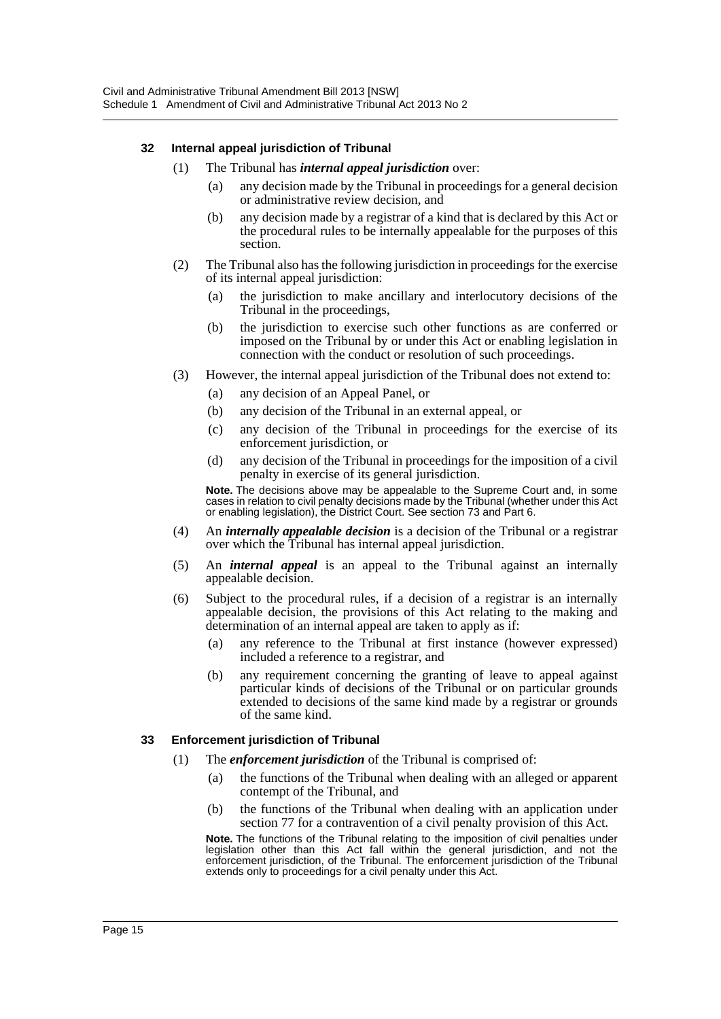#### **32 Internal appeal jurisdiction of Tribunal**

#### (1) The Tribunal has *internal appeal jurisdiction* over:

- (a) any decision made by the Tribunal in proceedings for a general decision or administrative review decision, and
- (b) any decision made by a registrar of a kind that is declared by this Act or the procedural rules to be internally appealable for the purposes of this section.
- (2) The Tribunal also has the following jurisdiction in proceedings for the exercise of its internal appeal jurisdiction:
	- (a) the jurisdiction to make ancillary and interlocutory decisions of the Tribunal in the proceedings,
	- (b) the jurisdiction to exercise such other functions as are conferred or imposed on the Tribunal by or under this Act or enabling legislation in connection with the conduct or resolution of such proceedings.
- (3) However, the internal appeal jurisdiction of the Tribunal does not extend to:
	- (a) any decision of an Appeal Panel, or
	- (b) any decision of the Tribunal in an external appeal, or
	- (c) any decision of the Tribunal in proceedings for the exercise of its enforcement jurisdiction, or
	- (d) any decision of the Tribunal in proceedings for the imposition of a civil penalty in exercise of its general jurisdiction.

**Note.** The decisions above may be appealable to the Supreme Court and, in some cases in relation to civil penalty decisions made by the Tribunal (whether under this Act or enabling legislation), the District Court. See section 73 and Part 6.

- (4) An *internally appealable decision* is a decision of the Tribunal or a registrar over which the Tribunal has internal appeal jurisdiction.
- (5) An *internal appeal* is an appeal to the Tribunal against an internally appealable decision.
- (6) Subject to the procedural rules, if a decision of a registrar is an internally appealable decision, the provisions of this Act relating to the making and determination of an internal appeal are taken to apply as if:
	- (a) any reference to the Tribunal at first instance (however expressed) included a reference to a registrar, and
	- (b) any requirement concerning the granting of leave to appeal against particular kinds of decisions of the Tribunal or on particular grounds extended to decisions of the same kind made by a registrar or grounds of the same kind.

#### **33 Enforcement jurisdiction of Tribunal**

- (1) The *enforcement jurisdiction* of the Tribunal is comprised of:
	- (a) the functions of the Tribunal when dealing with an alleged or apparent contempt of the Tribunal, and
	- (b) the functions of the Tribunal when dealing with an application under section 77 for a contravention of a civil penalty provision of this Act.

**Note.** The functions of the Tribunal relating to the imposition of civil penalties under legislation other than this Act fall within the general jurisdiction, and not the enforcement jurisdiction, of the Tribunal. The enforcement jurisdiction of the Tribunal extends only to proceedings for a civil penalty under this Act.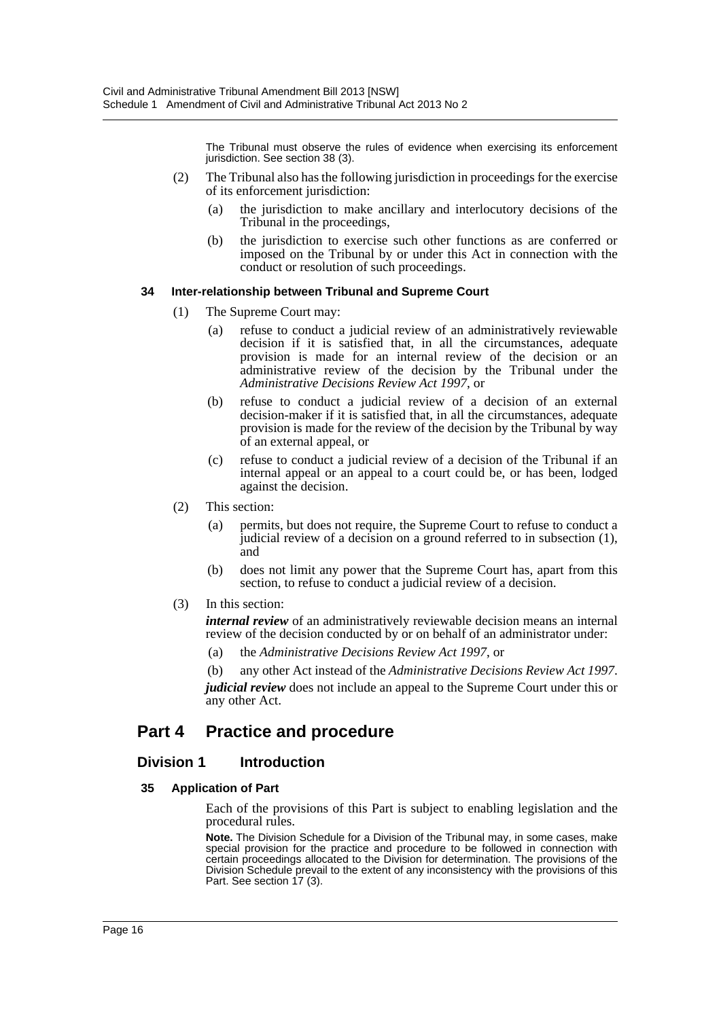The Tribunal must observe the rules of evidence when exercising its enforcement jurisdiction. See section 38 (3).

- (2) The Tribunal also has the following jurisdiction in proceedings for the exercise of its enforcement jurisdiction:
	- (a) the jurisdiction to make ancillary and interlocutory decisions of the Tribunal in the proceedings,
	- (b) the jurisdiction to exercise such other functions as are conferred or imposed on the Tribunal by or under this Act in connection with the conduct or resolution of such proceedings.

#### **34 Inter-relationship between Tribunal and Supreme Court**

- (1) The Supreme Court may:
	- (a) refuse to conduct a judicial review of an administratively reviewable decision if it is satisfied that, in all the circumstances, adequate provision is made for an internal review of the decision or an administrative review of the decision by the Tribunal under the *Administrative Decisions Review Act 1997*, or
	- (b) refuse to conduct a judicial review of a decision of an external decision-maker if it is satisfied that, in all the circumstances, adequate provision is made for the review of the decision by the Tribunal by way of an external appeal, or
	- (c) refuse to conduct a judicial review of a decision of the Tribunal if an internal appeal or an appeal to a court could be, or has been, lodged against the decision.
- (2) This section:
	- (a) permits, but does not require, the Supreme Court to refuse to conduct a judicial review of a decision on a ground referred to in subsection (1), and
	- (b) does not limit any power that the Supreme Court has, apart from this section, to refuse to conduct a judicial review of a decision.
- (3) In this section:

*internal review* of an administratively reviewable decision means an internal review of the decision conducted by or on behalf of an administrator under:

- (a) the *Administrative Decisions Review Act 1997*, or
- (b) any other Act instead of the *Administrative Decisions Review Act 1997*.

*judicial review* does not include an appeal to the Supreme Court under this or any other Act.

# **Part 4 Practice and procedure**

# **Division 1 Introduction**

#### **35 Application of Part**

Each of the provisions of this Part is subject to enabling legislation and the procedural rules.

**Note.** The Division Schedule for a Division of the Tribunal may, in some cases, make special provision for the practice and procedure to be followed in connection with certain proceedings allocated to the Division for determination. The provisions of the Division Schedule prevail to the extent of any inconsistency with the provisions of this Part. See section 17 (3).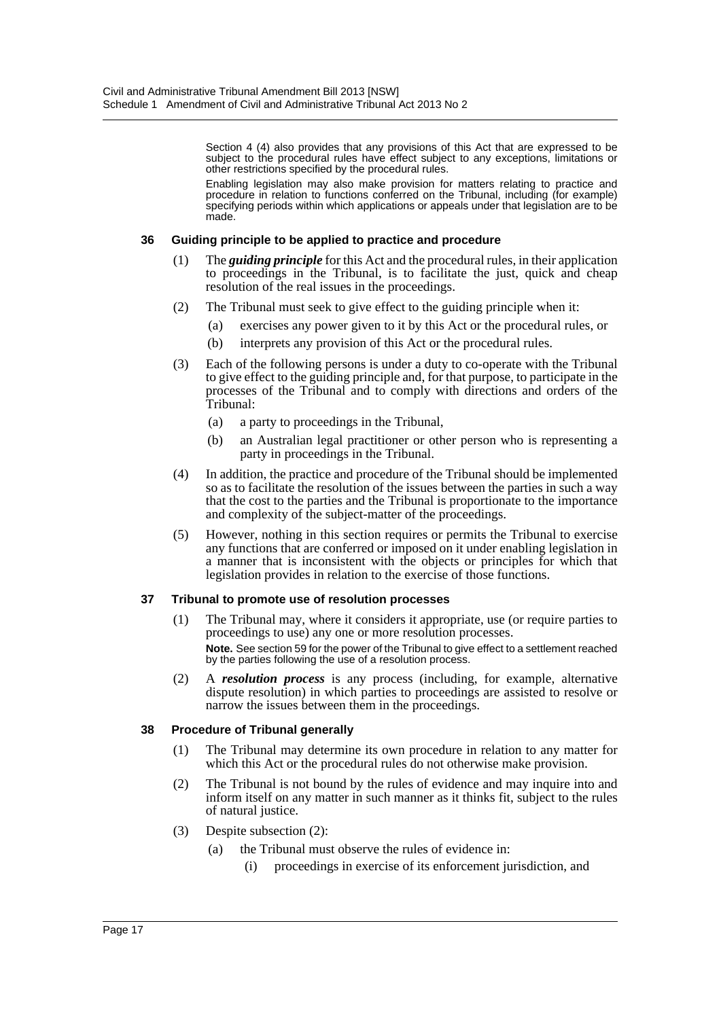Section 4 (4) also provides that any provisions of this Act that are expressed to be subject to the procedural rules have effect subject to any exceptions, limitations or other restrictions specified by the procedural rules.

Enabling legislation may also make provision for matters relating to practice and procedure in relation to functions conferred on the Tribunal, including (for example) specifying periods within which applications or appeals under that legislation are to be made.

#### **36 Guiding principle to be applied to practice and procedure**

- (1) The *guiding principle* for this Act and the procedural rules, in their application to proceedings in the Tribunal, is to facilitate the just, quick and cheap resolution of the real issues in the proceedings.
- (2) The Tribunal must seek to give effect to the guiding principle when it:
	- (a) exercises any power given to it by this Act or the procedural rules, or
	- (b) interprets any provision of this Act or the procedural rules.
- (3) Each of the following persons is under a duty to co-operate with the Tribunal to give effect to the guiding principle and, for that purpose, to participate in the processes of the Tribunal and to comply with directions and orders of the Tribunal:
	- (a) a party to proceedings in the Tribunal,
	- (b) an Australian legal practitioner or other person who is representing a party in proceedings in the Tribunal.
- (4) In addition, the practice and procedure of the Tribunal should be implemented so as to facilitate the resolution of the issues between the parties in such a way that the cost to the parties and the Tribunal is proportionate to the importance and complexity of the subject-matter of the proceedings.
- (5) However, nothing in this section requires or permits the Tribunal to exercise any functions that are conferred or imposed on it under enabling legislation in a manner that is inconsistent with the objects or principles for which that legislation provides in relation to the exercise of those functions.

#### **37 Tribunal to promote use of resolution processes**

- (1) The Tribunal may, where it considers it appropriate, use (or require parties to proceedings to use) any one or more resolution processes. **Note.** See section 59 for the power of the Tribunal to give effect to a settlement reached by the parties following the use of a resolution process.
- (2) A *resolution process* is any process (including, for example, alternative dispute resolution) in which parties to proceedings are assisted to resolve or narrow the issues between them in the proceedings.

#### **38 Procedure of Tribunal generally**

- (1) The Tribunal may determine its own procedure in relation to any matter for which this Act or the procedural rules do not otherwise make provision.
- (2) The Tribunal is not bound by the rules of evidence and may inquire into and inform itself on any matter in such manner as it thinks fit, subject to the rules of natural justice.
- (3) Despite subsection (2):
	- (a) the Tribunal must observe the rules of evidence in:
		- (i) proceedings in exercise of its enforcement jurisdiction, and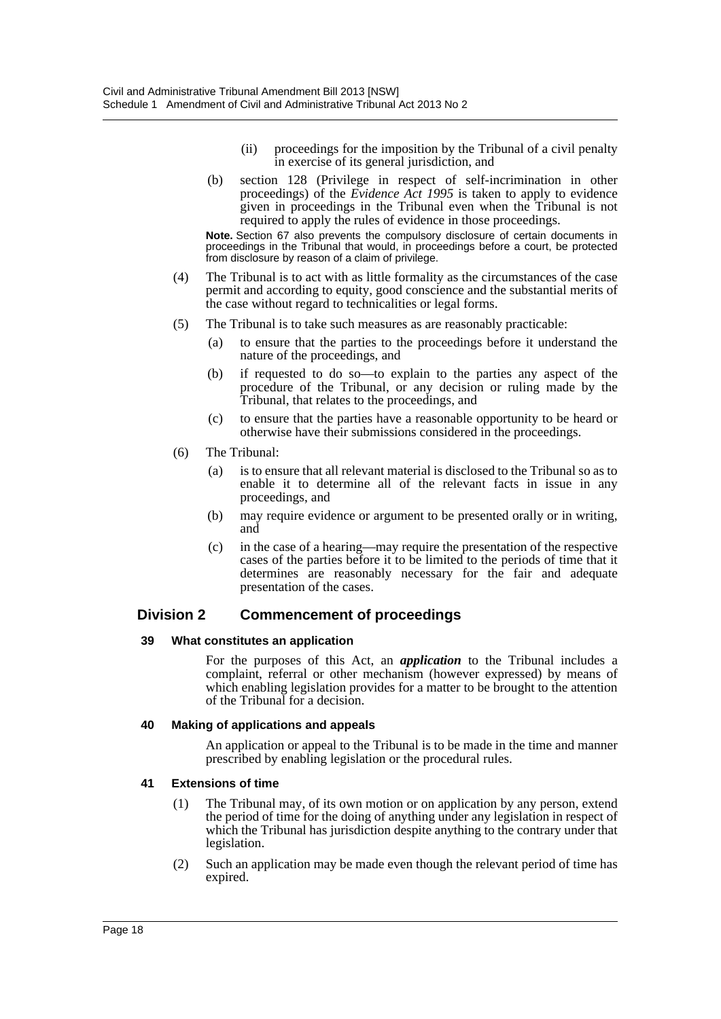- (ii) proceedings for the imposition by the Tribunal of a civil penalty in exercise of its general jurisdiction, and
- (b) section 128 (Privilege in respect of self-incrimination in other proceedings) of the *Evidence Act 1995* is taken to apply to evidence given in proceedings in the Tribunal even when the Tribunal is not required to apply the rules of evidence in those proceedings.

**Note.** Section 67 also prevents the compulsory disclosure of certain documents in proceedings in the Tribunal that would, in proceedings before a court, be protected from disclosure by reason of a claim of privilege.

- (4) The Tribunal is to act with as little formality as the circumstances of the case permit and according to equity, good conscience and the substantial merits of the case without regard to technicalities or legal forms.
- (5) The Tribunal is to take such measures as are reasonably practicable:
	- (a) to ensure that the parties to the proceedings before it understand the nature of the proceedings, and
	- (b) if requested to do so—to explain to the parties any aspect of the procedure of the Tribunal, or any decision or ruling made by the Tribunal, that relates to the proceedings, and
	- (c) to ensure that the parties have a reasonable opportunity to be heard or otherwise have their submissions considered in the proceedings.
- (6) The Tribunal:
	- (a) is to ensure that all relevant material is disclosed to the Tribunal so as to enable it to determine all of the relevant facts in issue in any proceedings, and
	- (b) may require evidence or argument to be presented orally or in writing, and
	- (c) in the case of a hearing—may require the presentation of the respective cases of the parties before it to be limited to the periods of time that it determines are reasonably necessary for the fair and adequate presentation of the cases.

# **Division 2 Commencement of proceedings**

#### **39 What constitutes an application**

For the purposes of this Act, an *application* to the Tribunal includes a complaint, referral or other mechanism (however expressed) by means of which enabling legislation provides for a matter to be brought to the attention of the Tribunal for a decision.

#### **40 Making of applications and appeals**

An application or appeal to the Tribunal is to be made in the time and manner prescribed by enabling legislation or the procedural rules.

#### **41 Extensions of time**

- (1) The Tribunal may, of its own motion or on application by any person, extend the period of time for the doing of anything under any legislation in respect of which the Tribunal has jurisdiction despite anything to the contrary under that legislation.
- (2) Such an application may be made even though the relevant period of time has expired.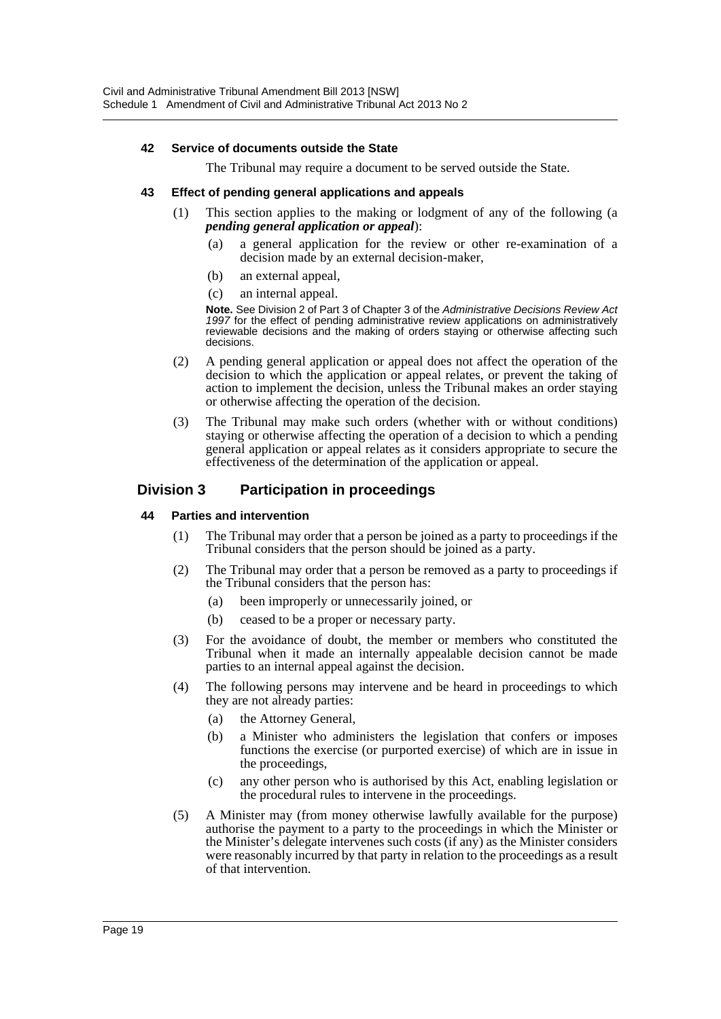#### **42 Service of documents outside the State**

The Tribunal may require a document to be served outside the State.

#### **43 Effect of pending general applications and appeals**

- (1) This section applies to the making or lodgment of any of the following (a *pending general application or appeal*):
	- (a) a general application for the review or other re-examination of a decision made by an external decision-maker,
	- (b) an external appeal,
	- (c) an internal appeal.

**Note.** See Division 2 of Part 3 of Chapter 3 of the *Administrative Decisions Review Act 1997* for the effect of pending administrative review applications on administratively reviewable decisions and the making of orders staying or otherwise affecting such decisions.

- (2) A pending general application or appeal does not affect the operation of the decision to which the application or appeal relates, or prevent the taking of action to implement the decision, unless the Tribunal makes an order staying or otherwise affecting the operation of the decision.
- (3) The Tribunal may make such orders (whether with or without conditions) staying or otherwise affecting the operation of a decision to which a pending general application or appeal relates as it considers appropriate to secure the effectiveness of the determination of the application or appeal.

# **Division 3 Participation in proceedings**

#### **44 Parties and intervention**

- (1) The Tribunal may order that a person be joined as a party to proceedings if the Tribunal considers that the person should be joined as a party.
- (2) The Tribunal may order that a person be removed as a party to proceedings if the Tribunal considers that the person has:
	- (a) been improperly or unnecessarily joined, or
	- (b) ceased to be a proper or necessary party.
- (3) For the avoidance of doubt, the member or members who constituted the Tribunal when it made an internally appealable decision cannot be made parties to an internal appeal against the decision.
- (4) The following persons may intervene and be heard in proceedings to which they are not already parties:
	- (a) the Attorney General,
	- (b) a Minister who administers the legislation that confers or imposes functions the exercise (or purported exercise) of which are in issue in the proceedings,
	- (c) any other person who is authorised by this Act, enabling legislation or the procedural rules to intervene in the proceedings.
- (5) A Minister may (from money otherwise lawfully available for the purpose) authorise the payment to a party to the proceedings in which the Minister or the Minister's delegate intervenes such costs (if any) as the Minister considers were reasonably incurred by that party in relation to the proceedings as a result of that intervention.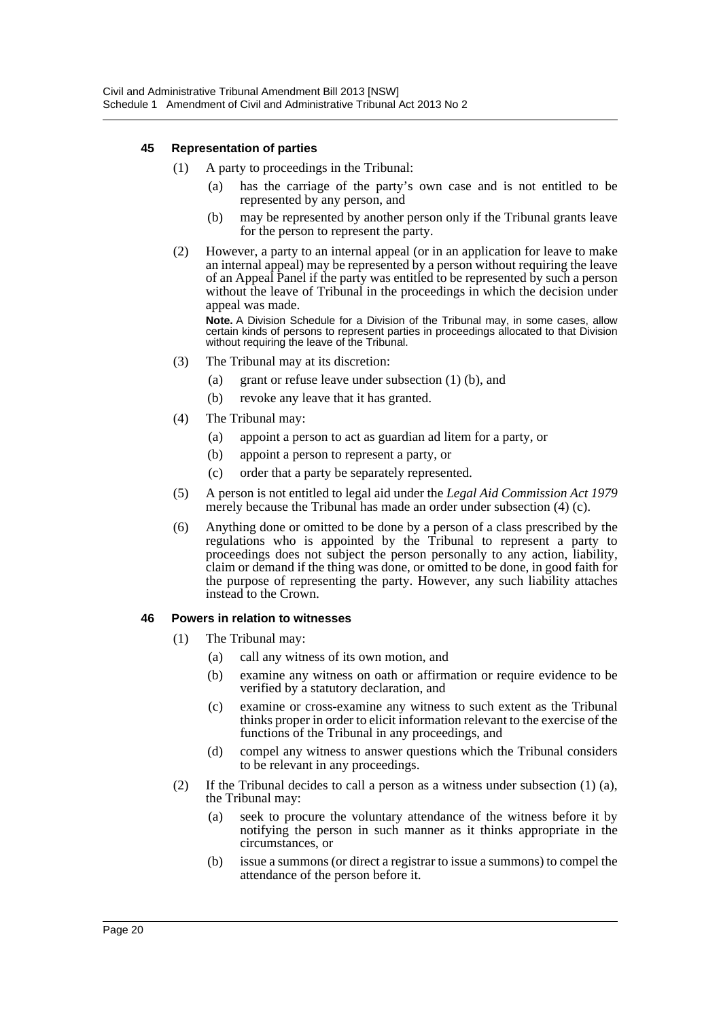#### **45 Representation of parties**

- (1) A party to proceedings in the Tribunal:
	- (a) has the carriage of the party's own case and is not entitled to be represented by any person, and
	- (b) may be represented by another person only if the Tribunal grants leave for the person to represent the party.
- (2) However, a party to an internal appeal (or in an application for leave to make an internal appeal) may be represented by a person without requiring the leave of an Appeal Panel if the party was entitled to be represented by such a person without the leave of Tribunal in the proceedings in which the decision under appeal was made.

**Note.** A Division Schedule for a Division of the Tribunal may, in some cases, allow certain kinds of persons to represent parties in proceedings allocated to that Division without requiring the leave of the Tribunal.

- (3) The Tribunal may at its discretion:
	- (a) grant or refuse leave under subsection (1) (b), and
	- (b) revoke any leave that it has granted.
- (4) The Tribunal may:
	- (a) appoint a person to act as guardian ad litem for a party, or
	- (b) appoint a person to represent a party, or
	- (c) order that a party be separately represented.
- (5) A person is not entitled to legal aid under the *Legal Aid Commission Act 1979* merely because the Tribunal has made an order under subsection (4) (c).
- (6) Anything done or omitted to be done by a person of a class prescribed by the regulations who is appointed by the Tribunal to represent a party to proceedings does not subject the person personally to any action, liability, claim or demand if the thing was done, or omitted to be done, in good faith for the purpose of representing the party. However, any such liability attaches instead to the Crown.

#### **46 Powers in relation to witnesses**

- (1) The Tribunal may:
	- (a) call any witness of its own motion, and
	- (b) examine any witness on oath or affirmation or require evidence to be verified by a statutory declaration, and
	- (c) examine or cross-examine any witness to such extent as the Tribunal thinks proper in order to elicit information relevant to the exercise of the functions of the Tribunal in any proceedings, and
	- (d) compel any witness to answer questions which the Tribunal considers to be relevant in any proceedings.
- (2) If the Tribunal decides to call a person as a witness under subsection  $(1)$   $(a)$ , the Tribunal may:
	- (a) seek to procure the voluntary attendance of the witness before it by notifying the person in such manner as it thinks appropriate in the circumstances, or
	- (b) issue a summons (or direct a registrar to issue a summons) to compel the attendance of the person before it.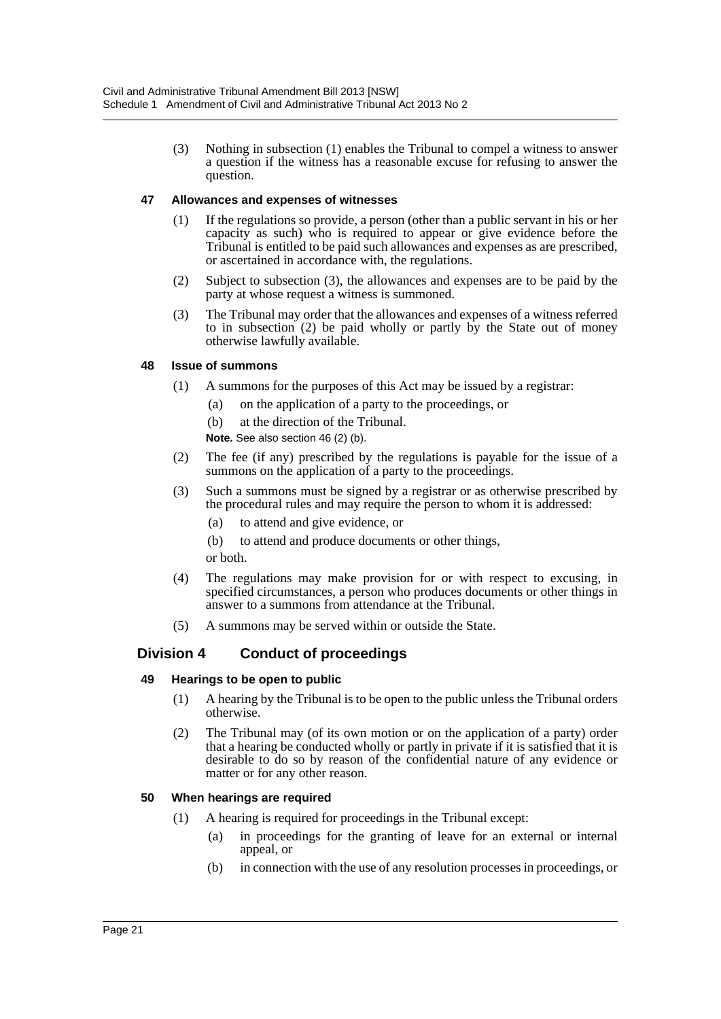(3) Nothing in subsection (1) enables the Tribunal to compel a witness to answer a question if the witness has a reasonable excuse for refusing to answer the question.

#### **47 Allowances and expenses of witnesses**

- (1) If the regulations so provide, a person (other than a public servant in his or her capacity as such) who is required to appear or give evidence before the Tribunal is entitled to be paid such allowances and expenses as are prescribed, or ascertained in accordance with, the regulations.
- (2) Subject to subsection (3), the allowances and expenses are to be paid by the party at whose request a witness is summoned.
- (3) The Tribunal may order that the allowances and expenses of a witness referred to in subsection (2) be paid wholly or partly by the State out of money otherwise lawfully available.

#### **48 Issue of summons**

- (1) A summons for the purposes of this Act may be issued by a registrar:
	- (a) on the application of a party to the proceedings, or
	- (b) at the direction of the Tribunal.
	- **Note.** See also section 46 (2) (b).
- (2) The fee (if any) prescribed by the regulations is payable for the issue of a summons on the application of a party to the proceedings.
- (3) Such a summons must be signed by a registrar or as otherwise prescribed by the procedural rules and may require the person to whom it is addressed:
	- (a) to attend and give evidence, or
	- (b) to attend and produce documents or other things, or both.
- (4) The regulations may make provision for or with respect to excusing, in specified circumstances, a person who produces documents or other things in answer to a summons from attendance at the Tribunal.
- (5) A summons may be served within or outside the State.

# **Division 4 Conduct of proceedings**

#### **49 Hearings to be open to public**

- (1) A hearing by the Tribunal is to be open to the public unless the Tribunal orders otherwise.
- (2) The Tribunal may (of its own motion or on the application of a party) order that a hearing be conducted wholly or partly in private if it is satisfied that it is desirable to do so by reason of the confidential nature of any evidence or matter or for any other reason.

#### **50 When hearings are required**

- (1) A hearing is required for proceedings in the Tribunal except:
	- (a) in proceedings for the granting of leave for an external or internal appeal, or
	- (b) in connection with the use of any resolution processes in proceedings, or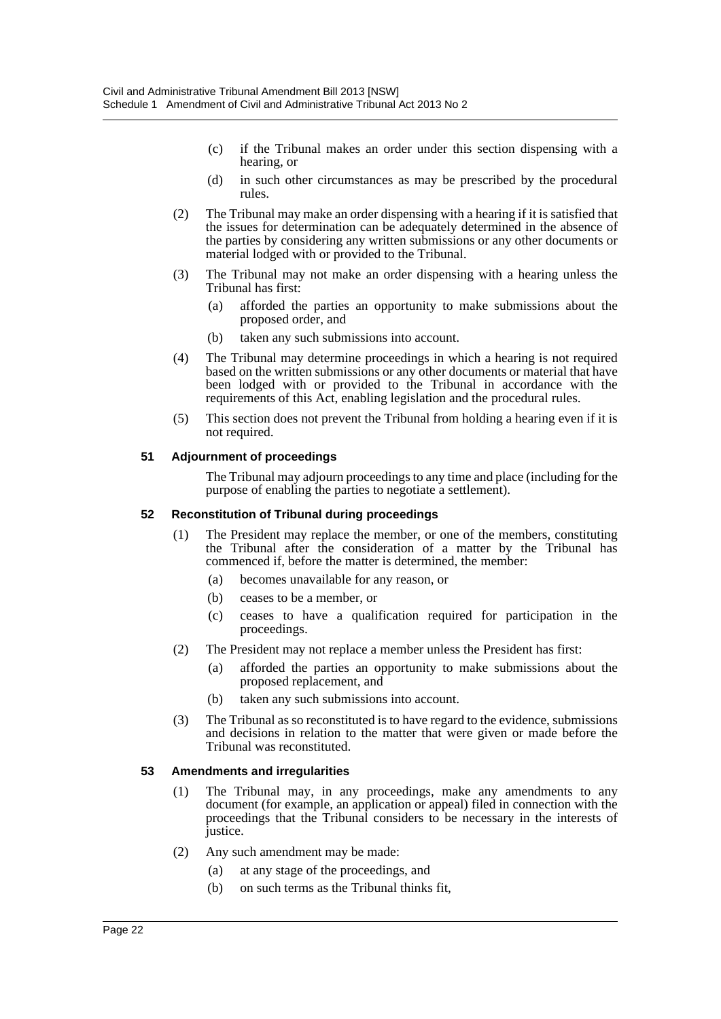- (c) if the Tribunal makes an order under this section dispensing with a hearing, or
- (d) in such other circumstances as may be prescribed by the procedural rules.
- (2) The Tribunal may make an order dispensing with a hearing if it is satisfied that the issues for determination can be adequately determined in the absence of the parties by considering any written submissions or any other documents or material lodged with or provided to the Tribunal.
- (3) The Tribunal may not make an order dispensing with a hearing unless the Tribunal has first:
	- (a) afforded the parties an opportunity to make submissions about the proposed order, and
	- (b) taken any such submissions into account.
- (4) The Tribunal may determine proceedings in which a hearing is not required based on the written submissions or any other documents or material that have been lodged with or provided to the Tribunal in accordance with the requirements of this Act, enabling legislation and the procedural rules.
- (5) This section does not prevent the Tribunal from holding a hearing even if it is not required.

#### **51 Adjournment of proceedings**

The Tribunal may adjourn proceedings to any time and place (including for the purpose of enabling the parties to negotiate a settlement).

#### **52 Reconstitution of Tribunal during proceedings**

- (1) The President may replace the member, or one of the members, constituting the Tribunal after the consideration of a matter by the Tribunal has commenced if, before the matter is determined, the member:
	- (a) becomes unavailable for any reason, or
	- (b) ceases to be a member, or
	- (c) ceases to have a qualification required for participation in the proceedings.
- (2) The President may not replace a member unless the President has first:
	- (a) afforded the parties an opportunity to make submissions about the proposed replacement, and
	- (b) taken any such submissions into account.
- (3) The Tribunal as so reconstituted is to have regard to the evidence, submissions and decisions in relation to the matter that were given or made before the Tribunal was reconstituted.

#### **53 Amendments and irregularities**

- (1) The Tribunal may, in any proceedings, make any amendments to any document (for example, an application or appeal) filed in connection with the proceedings that the Tribunal considers to be necessary in the interests of justice.
- (2) Any such amendment may be made:
	- (a) at any stage of the proceedings, and
	- (b) on such terms as the Tribunal thinks fit,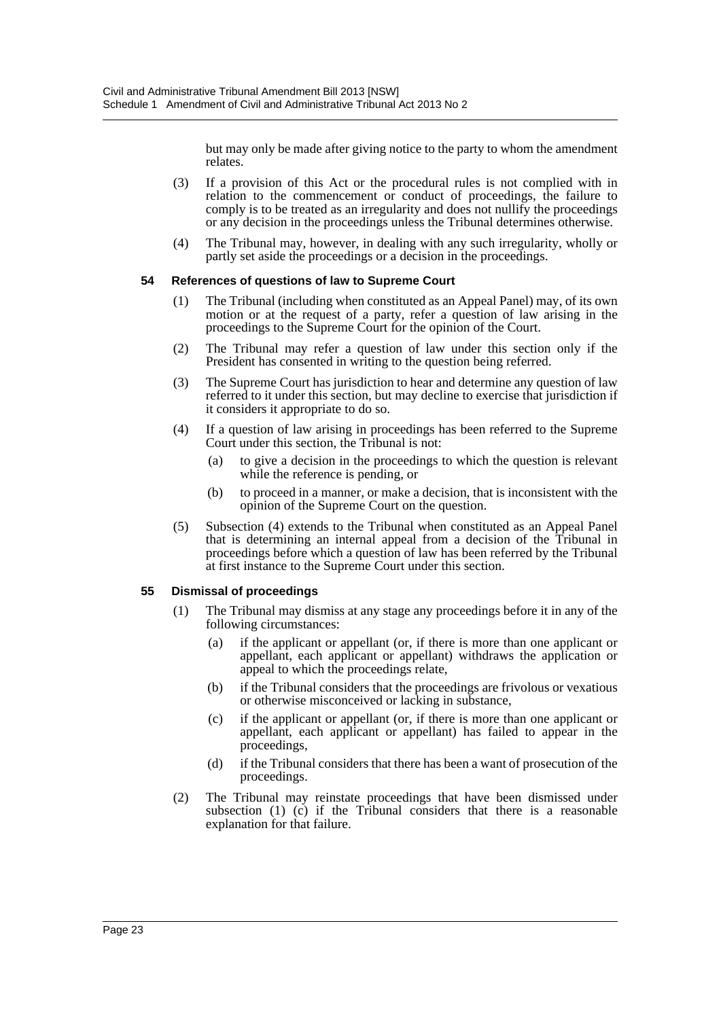but may only be made after giving notice to the party to whom the amendment relates.

- (3) If a provision of this Act or the procedural rules is not complied with in relation to the commencement or conduct of proceedings, the failure to comply is to be treated as an irregularity and does not nullify the proceedings or any decision in the proceedings unless the Tribunal determines otherwise.
- (4) The Tribunal may, however, in dealing with any such irregularity, wholly or partly set aside the proceedings or a decision in the proceedings.

#### **54 References of questions of law to Supreme Court**

- (1) The Tribunal (including when constituted as an Appeal Panel) may, of its own motion or at the request of a party, refer a question of law arising in the proceedings to the Supreme Court for the opinion of the Court.
- (2) The Tribunal may refer a question of law under this section only if the President has consented in writing to the question being referred.
- (3) The Supreme Court has jurisdiction to hear and determine any question of law referred to it under this section, but may decline to exercise that jurisdiction if it considers it appropriate to do so.
- (4) If a question of law arising in proceedings has been referred to the Supreme Court under this section, the Tribunal is not:
	- (a) to give a decision in the proceedings to which the question is relevant while the reference is pending, or
	- (b) to proceed in a manner, or make a decision, that is inconsistent with the opinion of the Supreme Court on the question.
- (5) Subsection (4) extends to the Tribunal when constituted as an Appeal Panel that is determining an internal appeal from a decision of the Tribunal in proceedings before which a question of law has been referred by the Tribunal at first instance to the Supreme Court under this section.

#### **55 Dismissal of proceedings**

- (1) The Tribunal may dismiss at any stage any proceedings before it in any of the following circumstances:
	- (a) if the applicant or appellant (or, if there is more than one applicant or appellant, each applicant or appellant) withdraws the application or appeal to which the proceedings relate,
	- (b) if the Tribunal considers that the proceedings are frivolous or vexatious or otherwise misconceived or lacking in substance,
	- (c) if the applicant or appellant (or, if there is more than one applicant or appellant, each applicant or appellant) has failed to appear in the proceedings,
	- (d) if the Tribunal considers that there has been a want of prosecution of the proceedings.
- (2) The Tribunal may reinstate proceedings that have been dismissed under subsection (1) (c) if the Tribunal considers that there is a reasonable explanation for that failure.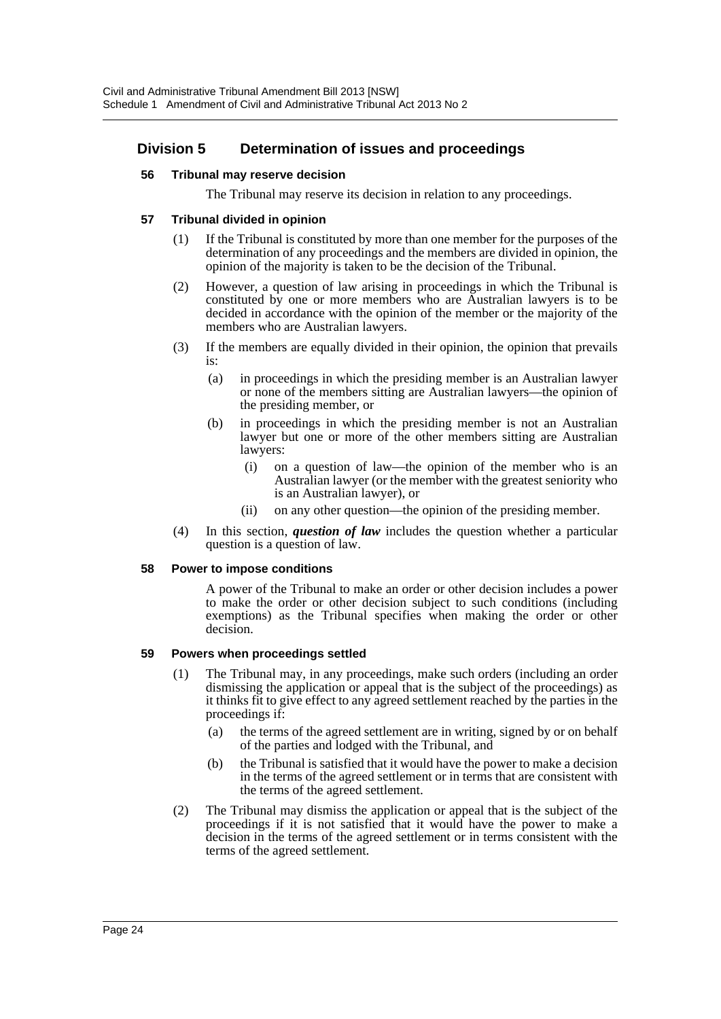# **Division 5 Determination of issues and proceedings**

#### **56 Tribunal may reserve decision**

The Tribunal may reserve its decision in relation to any proceedings.

#### **57 Tribunal divided in opinion**

- (1) If the Tribunal is constituted by more than one member for the purposes of the determination of any proceedings and the members are divided in opinion, the opinion of the majority is taken to be the decision of the Tribunal.
- (2) However, a question of law arising in proceedings in which the Tribunal is constituted by one or more members who are Australian lawyers is to be decided in accordance with the opinion of the member or the majority of the members who are Australian lawyers.
- (3) If the members are equally divided in their opinion, the opinion that prevails is:
	- (a) in proceedings in which the presiding member is an Australian lawyer or none of the members sitting are Australian lawyers—the opinion of the presiding member, or
	- (b) in proceedings in which the presiding member is not an Australian lawyer but one or more of the other members sitting are Australian lawyers:
		- (i) on a question of law—the opinion of the member who is an Australian lawyer (or the member with the greatest seniority who is an Australian lawyer), or
		- (ii) on any other question—the opinion of the presiding member.
- (4) In this section, *question of law* includes the question whether a particular question is a question of law.

#### **58 Power to impose conditions**

A power of the Tribunal to make an order or other decision includes a power to make the order or other decision subject to such conditions (including exemptions) as the Tribunal specifies when making the order or other decision.

#### **59 Powers when proceedings settled**

- (1) The Tribunal may, in any proceedings, make such orders (including an order dismissing the application or appeal that is the subject of the proceedings) as it thinks fit to give effect to any agreed settlement reached by the parties in the proceedings if:
	- (a) the terms of the agreed settlement are in writing, signed by or on behalf of the parties and lodged with the Tribunal, and
	- (b) the Tribunal is satisfied that it would have the power to make a decision in the terms of the agreed settlement or in terms that are consistent with the terms of the agreed settlement.
- (2) The Tribunal may dismiss the application or appeal that is the subject of the proceedings if it is not satisfied that it would have the power to make a decision in the terms of the agreed settlement or in terms consistent with the terms of the agreed settlement.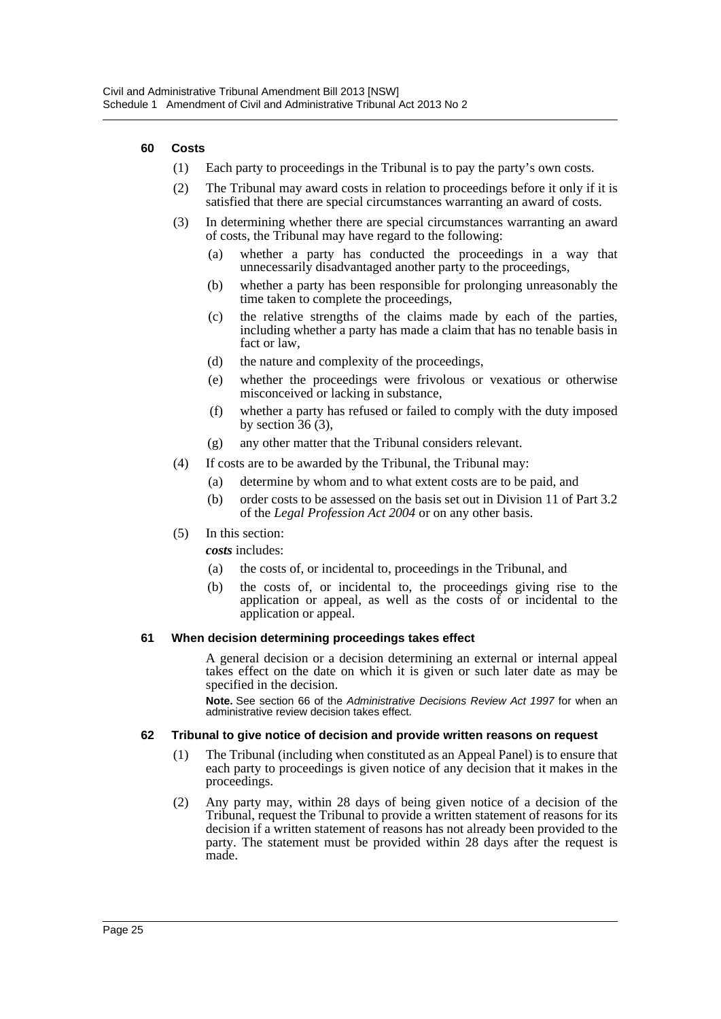#### **60 Costs**

- (1) Each party to proceedings in the Tribunal is to pay the party's own costs.
- (2) The Tribunal may award costs in relation to proceedings before it only if it is satisfied that there are special circumstances warranting an award of costs.
- (3) In determining whether there are special circumstances warranting an award of costs, the Tribunal may have regard to the following:
	- (a) whether a party has conducted the proceedings in a way that unnecessarily disadvantaged another party to the proceedings,
	- (b) whether a party has been responsible for prolonging unreasonably the time taken to complete the proceedings,
	- (c) the relative strengths of the claims made by each of the parties, including whether a party has made a claim that has no tenable basis in fact or law,
	- (d) the nature and complexity of the proceedings,
	- (e) whether the proceedings were frivolous or vexatious or otherwise misconceived or lacking in substance,
	- (f) whether a party has refused or failed to comply with the duty imposed by section 36 (3),
	- (g) any other matter that the Tribunal considers relevant.
- (4) If costs are to be awarded by the Tribunal, the Tribunal may:
	- (a) determine by whom and to what extent costs are to be paid, and
		- (b) order costs to be assessed on the basis set out in Division 11 of Part 3.2 of the *Legal Profession Act 2004* or on any other basis.
- (5) In this section:

*costs* includes:

- (a) the costs of, or incidental to, proceedings in the Tribunal, and
- (b) the costs of, or incidental to, the proceedings giving rise to the application or appeal, as well as the costs of or incidental to the application or appeal.

#### **61 When decision determining proceedings takes effect**

A general decision or a decision determining an external or internal appeal takes effect on the date on which it is given or such later date as may be specified in the decision.

**Note.** See section 66 of the *Administrative Decisions Review Act 1997* for when an administrative review decision takes effect.

#### **62 Tribunal to give notice of decision and provide written reasons on request**

- (1) The Tribunal (including when constituted as an Appeal Panel) is to ensure that each party to proceedings is given notice of any decision that it makes in the proceedings.
- (2) Any party may, within 28 days of being given notice of a decision of the Tribunal, request the Tribunal to provide a written statement of reasons for its decision if a written statement of reasons has not already been provided to the party. The statement must be provided within 28 days after the request is made.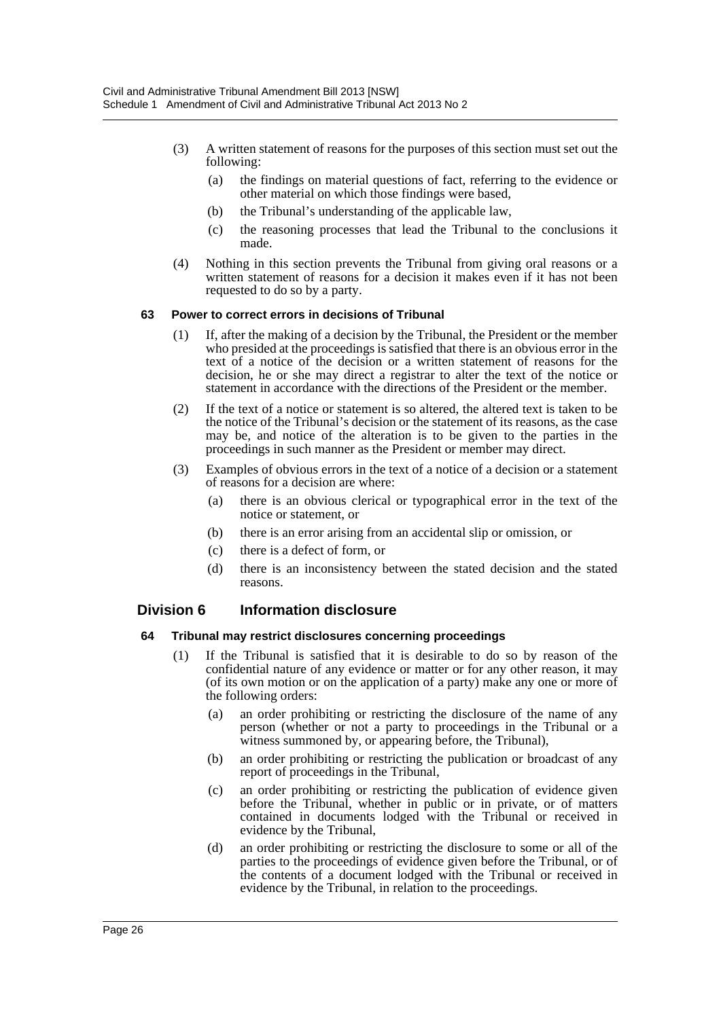- (3) A written statement of reasons for the purposes of this section must set out the following:
	- (a) the findings on material questions of fact, referring to the evidence or other material on which those findings were based,
	- (b) the Tribunal's understanding of the applicable law,
	- (c) the reasoning processes that lead the Tribunal to the conclusions it made.
- (4) Nothing in this section prevents the Tribunal from giving oral reasons or a written statement of reasons for a decision it makes even if it has not been requested to do so by a party.

#### **63 Power to correct errors in decisions of Tribunal**

- (1) If, after the making of a decision by the Tribunal, the President or the member who presided at the proceedings is satisfied that there is an obvious error in the text of a notice of the decision or a written statement of reasons for the decision, he or she may direct a registrar to alter the text of the notice or statement in accordance with the directions of the President or the member.
- (2) If the text of a notice or statement is so altered, the altered text is taken to be the notice of the Tribunal's decision or the statement of its reasons, as the case may be, and notice of the alteration is to be given to the parties in the proceedings in such manner as the President or member may direct.
- (3) Examples of obvious errors in the text of a notice of a decision or a statement of reasons for a decision are where:
	- (a) there is an obvious clerical or typographical error in the text of the notice or statement, or
	- (b) there is an error arising from an accidental slip or omission, or
	- (c) there is a defect of form, or
	- (d) there is an inconsistency between the stated decision and the stated reasons.

#### **Division 6 Information disclosure**

#### **64 Tribunal may restrict disclosures concerning proceedings**

- (1) If the Tribunal is satisfied that it is desirable to do so by reason of the confidential nature of any evidence or matter or for any other reason, it may (of its own motion or on the application of a party) make any one or more of the following orders:
	- (a) an order prohibiting or restricting the disclosure of the name of any person (whether or not a party to proceedings in the Tribunal or a witness summoned by, or appearing before, the Tribunal),
	- (b) an order prohibiting or restricting the publication or broadcast of any report of proceedings in the Tribunal,
	- (c) an order prohibiting or restricting the publication of evidence given before the Tribunal, whether in public or in private, or of matters contained in documents lodged with the Tribunal or received in evidence by the Tribunal,
	- (d) an order prohibiting or restricting the disclosure to some or all of the parties to the proceedings of evidence given before the Tribunal, or of the contents of a document lodged with the Tribunal or received in evidence by the Tribunal, in relation to the proceedings.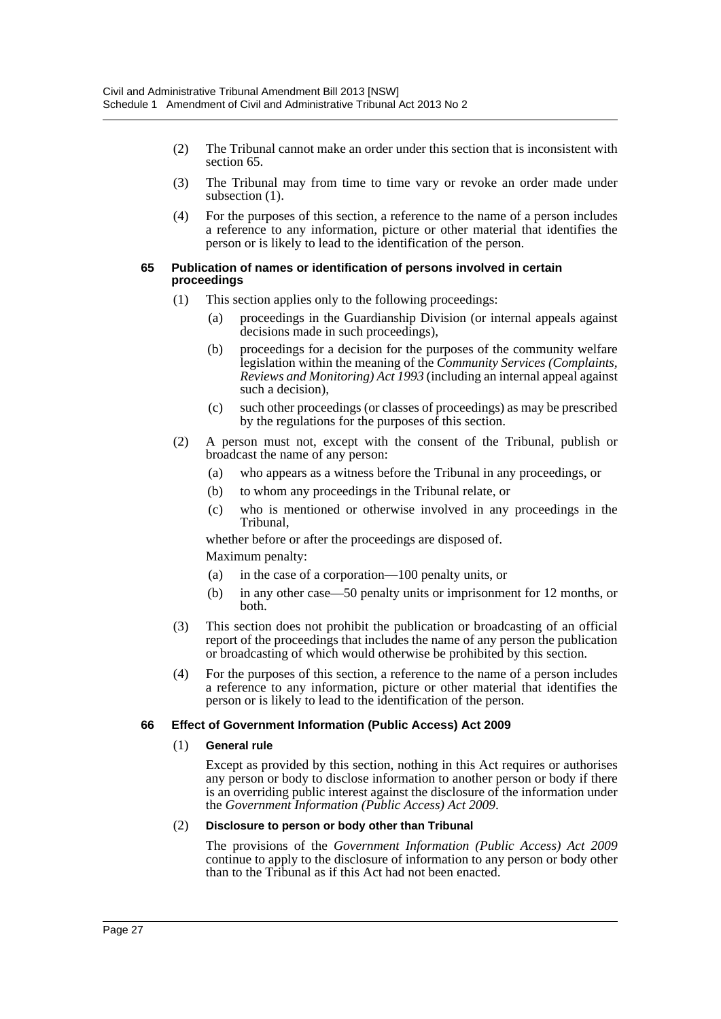- (2) The Tribunal cannot make an order under this section that is inconsistent with section 65.
- (3) The Tribunal may from time to time vary or revoke an order made under subsection  $(1)$ .
- (4) For the purposes of this section, a reference to the name of a person includes a reference to any information, picture or other material that identifies the person or is likely to lead to the identification of the person.

#### **65 Publication of names or identification of persons involved in certain proceedings**

- (1) This section applies only to the following proceedings:
	- (a) proceedings in the Guardianship Division (or internal appeals against decisions made in such proceedings),
	- (b) proceedings for a decision for the purposes of the community welfare legislation within the meaning of the *Community Services (Complaints, Reviews and Monitoring) Act 1993* (including an internal appeal against such a decision),
	- (c) such other proceedings (or classes of proceedings) as may be prescribed by the regulations for the purposes of this section.
- (2) A person must not, except with the consent of the Tribunal, publish or broadcast the name of any person:
	- (a) who appears as a witness before the Tribunal in any proceedings, or
	- (b) to whom any proceedings in the Tribunal relate, or
	- (c) who is mentioned or otherwise involved in any proceedings in the Tribunal,

whether before or after the proceedings are disposed of.

Maximum penalty:

- (a) in the case of a corporation—100 penalty units, or
- (b) in any other case—50 penalty units or imprisonment for 12 months, or both.
- (3) This section does not prohibit the publication or broadcasting of an official report of the proceedings that includes the name of any person the publication or broadcasting of which would otherwise be prohibited by this section.
- (4) For the purposes of this section, a reference to the name of a person includes a reference to any information, picture or other material that identifies the person or is likely to lead to the identification of the person.

#### **66 Effect of Government Information (Public Access) Act 2009**

#### (1) **General rule**

Except as provided by this section, nothing in this Act requires or authorises any person or body to disclose information to another person or body if there is an overriding public interest against the disclosure of the information under the *Government Information (Public Access) Act 2009*.

#### (2) **Disclosure to person or body other than Tribunal**

The provisions of the *Government Information (Public Access) Act 2009* continue to apply to the disclosure of information to any person or body other than to the Tribunal as if this Act had not been enacted.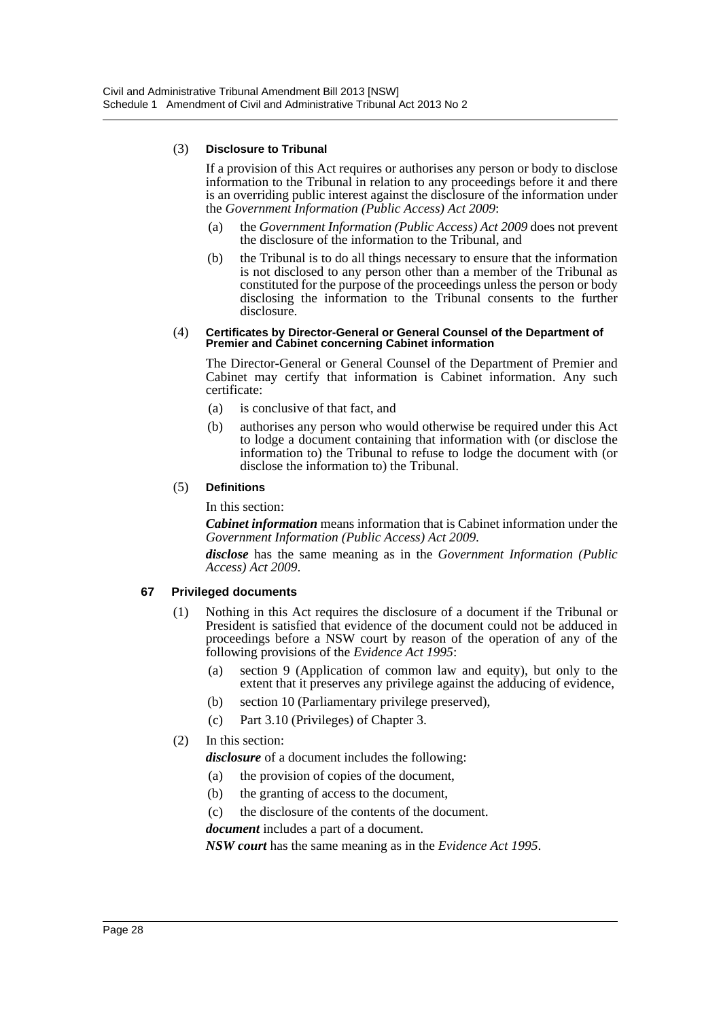#### (3) **Disclosure to Tribunal**

If a provision of this Act requires or authorises any person or body to disclose information to the Tribunal in relation to any proceedings before it and there is an overriding public interest against the disclosure of the information under the *Government Information (Public Access) Act 2009*:

- (a) the *Government Information (Public Access) Act 2009* does not prevent the disclosure of the information to the Tribunal, and
- (b) the Tribunal is to do all things necessary to ensure that the information is not disclosed to any person other than a member of the Tribunal as constituted for the purpose of the proceedings unless the person or body disclosing the information to the Tribunal consents to the further disclosure.

#### (4) **Certificates by Director-General or General Counsel of the Department of Premier and Cabinet concerning Cabinet information**

The Director-General or General Counsel of the Department of Premier and Cabinet may certify that information is Cabinet information. Any such certificate:

- (a) is conclusive of that fact, and
- (b) authorises any person who would otherwise be required under this Act to lodge a document containing that information with (or disclose the information to) the Tribunal to refuse to lodge the document with (or disclose the information to) the Tribunal.

#### (5) **Definitions**

In this section:

*Cabinet information* means information that is Cabinet information under the *Government Information (Public Access) Act 2009*.

*disclose* has the same meaning as in the *Government Information (Public Access) Act 2009*.

# **67 Privileged documents**

- (1) Nothing in this Act requires the disclosure of a document if the Tribunal or President is satisfied that evidence of the document could not be adduced in proceedings before a NSW court by reason of the operation of any of the following provisions of the *Evidence Act 1995*:
	- (a) section 9 (Application of common law and equity), but only to the extent that it preserves any privilege against the adducing of evidence,
	- (b) section 10 (Parliamentary privilege preserved),
	- (c) Part 3.10 (Privileges) of Chapter 3.

# (2) In this section:

*disclosure* of a document includes the following:

- (a) the provision of copies of the document,
- (b) the granting of access to the document,
- (c) the disclosure of the contents of the document.

*document* includes a part of a document.

*NSW court* has the same meaning as in the *Evidence Act 1995*.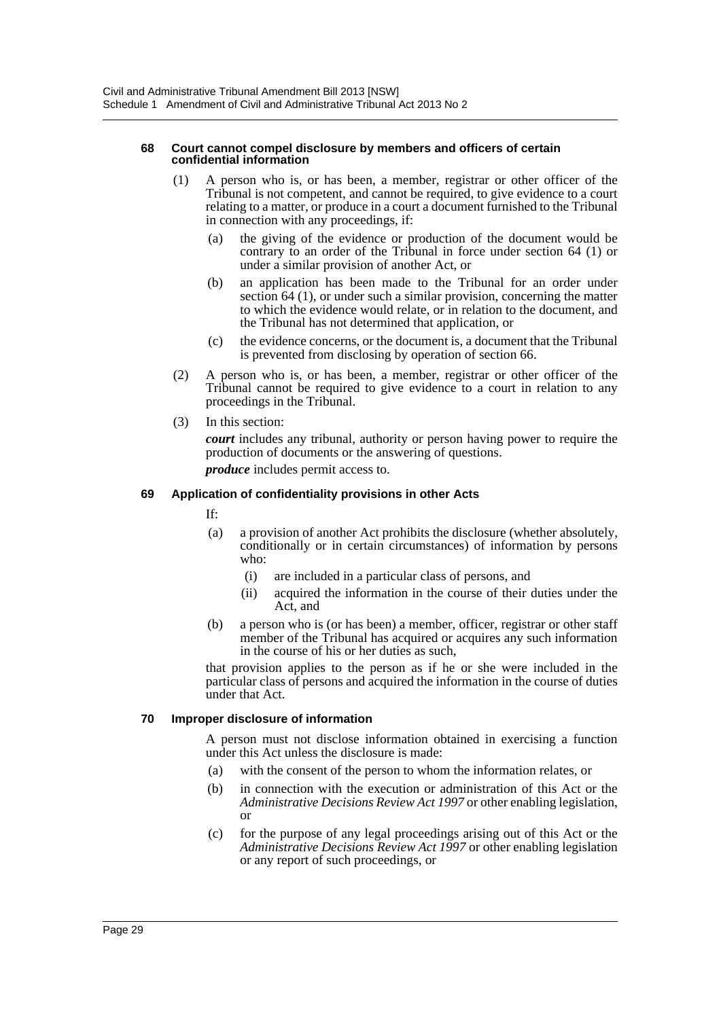#### **68 Court cannot compel disclosure by members and officers of certain confidential information**

- (1) A person who is, or has been, a member, registrar or other officer of the Tribunal is not competent, and cannot be required, to give evidence to a court relating to a matter, or produce in a court a document furnished to the Tribunal in connection with any proceedings, if:
	- (a) the giving of the evidence or production of the document would be contrary to an order of the Tribunal in force under section 64 (1) or under a similar provision of another Act, or
	- (b) an application has been made to the Tribunal for an order under section 64 (1), or under such a similar provision, concerning the matter to which the evidence would relate, or in relation to the document, and the Tribunal has not determined that application, or
	- (c) the evidence concerns, or the document is, a document that the Tribunal is prevented from disclosing by operation of section 66.
- (2) A person who is, or has been, a member, registrar or other officer of the Tribunal cannot be required to give evidence to a court in relation to any proceedings in the Tribunal.
- (3) In this section:

*court* includes any tribunal, authority or person having power to require the production of documents or the answering of questions.

*produce* includes permit access to.

#### **69 Application of confidentiality provisions in other Acts**

- If:
- (a) a provision of another Act prohibits the disclosure (whether absolutely, conditionally or in certain circumstances) of information by persons who:
	- (i) are included in a particular class of persons, and
	- (ii) acquired the information in the course of their duties under the Act, and
- (b) a person who is (or has been) a member, officer, registrar or other staff member of the Tribunal has acquired or acquires any such information in the course of his or her duties as such,

that provision applies to the person as if he or she were included in the particular class of persons and acquired the information in the course of duties under that Act.

#### **70 Improper disclosure of information**

A person must not disclose information obtained in exercising a function under this Act unless the disclosure is made:

- (a) with the consent of the person to whom the information relates, or
- (b) in connection with the execution or administration of this Act or the *Administrative Decisions Review Act 1997* or other enabling legislation, or
- (c) for the purpose of any legal proceedings arising out of this Act or the *Administrative Decisions Review Act 1997* or other enabling legislation or any report of such proceedings, or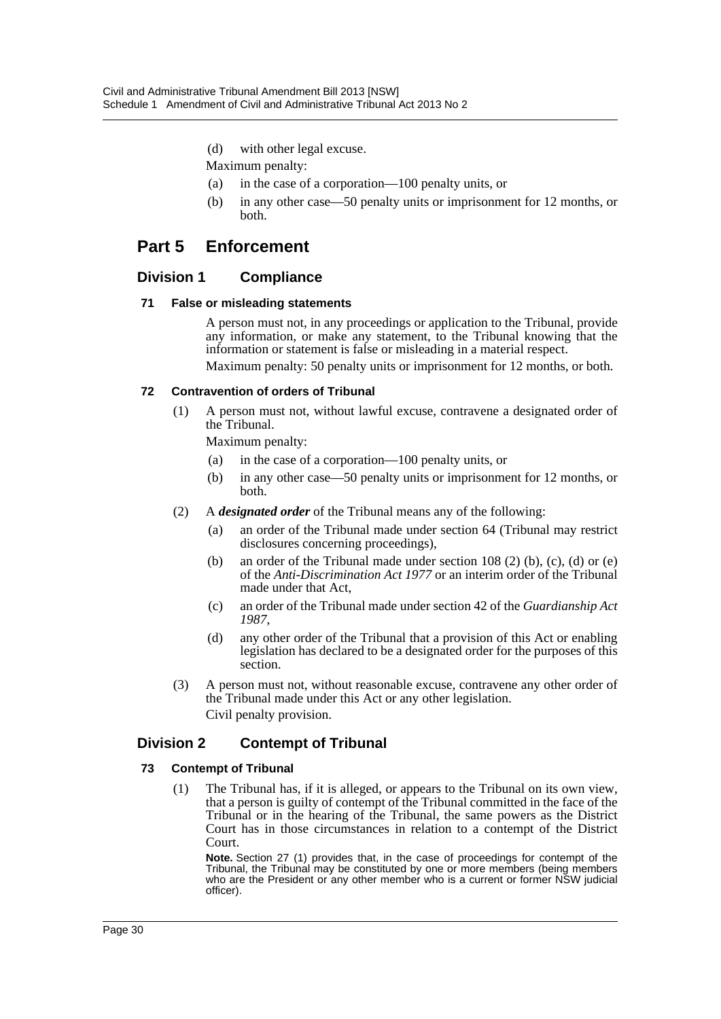- (d) with other legal excuse.
- Maximum penalty:
- (a) in the case of a corporation—100 penalty units, or
- (b) in any other case—50 penalty units or imprisonment for 12 months, or both.

# **Part 5 Enforcement**

# **Division 1 Compliance**

#### **71 False or misleading statements**

A person must not, in any proceedings or application to the Tribunal, provide any information, or make any statement, to the Tribunal knowing that the information or statement is false or misleading in a material respect.

Maximum penalty: 50 penalty units or imprisonment for 12 months, or both.

#### **72 Contravention of orders of Tribunal**

(1) A person must not, without lawful excuse, contravene a designated order of the Tribunal.

Maximum penalty:

- (a) in the case of a corporation—100 penalty units, or
- (b) in any other case—50 penalty units or imprisonment for 12 months, or both.
- (2) A *designated order* of the Tribunal means any of the following:
	- (a) an order of the Tribunal made under section 64 (Tribunal may restrict disclosures concerning proceedings),
	- (b) an order of the Tribunal made under section 108 (2) (b), (c), (d) or (e) of the *Anti-Discrimination Act 1977* or an interim order of the Tribunal made under that Act,
	- (c) an order of the Tribunal made under section 42 of the *Guardianship Act 1987*,
	- (d) any other order of the Tribunal that a provision of this Act or enabling legislation has declared to be a designated order for the purposes of this section.
- (3) A person must not, without reasonable excuse, contravene any other order of the Tribunal made under this Act or any other legislation. Civil penalty provision.

# **Division 2 Contempt of Tribunal**

#### **73 Contempt of Tribunal**

(1) The Tribunal has, if it is alleged, or appears to the Tribunal on its own view, that a person is guilty of contempt of the Tribunal committed in the face of the Tribunal or in the hearing of the Tribunal, the same powers as the District Court has in those circumstances in relation to a contempt of the District Court.

**Note.** Section 27 (1) provides that, in the case of proceedings for contempt of the Tribunal, the Tribunal may be constituted by one or more members (being members who are the President or any other member who is a current or former NSW judicial officer).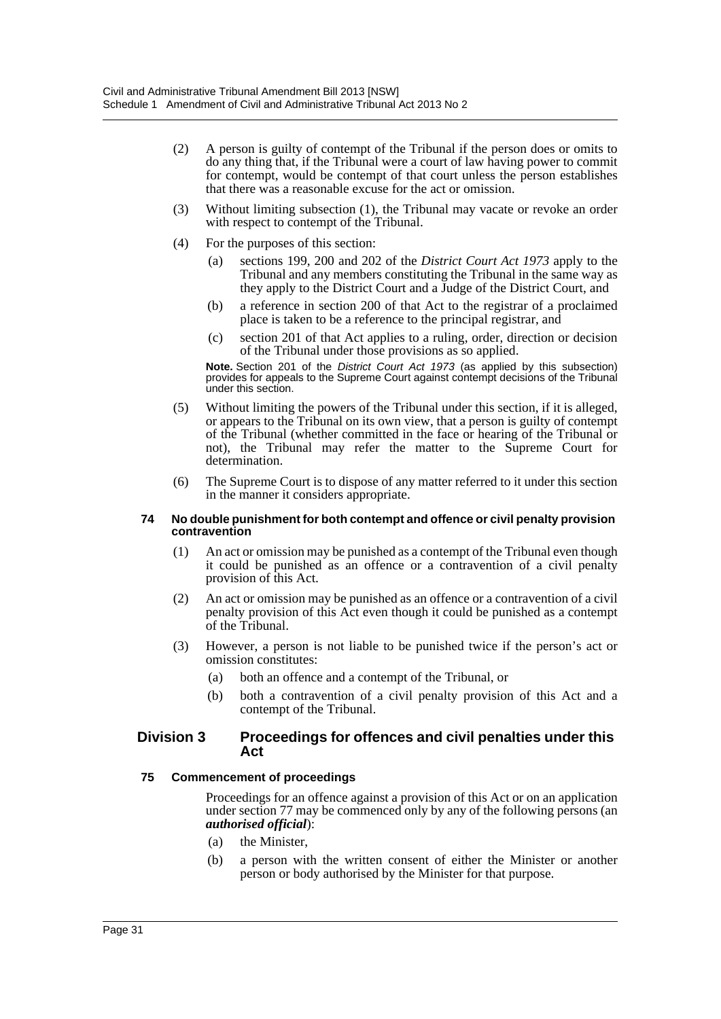- (2) A person is guilty of contempt of the Tribunal if the person does or omits to do any thing that, if the Tribunal were a court of law having power to commit for contempt, would be contempt of that court unless the person establishes that there was a reasonable excuse for the act or omission.
- (3) Without limiting subsection (1), the Tribunal may vacate or revoke an order with respect to contempt of the Tribunal.
- (4) For the purposes of this section:
	- (a) sections 199, 200 and 202 of the *District Court Act 1973* apply to the Tribunal and any members constituting the Tribunal in the same way as they apply to the District Court and a Judge of the District Court, and
	- (b) a reference in section 200 of that Act to the registrar of a proclaimed place is taken to be a reference to the principal registrar, and
	- (c) section 201 of that Act applies to a ruling, order, direction or decision of the Tribunal under those provisions as so applied.

**Note.** Section 201 of the *District Court Act 1973* (as applied by this subsection) provides for appeals to the Supreme Court against contempt decisions of the Tribunal under this section.

- (5) Without limiting the powers of the Tribunal under this section, if it is alleged, or appears to the Tribunal on its own view, that a person is guilty of contempt of the Tribunal (whether committed in the face or hearing of the Tribunal or not), the Tribunal may refer the matter to the Supreme Court for determination.
- (6) The Supreme Court is to dispose of any matter referred to it under this section in the manner it considers appropriate.

#### **74 No double punishment for both contempt and offence or civil penalty provision contravention**

- (1) An act or omission may be punished as a contempt of the Tribunal even though it could be punished as an offence or a contravention of a civil penalty provision of this Act.
- (2) An act or omission may be punished as an offence or a contravention of a civil penalty provision of this Act even though it could be punished as a contempt of the Tribunal.
- (3) However, a person is not liable to be punished twice if the person's act or omission constitutes:
	- (a) both an offence and a contempt of the Tribunal, or
	- (b) both a contravention of a civil penalty provision of this Act and a contempt of the Tribunal.

#### **Division 3 Proceedings for offences and civil penalties under this Act**

#### **75 Commencement of proceedings**

Proceedings for an offence against a provision of this Act or on an application under section 77 may be commenced only by any of the following persons (an *authorised official*):

- (a) the Minister,
- (b) a person with the written consent of either the Minister or another person or body authorised by the Minister for that purpose.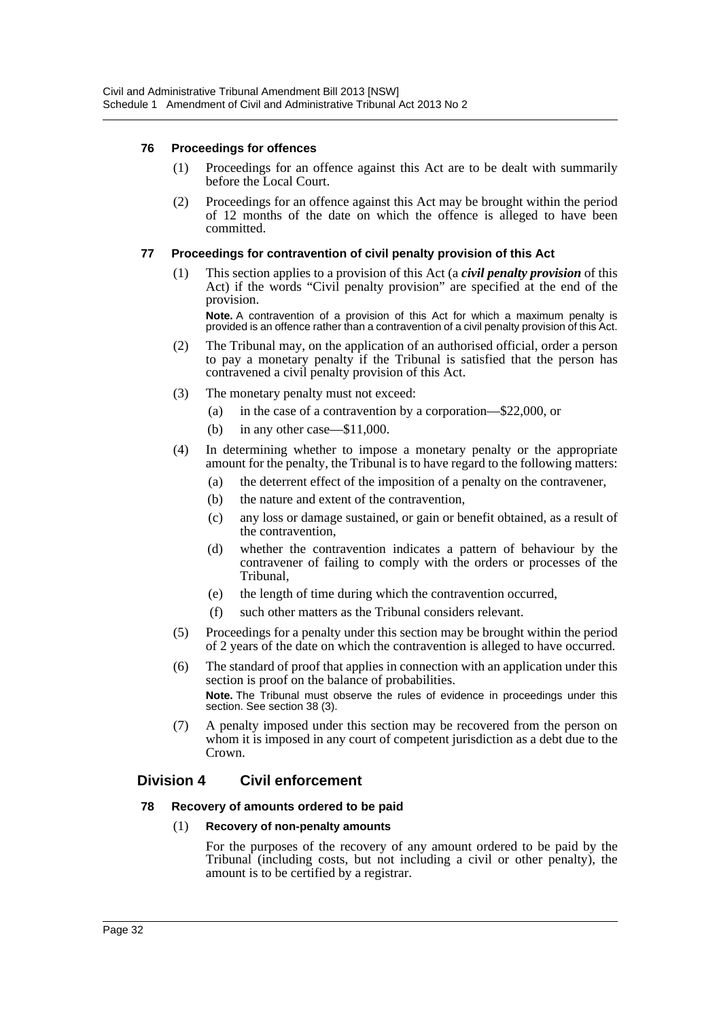#### **76 Proceedings for offences**

- (1) Proceedings for an offence against this Act are to be dealt with summarily before the Local Court.
- (2) Proceedings for an offence against this Act may be brought within the period of 12 months of the date on which the offence is alleged to have been committed.

#### **77 Proceedings for contravention of civil penalty provision of this Act**

(1) This section applies to a provision of this Act (a *civil penalty provision* of this Act) if the words "Civil penalty provision" are specified at the end of the provision. **Note.** A contravention of a provision of this Act for which a maximum penalty is

provided is an offence rather than a contravention of a civil penalty provision of this Act.

- (2) The Tribunal may, on the application of an authorised official, order a person to pay a monetary penalty if the Tribunal is satisfied that the person has contravened a civil penalty provision of this Act.
- (3) The monetary penalty must not exceed:
	- (a) in the case of a contravention by a corporation—\$22,000, or
	- (b) in any other case—\$11,000.
- (4) In determining whether to impose a monetary penalty or the appropriate amount for the penalty, the Tribunal is to have regard to the following matters:
	- (a) the deterrent effect of the imposition of a penalty on the contravener,
	- (b) the nature and extent of the contravention,
	- (c) any loss or damage sustained, or gain or benefit obtained, as a result of the contravention,
	- (d) whether the contravention indicates a pattern of behaviour by the contravener of failing to comply with the orders or processes of the Tribunal,
	- (e) the length of time during which the contravention occurred,
	- (f) such other matters as the Tribunal considers relevant.
- (5) Proceedings for a penalty under this section may be brought within the period of 2 years of the date on which the contravention is alleged to have occurred.
- (6) The standard of proof that applies in connection with an application under this section is proof on the balance of probabilities. **Note.** The Tribunal must observe the rules of evidence in proceedings under this section. See section 38 (3).
- (7) A penalty imposed under this section may be recovered from the person on whom it is imposed in any court of competent jurisdiction as a debt due to the Crown.

# **Division 4 Civil enforcement**

#### **78 Recovery of amounts ordered to be paid**

#### (1) **Recovery of non-penalty amounts**

For the purposes of the recovery of any amount ordered to be paid by the Tribunal (including costs, but not including a civil or other penalty), the amount is to be certified by a registrar.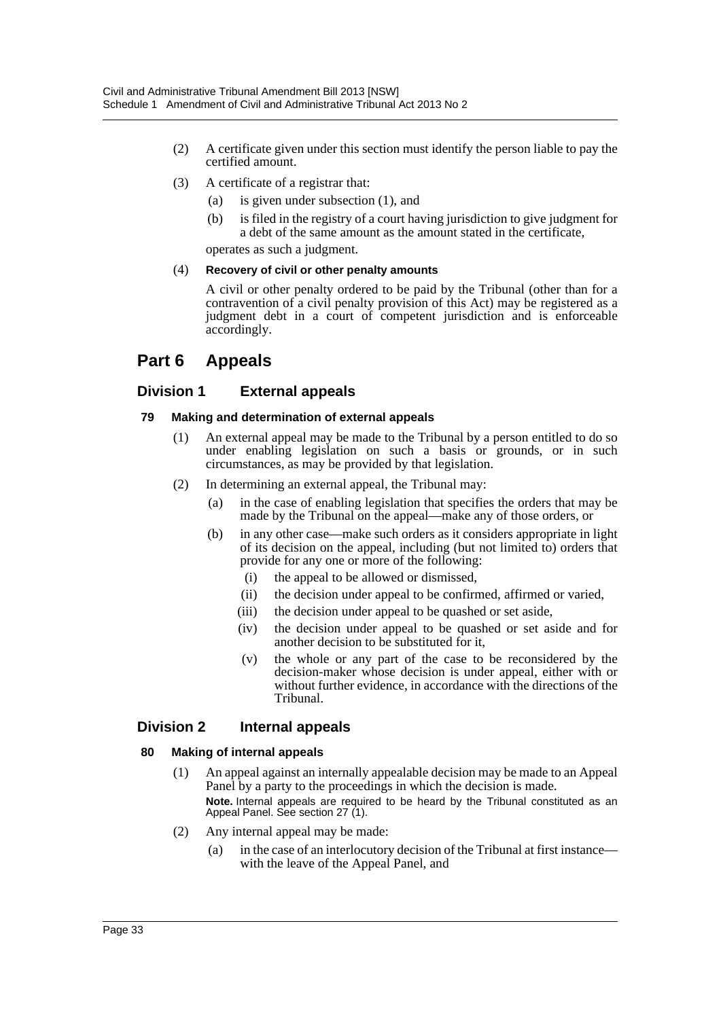- (2) A certificate given under this section must identify the person liable to pay the certified amount.
- (3) A certificate of a registrar that:
	- (a) is given under subsection (1), and
	- (b) is filed in the registry of a court having jurisdiction to give judgment for a debt of the same amount as the amount stated in the certificate,

operates as such a judgment.

#### (4) **Recovery of civil or other penalty amounts**

A civil or other penalty ordered to be paid by the Tribunal (other than for a contravention of a civil penalty provision of this Act) may be registered as a judgment debt in a court of competent jurisdiction and is enforceable accordingly.

# **Part 6 Appeals**

# **Division 1 External appeals**

#### **79 Making and determination of external appeals**

- (1) An external appeal may be made to the Tribunal by a person entitled to do so under enabling legislation on such a basis or grounds, or in such circumstances, as may be provided by that legislation.
- (2) In determining an external appeal, the Tribunal may:
	- (a) in the case of enabling legislation that specifies the orders that may be made by the Tribunal on the appeal—make any of those orders, or
	- (b) in any other case—make such orders as it considers appropriate in light of its decision on the appeal, including (but not limited to) orders that provide for any one or more of the following:
		- (i) the appeal to be allowed or dismissed,
		- (ii) the decision under appeal to be confirmed, affirmed or varied,
		- (iii) the decision under appeal to be quashed or set aside,
		- (iv) the decision under appeal to be quashed or set aside and for another decision to be substituted for it,
		- (v) the whole or any part of the case to be reconsidered by the decision-maker whose decision is under appeal, either with or without further evidence, in accordance with the directions of the Tribunal.

# **Division 2 Internal appeals**

# **80 Making of internal appeals**

- (1) An appeal against an internally appealable decision may be made to an Appeal Panel by a party to the proceedings in which the decision is made. **Note.** Internal appeals are required to be heard by the Tribunal constituted as an Appeal Panel. See section 27 (1).
- (2) Any internal appeal may be made:
	- (a) in the case of an interlocutory decision of the Tribunal at first instance with the leave of the Appeal Panel, and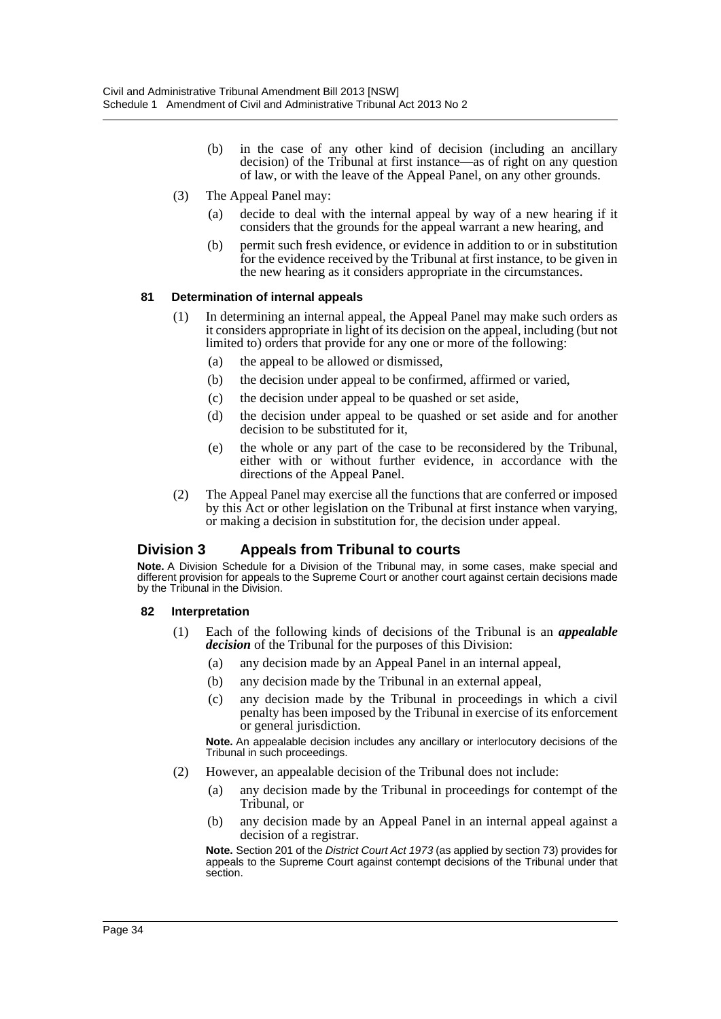- (b) in the case of any other kind of decision (including an ancillary decision) of the Tribunal at first instance—as of right on any question of law, or with the leave of the Appeal Panel, on any other grounds.
- (3) The Appeal Panel may:
	- (a) decide to deal with the internal appeal by way of a new hearing if it considers that the grounds for the appeal warrant a new hearing, and
	- (b) permit such fresh evidence, or evidence in addition to or in substitution for the evidence received by the Tribunal at first instance, to be given in the new hearing as it considers appropriate in the circumstances.

#### **81 Determination of internal appeals**

- (1) In determining an internal appeal, the Appeal Panel may make such orders as it considers appropriate in light of its decision on the appeal, including (but not limited to) orders that provide for any one or more of the following:
	- (a) the appeal to be allowed or dismissed,
	- (b) the decision under appeal to be confirmed, affirmed or varied,
	- (c) the decision under appeal to be quashed or set aside,
	- (d) the decision under appeal to be quashed or set aside and for another decision to be substituted for it,
	- (e) the whole or any part of the case to be reconsidered by the Tribunal, either with or without further evidence, in accordance with the directions of the Appeal Panel.
- (2) The Appeal Panel may exercise all the functions that are conferred or imposed by this Act or other legislation on the Tribunal at first instance when varying, or making a decision in substitution for, the decision under appeal.

# **Division 3 Appeals from Tribunal to courts**

**Note.** A Division Schedule for a Division of the Tribunal may, in some cases, make special and different provision for appeals to the Supreme Court or another court against certain decisions made by the Tribunal in the Division.

#### **82 Interpretation**

- (1) Each of the following kinds of decisions of the Tribunal is an *appealable decision* of the Tribunal for the purposes of this Division:
	- (a) any decision made by an Appeal Panel in an internal appeal,
	- (b) any decision made by the Tribunal in an external appeal,
	- (c) any decision made by the Tribunal in proceedings in which a civil penalty has been imposed by the Tribunal in exercise of its enforcement or general jurisdiction.

**Note.** An appealable decision includes any ancillary or interlocutory decisions of the Tribunal in such proceedings.

- (2) However, an appealable decision of the Tribunal does not include:
	- (a) any decision made by the Tribunal in proceedings for contempt of the Tribunal, or
	- (b) any decision made by an Appeal Panel in an internal appeal against a decision of a registrar.

**Note.** Section 201 of the *District Court Act 1973* (as applied by section 73) provides for appeals to the Supreme Court against contempt decisions of the Tribunal under that section.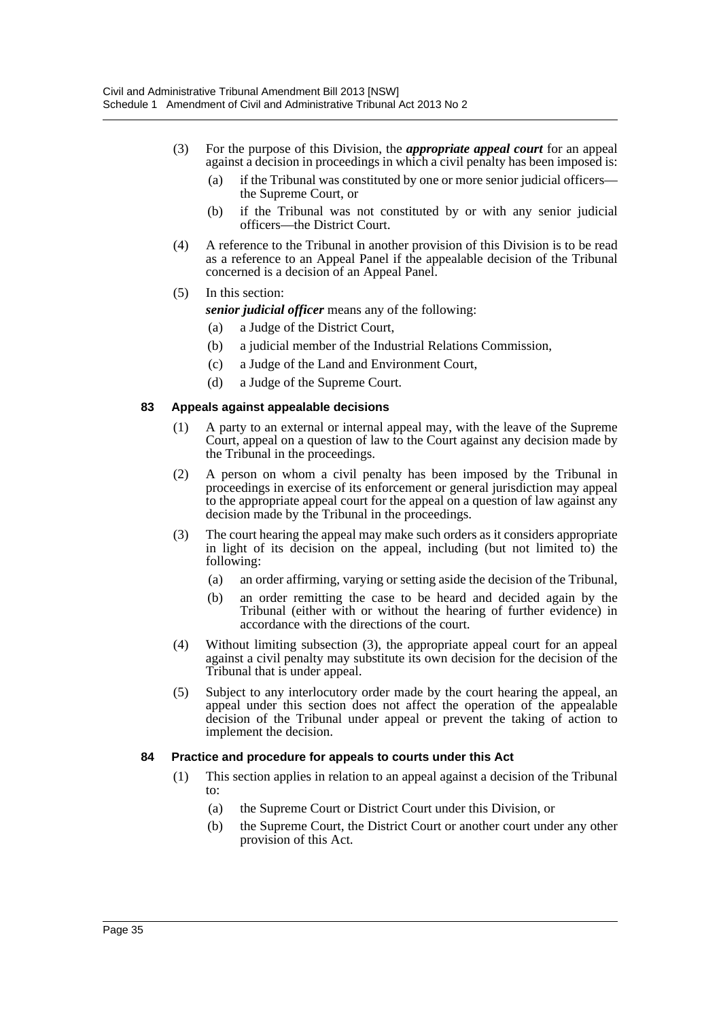- (3) For the purpose of this Division, the *appropriate appeal court* for an appeal against a decision in proceedings in which a civil penalty has been imposed is:
	- (a) if the Tribunal was constituted by one or more senior judicial officers the Supreme Court, or
	- (b) if the Tribunal was not constituted by or with any senior judicial officers—the District Court.
- (4) A reference to the Tribunal in another provision of this Division is to be read as a reference to an Appeal Panel if the appealable decision of the Tribunal concerned is a decision of an Appeal Panel.
- (5) In this section:

*senior judicial officer* means any of the following:

- (a) a Judge of the District Court,
- (b) a judicial member of the Industrial Relations Commission,
- (c) a Judge of the Land and Environment Court,
- (d) a Judge of the Supreme Court.

#### **83 Appeals against appealable decisions**

- (1) A party to an external or internal appeal may, with the leave of the Supreme Court, appeal on a question of law to the Court against any decision made by the Tribunal in the proceedings.
- (2) A person on whom a civil penalty has been imposed by the Tribunal in proceedings in exercise of its enforcement or general jurisdiction may appeal to the appropriate appeal court for the appeal on a question of law against any decision made by the Tribunal in the proceedings.
- (3) The court hearing the appeal may make such orders as it considers appropriate in light of its decision on the appeal, including (but not limited to) the following:
	- (a) an order affirming, varying or setting aside the decision of the Tribunal,
	- (b) an order remitting the case to be heard and decided again by the Tribunal (either with or without the hearing of further evidence) in accordance with the directions of the court.
- (4) Without limiting subsection (3), the appropriate appeal court for an appeal against a civil penalty may substitute its own decision for the decision of the Tribunal that is under appeal.
- (5) Subject to any interlocutory order made by the court hearing the appeal, an appeal under this section does not affect the operation of the appealable decision of the Tribunal under appeal or prevent the taking of action to implement the decision.

#### **84 Practice and procedure for appeals to courts under this Act**

- (1) This section applies in relation to an appeal against a decision of the Tribunal to:
	- (a) the Supreme Court or District Court under this Division, or
	- (b) the Supreme Court, the District Court or another court under any other provision of this Act.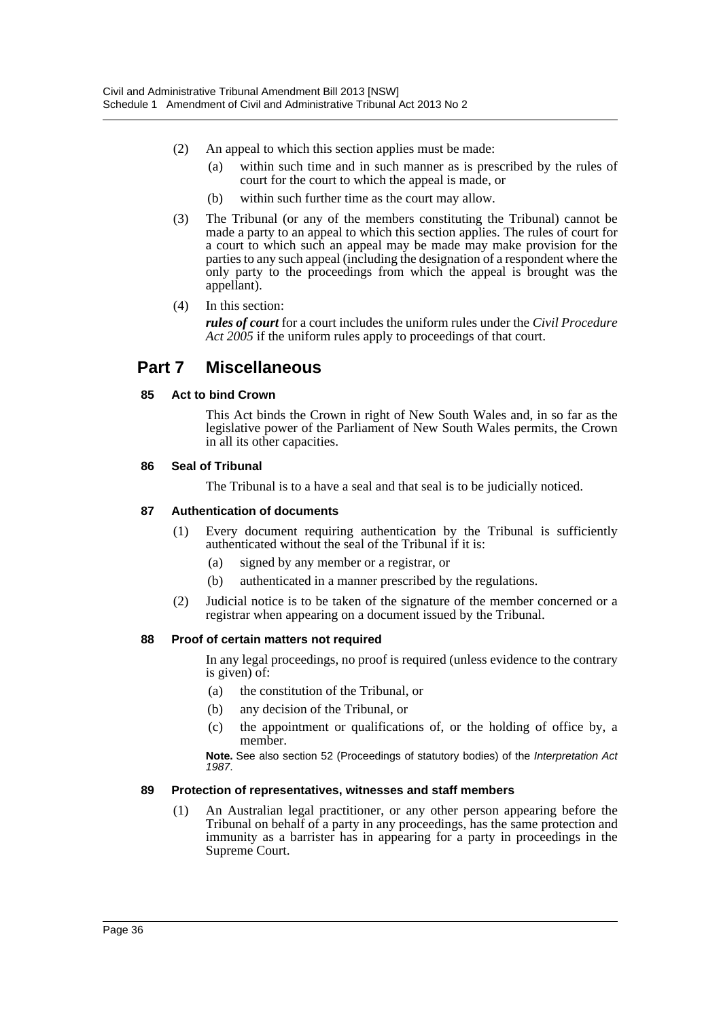- (2) An appeal to which this section applies must be made:
	- (a) within such time and in such manner as is prescribed by the rules of court for the court to which the appeal is made, or
	- (b) within such further time as the court may allow.
- (3) The Tribunal (or any of the members constituting the Tribunal) cannot be made a party to an appeal to which this section applies. The rules of court for a court to which such an appeal may be made may make provision for the parties to any such appeal (including the designation of a respondent where the only party to the proceedings from which the appeal is brought was the appellant).
- (4) In this section:

*rules of court* for a court includes the uniform rules under the *Civil Procedure Act 2005* if the uniform rules apply to proceedings of that court.

# **Part 7 Miscellaneous**

## **85 Act to bind Crown**

This Act binds the Crown in right of New South Wales and, in so far as the legislative power of the Parliament of New South Wales permits, the Crown in all its other capacities.

## **86 Seal of Tribunal**

The Tribunal is to a have a seal and that seal is to be judicially noticed.

## **87 Authentication of documents**

- (1) Every document requiring authentication by the Tribunal is sufficiently authenticated without the seal of the Tribunal if it is:
	- (a) signed by any member or a registrar, or
	- (b) authenticated in a manner prescribed by the regulations.
- (2) Judicial notice is to be taken of the signature of the member concerned or a registrar when appearing on a document issued by the Tribunal.

## **88 Proof of certain matters not required**

In any legal proceedings, no proof is required (unless evidence to the contrary is given) of:

- (a) the constitution of the Tribunal, or
- (b) any decision of the Tribunal, or
- (c) the appointment or qualifications of, or the holding of office by, a member.

**Note.** See also section 52 (Proceedings of statutory bodies) of the *Interpretation Act 1987*.

## **89 Protection of representatives, witnesses and staff members**

(1) An Australian legal practitioner, or any other person appearing before the Tribunal on behalf of a party in any proceedings, has the same protection and immunity as a barrister has in appearing for a party in proceedings in the Supreme Court.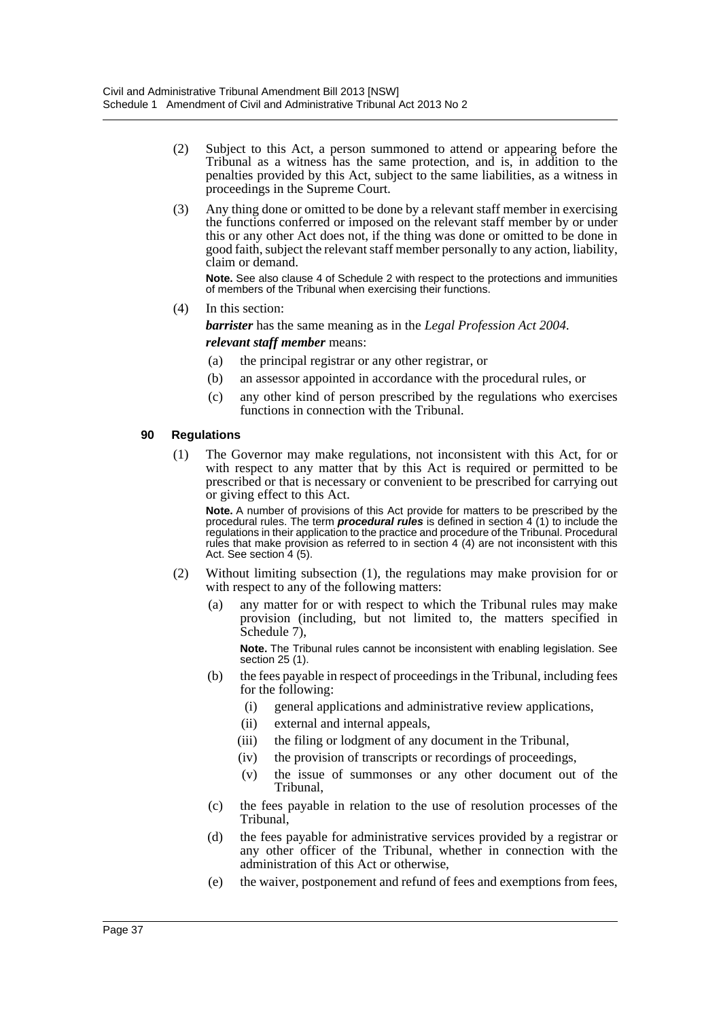- (2) Subject to this Act, a person summoned to attend or appearing before the Tribunal as a witness has the same protection, and is, in addition to the penalties provided by this Act, subject to the same liabilities, as a witness in proceedings in the Supreme Court.
- (3) Any thing done or omitted to be done by a relevant staff member in exercising the functions conferred or imposed on the relevant staff member by or under this or any other Act does not, if the thing was done or omitted to be done in good faith, subject the relevant staff member personally to any action, liability, claim or demand.

**Note.** See also clause 4 of Schedule 2 with respect to the protections and immunities of members of the Tribunal when exercising their functions.

(4) In this section:

*barrister* has the same meaning as in the *Legal Profession Act 2004*.

*relevant staff member* means:

- (a) the principal registrar or any other registrar, or
- (b) an assessor appointed in accordance with the procedural rules, or
- (c) any other kind of person prescribed by the regulations who exercises functions in connection with the Tribunal.

#### **90 Regulations**

(1) The Governor may make regulations, not inconsistent with this Act, for or with respect to any matter that by this Act is required or permitted to be prescribed or that is necessary or convenient to be prescribed for carrying out or giving effect to this Act.

**Note.** A number of provisions of this Act provide for matters to be prescribed by the procedural rules. The term *procedural rules* is defined in section 4 (1) to include the regulations in their application to the practice and procedure of the Tribunal. Procedural rules that make provision as referred to in section 4 (4) are not inconsistent with this Act. See section 4 (5).

- (2) Without limiting subsection (1), the regulations may make provision for or with respect to any of the following matters:
	- (a) any matter for or with respect to which the Tribunal rules may make provision (including, but not limited to, the matters specified in Schedule 7).

**Note.** The Tribunal rules cannot be inconsistent with enabling legislation. See section 25 (1).

- (b) the fees payable in respect of proceedings in the Tribunal, including fees for the following:
	- (i) general applications and administrative review applications,
	- (ii) external and internal appeals,
	- (iii) the filing or lodgment of any document in the Tribunal,
	- (iv) the provision of transcripts or recordings of proceedings,
	- (v) the issue of summonses or any other document out of the Tribunal,
- (c) the fees payable in relation to the use of resolution processes of the Tribunal,
- (d) the fees payable for administrative services provided by a registrar or any other officer of the Tribunal, whether in connection with the administration of this Act or otherwise,
- (e) the waiver, postponement and refund of fees and exemptions from fees,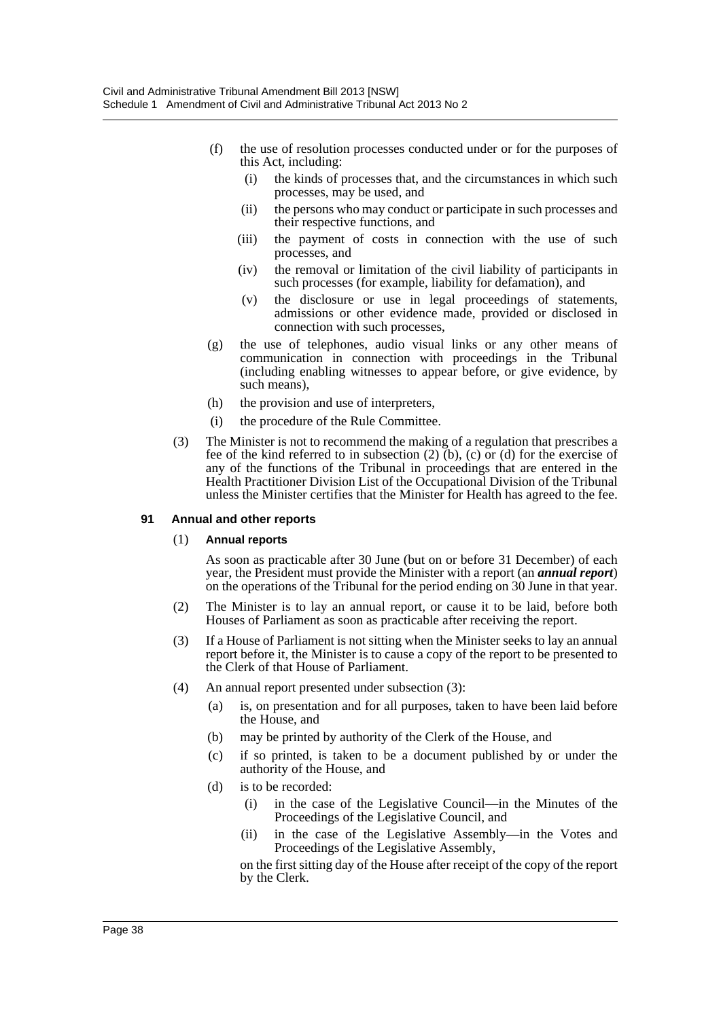- (f) the use of resolution processes conducted under or for the purposes of this Act, including:
	- (i) the kinds of processes that, and the circumstances in which such processes, may be used, and
	- (ii) the persons who may conduct or participate in such processes and their respective functions, and
	- (iii) the payment of costs in connection with the use of such processes, and
	- (iv) the removal or limitation of the civil liability of participants in such processes (for example, liability for defamation), and
	- (v) the disclosure or use in legal proceedings of statements, admissions or other evidence made, provided or disclosed in connection with such processes,
- (g) the use of telephones, audio visual links or any other means of communication in connection with proceedings in the Tribunal (including enabling witnesses to appear before, or give evidence, by such means),
- (h) the provision and use of interpreters,
- (i) the procedure of the Rule Committee.
- (3) The Minister is not to recommend the making of a regulation that prescribes a fee of the kind referred to in subsection  $(2)$  (b), (c) or (d) for the exercise of any of the functions of the Tribunal in proceedings that are entered in the Health Practitioner Division List of the Occupational Division of the Tribunal unless the Minister certifies that the Minister for Health has agreed to the fee.

#### **91 Annual and other reports**

#### (1) **Annual reports**

As soon as practicable after 30 June (but on or before 31 December) of each year, the President must provide the Minister with a report (an *annual report*) on the operations of the Tribunal for the period ending on 30 June in that year.

- (2) The Minister is to lay an annual report, or cause it to be laid, before both Houses of Parliament as soon as practicable after receiving the report.
- (3) If a House of Parliament is not sitting when the Minister seeks to lay an annual report before it, the Minister is to cause a copy of the report to be presented to the Clerk of that House of Parliament.
- (4) An annual report presented under subsection (3):
	- (a) is, on presentation and for all purposes, taken to have been laid before the House, and
	- (b) may be printed by authority of the Clerk of the House, and
	- (c) if so printed, is taken to be a document published by or under the authority of the House, and
	- (d) is to be recorded:
		- (i) in the case of the Legislative Council—in the Minutes of the Proceedings of the Legislative Council, and
		- (ii) in the case of the Legislative Assembly—in the Votes and Proceedings of the Legislative Assembly,

on the first sitting day of the House after receipt of the copy of the report by the Clerk.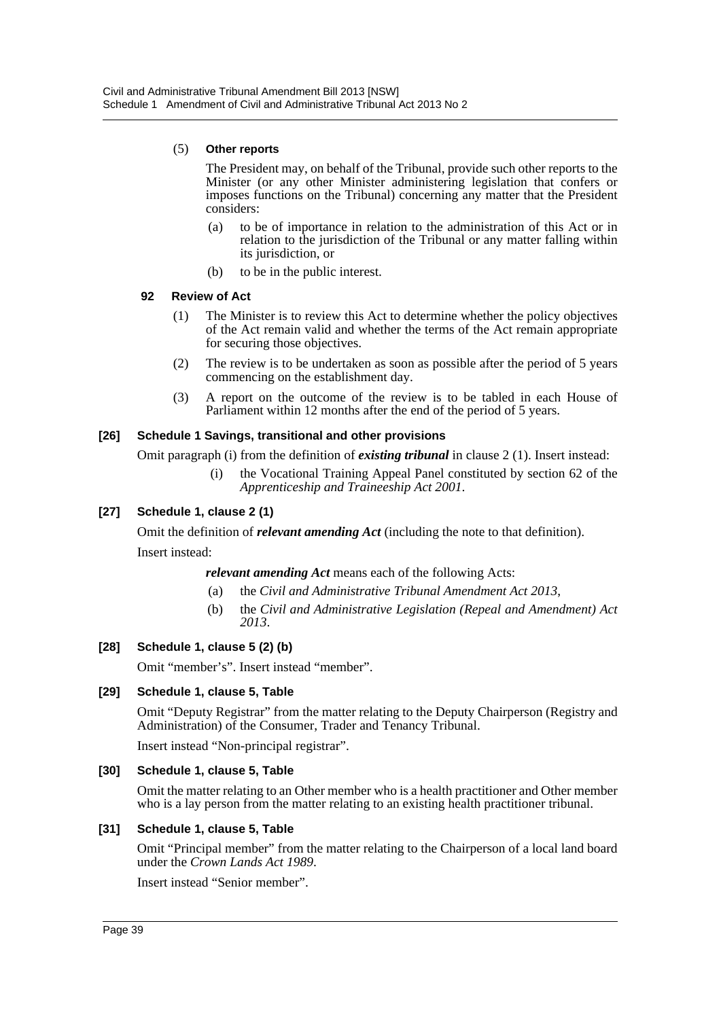### (5) **Other reports**

The President may, on behalf of the Tribunal, provide such other reports to the Minister (or any other Minister administering legislation that confers or imposes functions on the Tribunal) concerning any matter that the President considers:

- (a) to be of importance in relation to the administration of this Act or in relation to the jurisdiction of the Tribunal or any matter falling within its jurisdiction, or
- (b) to be in the public interest.

## **92 Review of Act**

- (1) The Minister is to review this Act to determine whether the policy objectives of the Act remain valid and whether the terms of the Act remain appropriate for securing those objectives.
- (2) The review is to be undertaken as soon as possible after the period of 5 years commencing on the establishment day.
- (3) A report on the outcome of the review is to be tabled in each House of Parliament within 12 months after the end of the period of 5 years.

## **[26] Schedule 1 Savings, transitional and other provisions**

Omit paragraph (i) from the definition of *existing tribunal* in clause 2 (1). Insert instead:

(i) the Vocational Training Appeal Panel constituted by section 62 of the *Apprenticeship and Traineeship Act 2001*.

## **[27] Schedule 1, clause 2 (1)**

Omit the definition of *relevant amending Act* (including the note to that definition). Insert instead:

*relevant amending Act* means each of the following Acts:

- (a) the *Civil and Administrative Tribunal Amendment Act 2013*,
- (b) the *Civil and Administrative Legislation (Repeal and Amendment) Act 2013*.

## **[28] Schedule 1, clause 5 (2) (b)**

Omit "member's". Insert instead "member".

## **[29] Schedule 1, clause 5, Table**

Omit "Deputy Registrar" from the matter relating to the Deputy Chairperson (Registry and Administration) of the Consumer, Trader and Tenancy Tribunal.

Insert instead "Non-principal registrar".

## **[30] Schedule 1, clause 5, Table**

Omit the matter relating to an Other member who is a health practitioner and Other member who is a lay person from the matter relating to an existing health practitioner tribunal.

## **[31] Schedule 1, clause 5, Table**

Omit "Principal member" from the matter relating to the Chairperson of a local land board under the *Crown Lands Act 1989*.

Insert instead "Senior member".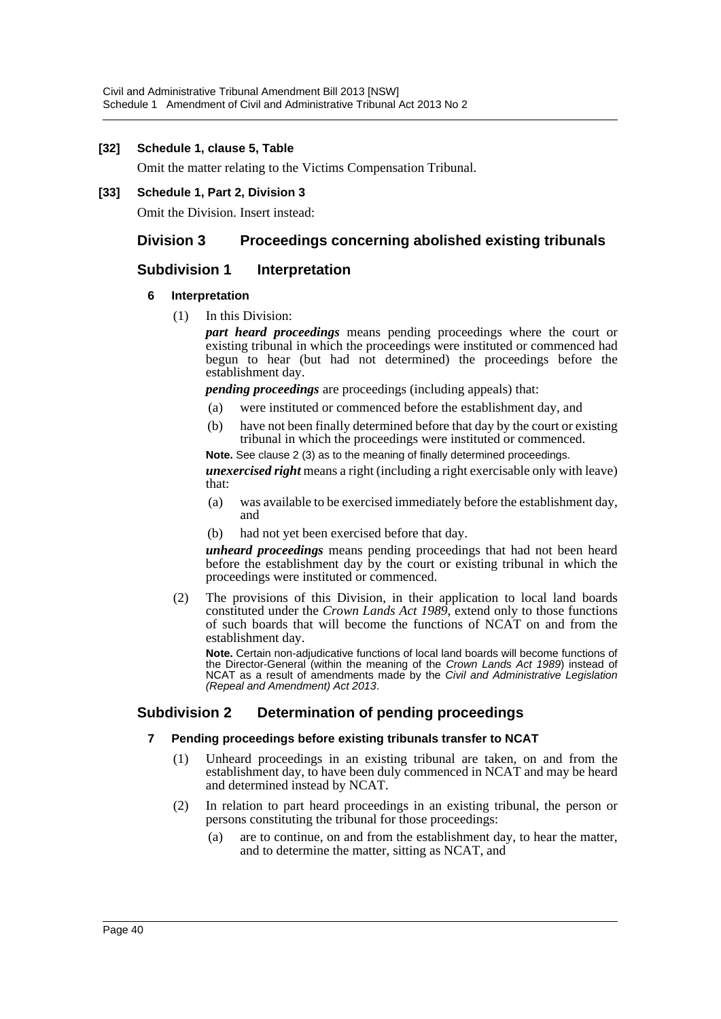## **[32] Schedule 1, clause 5, Table**

Omit the matter relating to the Victims Compensation Tribunal.

**[33] Schedule 1, Part 2, Division 3**

Omit the Division. Insert instead:

# **Division 3 Proceedings concerning abolished existing tribunals**

# **Subdivision 1 Interpretation**

## **6 Interpretation**

(1) In this Division:

*part heard proceedings* means pending proceedings where the court or existing tribunal in which the proceedings were instituted or commenced had begun to hear (but had not determined) the proceedings before the establishment day.

*pending proceedings* are proceedings (including appeals) that:

- (a) were instituted or commenced before the establishment day, and
- (b) have not been finally determined before that day by the court or existing tribunal in which the proceedings were instituted or commenced.

**Note.** See clause 2 (3) as to the meaning of finally determined proceedings. *unexercised right* means a right (including a right exercisable only with leave) that:

- (a) was available to be exercised immediately before the establishment day, and
- (b) had not yet been exercised before that day.

*unheard proceedings* means pending proceedings that had not been heard before the establishment day by the court or existing tribunal in which the proceedings were instituted or commenced.

(2) The provisions of this Division, in their application to local land boards constituted under the *Crown Lands Act 1989*, extend only to those functions of such boards that will become the functions of NCAT on and from the establishment day.

**Note.** Certain non-adjudicative functions of local land boards will become functions of the Director-General (within the meaning of the *Crown Lands Act 1989*) instead of NCAT as a result of amendments made by the *Civil and Administrative Legislation (Repeal and Amendment) Act 2013*.

## **Subdivision 2 Determination of pending proceedings**

## **7 Pending proceedings before existing tribunals transfer to NCAT**

- (1) Unheard proceedings in an existing tribunal are taken, on and from the establishment day, to have been duly commenced in NCAT and may be heard and determined instead by NCAT.
- (2) In relation to part heard proceedings in an existing tribunal, the person or persons constituting the tribunal for those proceedings:
	- (a) are to continue, on and from the establishment day, to hear the matter, and to determine the matter, sitting as NCAT, and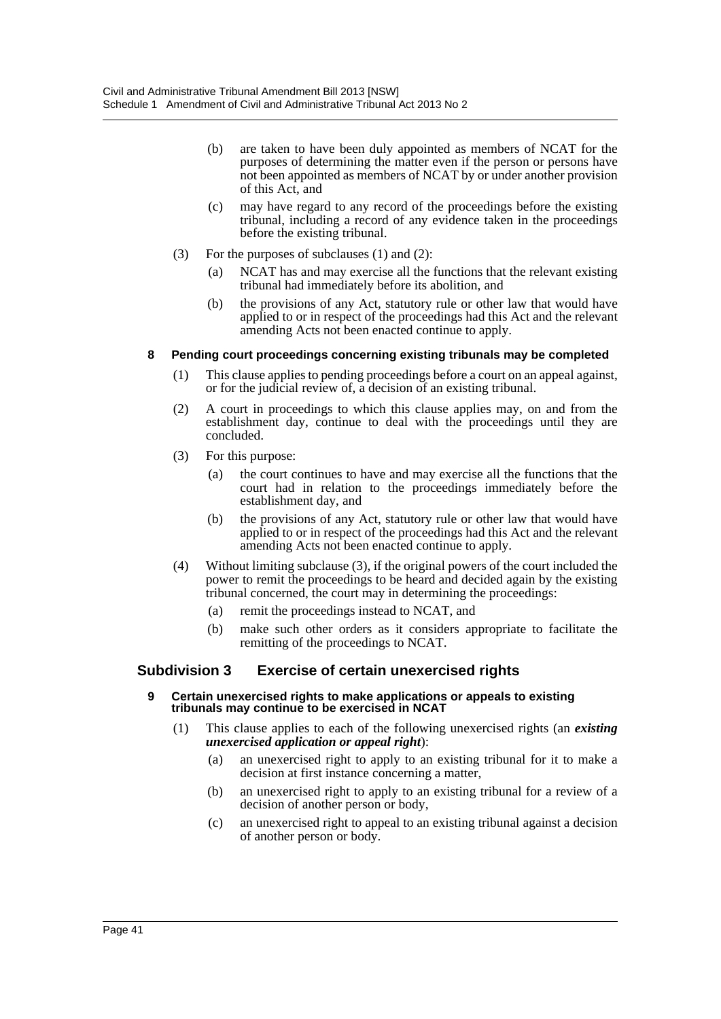- (b) are taken to have been duly appointed as members of NCAT for the purposes of determining the matter even if the person or persons have not been appointed as members of NCAT by or under another provision of this Act, and
- (c) may have regard to any record of the proceedings before the existing tribunal, including a record of any evidence taken in the proceedings before the existing tribunal.
- (3) For the purposes of subclauses (1) and (2):
	- (a) NCAT has and may exercise all the functions that the relevant existing tribunal had immediately before its abolition, and
	- (b) the provisions of any Act, statutory rule or other law that would have applied to or in respect of the proceedings had this Act and the relevant amending Acts not been enacted continue to apply.

## **8 Pending court proceedings concerning existing tribunals may be completed**

- (1) This clause applies to pending proceedings before a court on an appeal against, or for the judicial review of, a decision of an existing tribunal.
- (2) A court in proceedings to which this clause applies may, on and from the establishment day, continue to deal with the proceedings until they are concluded.
- (3) For this purpose:
	- (a) the court continues to have and may exercise all the functions that the court had in relation to the proceedings immediately before the establishment day, and
	- (b) the provisions of any Act, statutory rule or other law that would have applied to or in respect of the proceedings had this Act and the relevant amending Acts not been enacted continue to apply.
- (4) Without limiting subclause (3), if the original powers of the court included the power to remit the proceedings to be heard and decided again by the existing tribunal concerned, the court may in determining the proceedings:
	- (a) remit the proceedings instead to NCAT, and
	- (b) make such other orders as it considers appropriate to facilitate the remitting of the proceedings to NCAT.

## **Subdivision 3 Exercise of certain unexercised rights**

- **9 Certain unexercised rights to make applications or appeals to existing tribunals may continue to be exercised in NCAT**
	- (1) This clause applies to each of the following unexercised rights (an *existing unexercised application or appeal right*):
		- (a) an unexercised right to apply to an existing tribunal for it to make a decision at first instance concerning a matter,
		- (b) an unexercised right to apply to an existing tribunal for a review of a decision of another person or body,
		- (c) an unexercised right to appeal to an existing tribunal against a decision of another person or body.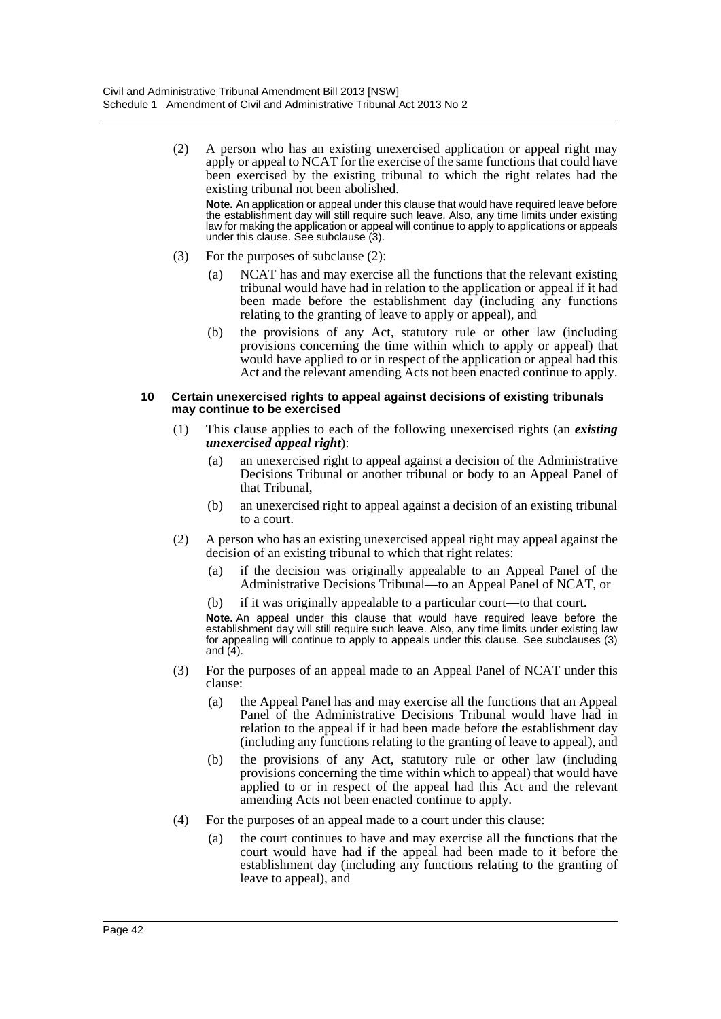(2) A person who has an existing unexercised application or appeal right may apply or appeal to NCAT for the exercise of the same functions that could have been exercised by the existing tribunal to which the right relates had the existing tribunal not been abolished.

**Note.** An application or appeal under this clause that would have required leave before the establishment day will still require such leave. Also, any time limits under existing law for making the application or appeal will continue to apply to applications or appeals under this clause. See subclause (3).

- (3) For the purposes of subclause (2):
	- (a) NCAT has and may exercise all the functions that the relevant existing tribunal would have had in relation to the application or appeal if it had been made before the establishment day (including any functions relating to the granting of leave to apply or appeal), and
	- (b) the provisions of any Act, statutory rule or other law (including provisions concerning the time within which to apply or appeal) that would have applied to or in respect of the application or appeal had this Act and the relevant amending Acts not been enacted continue to apply.

#### **10 Certain unexercised rights to appeal against decisions of existing tribunals may continue to be exercised**

- (1) This clause applies to each of the following unexercised rights (an *existing unexercised appeal right*):
	- (a) an unexercised right to appeal against a decision of the Administrative Decisions Tribunal or another tribunal or body to an Appeal Panel of that Tribunal,
	- (b) an unexercised right to appeal against a decision of an existing tribunal to a court.
- (2) A person who has an existing unexercised appeal right may appeal against the decision of an existing tribunal to which that right relates:
	- (a) if the decision was originally appealable to an Appeal Panel of the Administrative Decisions Tribunal—to an Appeal Panel of NCAT, or
	- (b) if it was originally appealable to a particular court—to that court.

**Note.** An appeal under this clause that would have required leave before the establishment day will still require such leave. Also, any time limits under existing law for appealing will continue to apply to appeals under this clause. See subclauses (3) and  $(4)$ .

- (3) For the purposes of an appeal made to an Appeal Panel of NCAT under this clause:
	- (a) the Appeal Panel has and may exercise all the functions that an Appeal Panel of the Administrative Decisions Tribunal would have had in relation to the appeal if it had been made before the establishment day (including any functions relating to the granting of leave to appeal), and
	- (b) the provisions of any Act, statutory rule or other law (including provisions concerning the time within which to appeal) that would have applied to or in respect of the appeal had this Act and the relevant amending Acts not been enacted continue to apply.
- (4) For the purposes of an appeal made to a court under this clause:
	- (a) the court continues to have and may exercise all the functions that the court would have had if the appeal had been made to it before the establishment day (including any functions relating to the granting of leave to appeal), and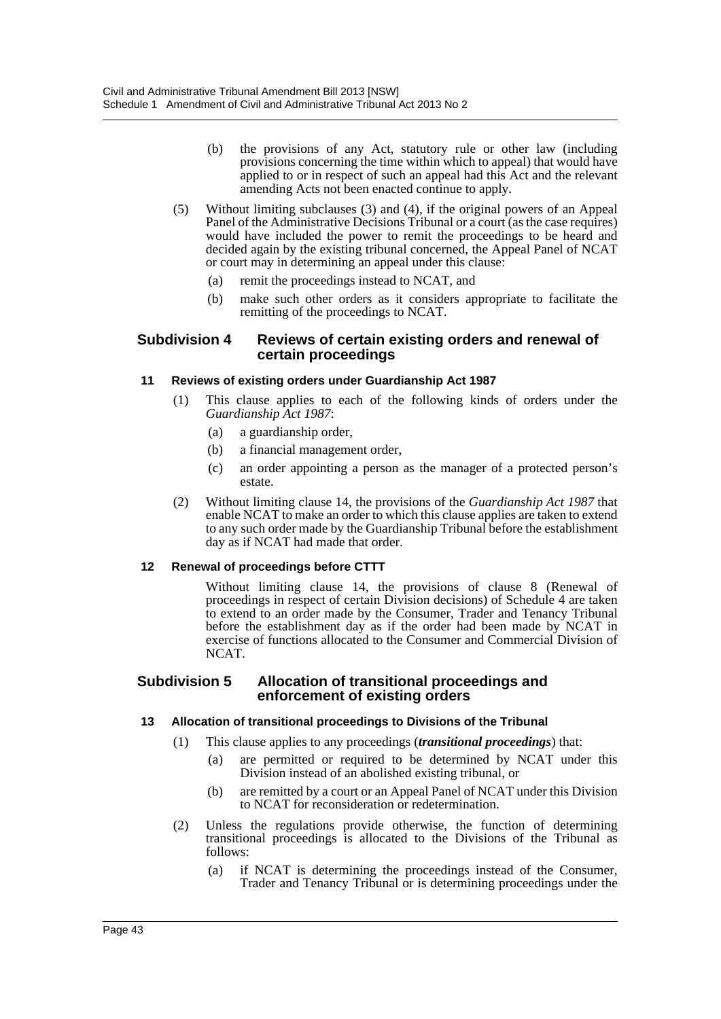- (b) the provisions of any Act, statutory rule or other law (including provisions concerning the time within which to appeal) that would have applied to or in respect of such an appeal had this Act and the relevant amending Acts not been enacted continue to apply.
- (5) Without limiting subclauses (3) and (4), if the original powers of an Appeal Panel of the Administrative Decisions Tribunal or a court (as the case requires) would have included the power to remit the proceedings to be heard and decided again by the existing tribunal concerned, the Appeal Panel of NCAT or court may in determining an appeal under this clause:
	- (a) remit the proceedings instead to NCAT, and
	- (b) make such other orders as it considers appropriate to facilitate the remitting of the proceedings to NCAT.

## **Subdivision 4 Reviews of certain existing orders and renewal of certain proceedings**

## **11 Reviews of existing orders under Guardianship Act 1987**

- (1) This clause applies to each of the following kinds of orders under the *Guardianship Act 1987*:
	- (a) a guardianship order,
	- (b) a financial management order,
	- (c) an order appointing a person as the manager of a protected person's estate.
- (2) Without limiting clause 14, the provisions of the *Guardianship Act 1987* that enable NCAT to make an order to which this clause applies are taken to extend to any such order made by the Guardianship Tribunal before the establishment day as if NCAT had made that order.

## **12 Renewal of proceedings before CTTT**

Without limiting clause 14, the provisions of clause 8 (Renewal of proceedings in respect of certain Division decisions) of Schedule 4 are taken to extend to an order made by the Consumer, Trader and Tenancy Tribunal before the establishment day as if the order had been made by NCAT in exercise of functions allocated to the Consumer and Commercial Division of NCAT.

## **Subdivision 5 Allocation of transitional proceedings and enforcement of existing orders**

## **13 Allocation of transitional proceedings to Divisions of the Tribunal**

- (1) This clause applies to any proceedings (*transitional proceedings*) that:
	- (a) are permitted or required to be determined by NCAT under this Division instead of an abolished existing tribunal, or
	- (b) are remitted by a court or an Appeal Panel of NCAT under this Division to NCAT for reconsideration or redetermination.
- (2) Unless the regulations provide otherwise, the function of determining transitional proceedings is allocated to the Divisions of the Tribunal as follows:
	- (a) if NCAT is determining the proceedings instead of the Consumer, Trader and Tenancy Tribunal or is determining proceedings under the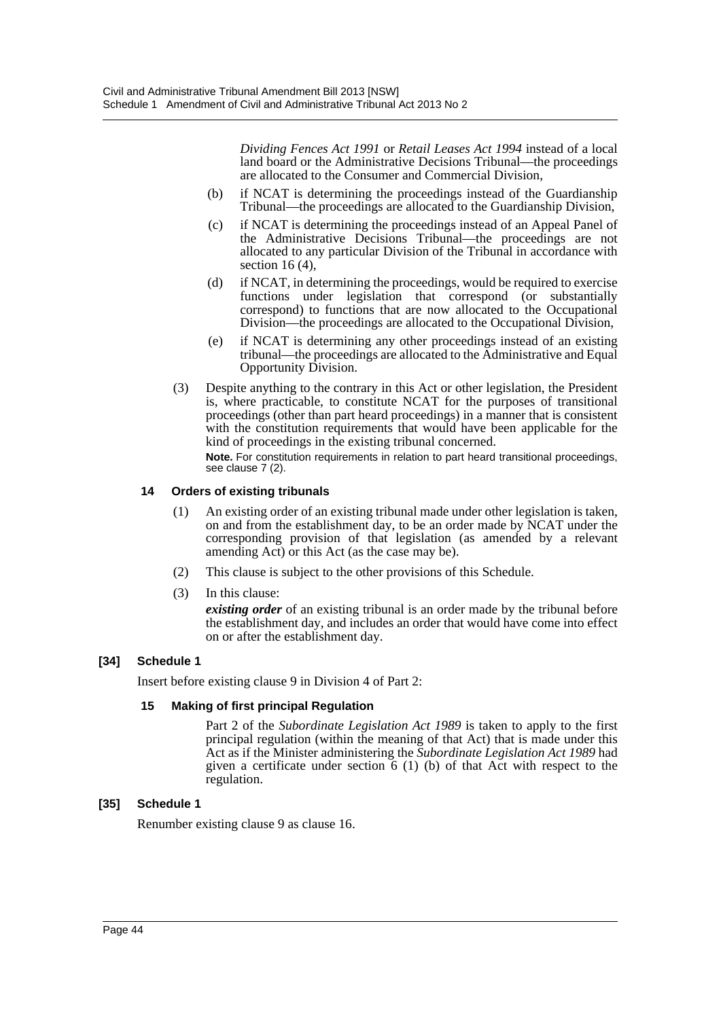*Dividing Fences Act 1991* or *Retail Leases Act 1994* instead of a local land board or the Administrative Decisions Tribunal—the proceedings are allocated to the Consumer and Commercial Division,

- (b) if NCAT is determining the proceedings instead of the Guardianship Tribunal—the proceedings are allocated to the Guardianship Division,
- (c) if NCAT is determining the proceedings instead of an Appeal Panel of the Administrative Decisions Tribunal—the proceedings are not allocated to any particular Division of the Tribunal in accordance with section  $16(4)$ ,
- (d) if NCAT, in determining the proceedings, would be required to exercise functions under legislation that correspond (or substantially correspond) to functions that are now allocated to the Occupational Division—the proceedings are allocated to the Occupational Division,
- (e) if NCAT is determining any other proceedings instead of an existing tribunal—the proceedings are allocated to the Administrative and Equal Opportunity Division.
- (3) Despite anything to the contrary in this Act or other legislation, the President is, where practicable, to constitute NCAT for the purposes of transitional proceedings (other than part heard proceedings) in a manner that is consistent with the constitution requirements that would have been applicable for the kind of proceedings in the existing tribunal concerned.

**Note.** For constitution requirements in relation to part heard transitional proceedings, see clause 7 (2).

## **14 Orders of existing tribunals**

- (1) An existing order of an existing tribunal made under other legislation is taken, on and from the establishment day, to be an order made by NCAT under the corresponding provision of that legislation (as amended by a relevant amending Act) or this Act (as the case may be).
- (2) This clause is subject to the other provisions of this Schedule.
- (3) In this clause:

*existing order* of an existing tribunal is an order made by the tribunal before the establishment day, and includes an order that would have come into effect on or after the establishment day.

## **[34] Schedule 1**

Insert before existing clause 9 in Division 4 of Part 2:

## **15 Making of first principal Regulation**

Part 2 of the *Subordinate Legislation Act 1989* is taken to apply to the first principal regulation (within the meaning of that Act) that is made under this Act as if the Minister administering the *Subordinate Legislation Act 1989* had given a certificate under section 6 (1) (b) of that Act with respect to the regulation.

## **[35] Schedule 1**

Renumber existing clause 9 as clause 16.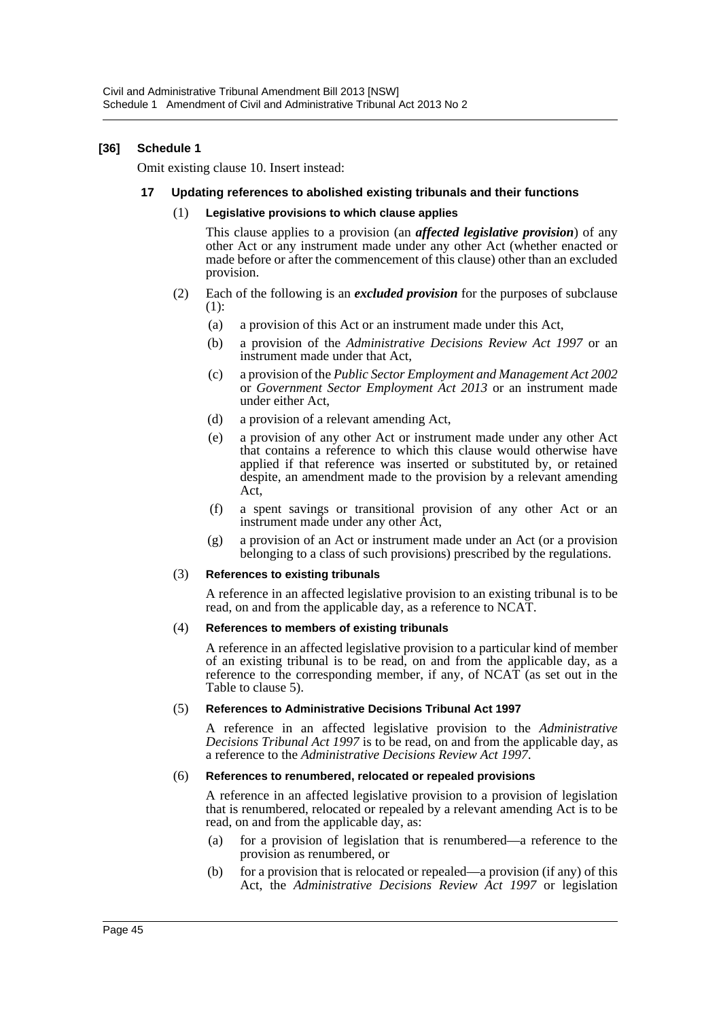## **[36] Schedule 1**

Omit existing clause 10. Insert instead:

## **17 Updating references to abolished existing tribunals and their functions**

#### (1) **Legislative provisions to which clause applies**

This clause applies to a provision (an *affected legislative provision*) of any other Act or any instrument made under any other Act (whether enacted or made before or after the commencement of this clause) other than an excluded provision.

- (2) Each of the following is an *excluded provision* for the purposes of subclause (1):
	- (a) a provision of this Act or an instrument made under this Act,
	- (b) a provision of the *Administrative Decisions Review Act 1997* or an instrument made under that Act,
	- (c) a provision of the *Public Sector Employment and Management Act 2002* or *Government Sector Employment Act 2013* or an instrument made under either Act,
	- (d) a provision of a relevant amending Act,
	- (e) a provision of any other Act or instrument made under any other Act that contains a reference to which this clause would otherwise have applied if that reference was inserted or substituted by, or retained despite, an amendment made to the provision by a relevant amending Act,
	- (f) a spent savings or transitional provision of any other Act or an instrument made under any other Act,
	- (g) a provision of an Act or instrument made under an Act (or a provision belonging to a class of such provisions) prescribed by the regulations.

#### (3) **References to existing tribunals**

A reference in an affected legislative provision to an existing tribunal is to be read, on and from the applicable day, as a reference to NCAT.

#### (4) **References to members of existing tribunals**

A reference in an affected legislative provision to a particular kind of member of an existing tribunal is to be read, on and from the applicable day, as a reference to the corresponding member, if any, of  $NCA\hat{T}$  (as set out in the Table to clause 5).

#### (5) **References to Administrative Decisions Tribunal Act 1997**

A reference in an affected legislative provision to the *Administrative Decisions Tribunal Act 1997* is to be read, on and from the applicable day, as a reference to the *Administrative Decisions Review Act 1997*.

#### (6) **References to renumbered, relocated or repealed provisions**

A reference in an affected legislative provision to a provision of legislation that is renumbered, relocated or repealed by a relevant amending Act is to be read, on and from the applicable day, as:

- (a) for a provision of legislation that is renumbered—a reference to the provision as renumbered, or
- (b) for a provision that is relocated or repealed—a provision (if any) of this Act, the *Administrative Decisions Review Act 1997* or legislation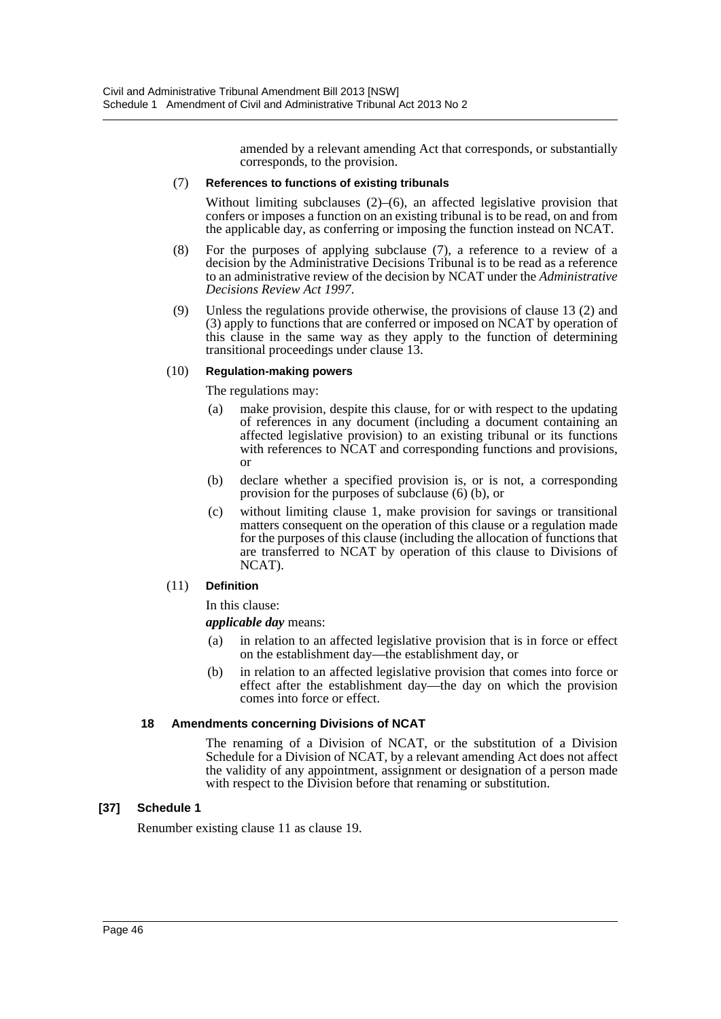amended by a relevant amending Act that corresponds, or substantially corresponds, to the provision.

### (7) **References to functions of existing tribunals**

Without limiting subclauses (2)–(6), an affected legislative provision that confers or imposes a function on an existing tribunal is to be read, on and from the applicable day, as conferring or imposing the function instead on NCAT.

- (8) For the purposes of applying subclause (7), a reference to a review of a decision by the Administrative Decisions Tribunal is to be read as a reference to an administrative review of the decision by NCAT under the *Administrative Decisions Review Act 1997*.
- (9) Unless the regulations provide otherwise, the provisions of clause 13 (2) and (3) apply to functions that are conferred or imposed on NCAT by operation of this clause in the same way as they apply to the function of determining transitional proceedings under clause 13.

## (10) **Regulation-making powers**

The regulations may:

- (a) make provision, despite this clause, for or with respect to the updating of references in any document (including a document containing an affected legislative provision) to an existing tribunal or its functions with references to NCAT and corresponding functions and provisions, or
- (b) declare whether a specified provision is, or is not, a corresponding provision for the purposes of subclause (6) (b), or
- (c) without limiting clause 1, make provision for savings or transitional matters consequent on the operation of this clause or a regulation made for the purposes of this clause (including the allocation of functions that are transferred to NCAT by operation of this clause to Divisions of NCAT).

## (11) **Definition**

In this clause:

*applicable day* means:

- (a) in relation to an affected legislative provision that is in force or effect on the establishment day—the establishment day, or
- (b) in relation to an affected legislative provision that comes into force or effect after the establishment day—the day on which the provision comes into force or effect.

## **18 Amendments concerning Divisions of NCAT**

The renaming of a Division of NCAT, or the substitution of a Division Schedule for a Division of NCAT, by a relevant amending Act does not affect the validity of any appointment, assignment or designation of a person made with respect to the Division before that renaming or substitution.

## **[37] Schedule 1**

Renumber existing clause 11 as clause 19.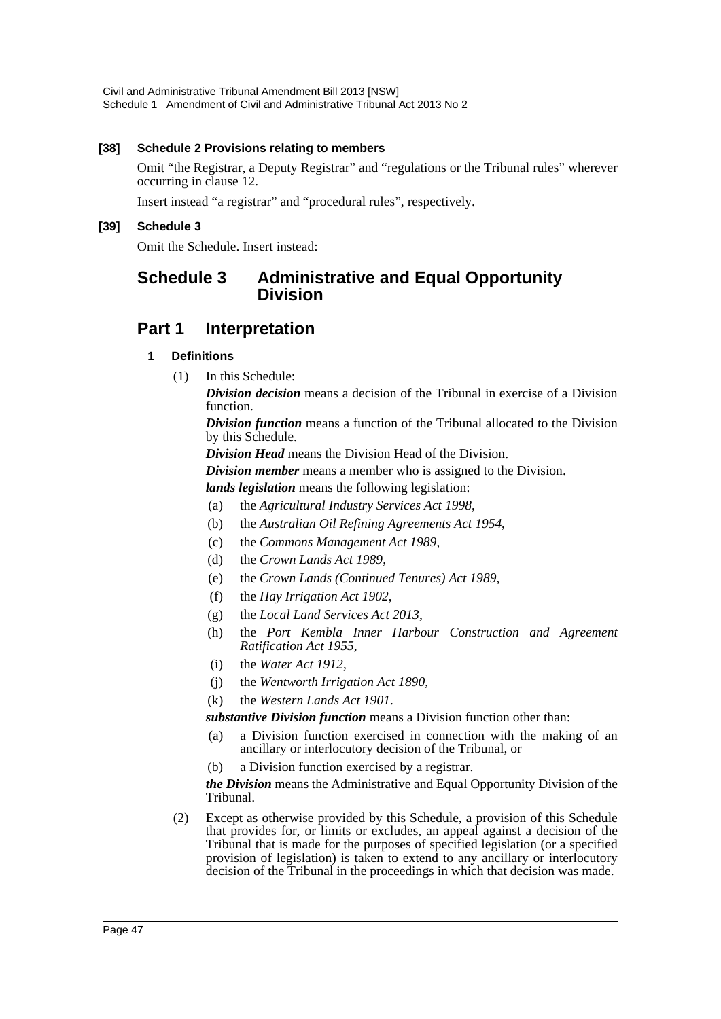## **[38] Schedule 2 Provisions relating to members**

Omit "the Registrar, a Deputy Registrar" and "regulations or the Tribunal rules" wherever occurring in clause 12.

Insert instead "a registrar" and "procedural rules", respectively.

## **[39] Schedule 3**

Omit the Schedule. Insert instead:

# **Schedule 3 Administrative and Equal Opportunity Division**

# **Part 1 Interpretation**

## **1 Definitions**

(1) In this Schedule:

*Division decision* means a decision of the Tribunal in exercise of a Division function.

*Division function* means a function of the Tribunal allocated to the Division by this Schedule.

*Division Head* means the Division Head of the Division.

*Division member* means a member who is assigned to the Division.

*lands legislation* means the following legislation:

- (a) the *Agricultural Industry Services Act 1998*,
- (b) the *Australian Oil Refining Agreements Act 1954*,
- (c) the *Commons Management Act 1989*,
- (d) the *Crown Lands Act 1989*,
- (e) the *Crown Lands (Continued Tenures) Act 1989*,
- (f) the *Hay Irrigation Act 1902*,
- (g) the *Local Land Services Act 2013*,
- (h) the *Port Kembla Inner Harbour Construction and Agreement Ratification Act 1955*,
- (i) the *Water Act 1912*,
- (j) the *Wentworth Irrigation Act 1890*,
- (k) the *Western Lands Act 1901*.

*substantive Division function* means a Division function other than:

- (a) a Division function exercised in connection with the making of an ancillary or interlocutory decision of the Tribunal, or
- (b) a Division function exercised by a registrar.

*the Division* means the Administrative and Equal Opportunity Division of the Tribunal.

(2) Except as otherwise provided by this Schedule, a provision of this Schedule that provides for, or limits or excludes, an appeal against a decision of the Tribunal that is made for the purposes of specified legislation (or a specified provision of legislation) is taken to extend to any ancillary or interlocutory decision of the Tribunal in the proceedings in which that decision was made.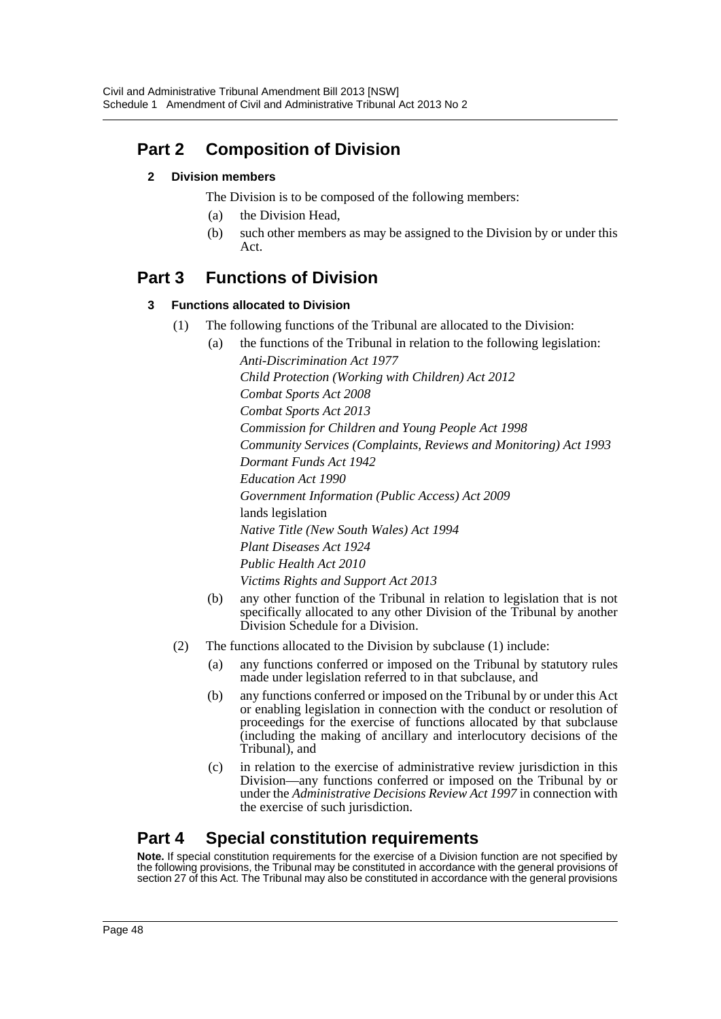# **Part 2 Composition of Division**

# **2 Division members**

The Division is to be composed of the following members:

- (a) the Division Head,
- (b) such other members as may be assigned to the Division by or under this Act.

# **Part 3 Functions of Division**

# **3 Functions allocated to Division**

- (1) The following functions of the Tribunal are allocated to the Division:
	- (a) the functions of the Tribunal in relation to the following legislation: *Anti-Discrimination Act 1977*

*Child Protection (Working with Children) Act 2012 Combat Sports Act 2008 Combat Sports Act 2013 Commission for Children and Young People Act 1998 Community Services (Complaints, Reviews and Monitoring) Act 1993 Dormant Funds Act 1942 Education Act 1990 Government Information (Public Access) Act 2009* lands legislation *Native Title (New South Wales) Act 1994 Plant Diseases Act 1924 Public Health Act 2010 Victims Rights and Support Act 2013*

- (b) any other function of the Tribunal in relation to legislation that is not specifically allocated to any other Division of the Tribunal by another Division Schedule for a Division.
- (2) The functions allocated to the Division by subclause (1) include:
	- (a) any functions conferred or imposed on the Tribunal by statutory rules made under legislation referred to in that subclause, and
	- (b) any functions conferred or imposed on the Tribunal by or under this Act or enabling legislation in connection with the conduct or resolution of proceedings for the exercise of functions allocated by that subclause (including the making of ancillary and interlocutory decisions of the Tribunal), and
	- (c) in relation to the exercise of administrative review jurisdiction in this Division—any functions conferred or imposed on the Tribunal by or under the *Administrative Decisions Review Act 1997* in connection with the exercise of such jurisdiction.

# **Part 4 Special constitution requirements**

**Note.** If special constitution requirements for the exercise of a Division function are not specified by the following provisions, the Tribunal may be constituted in accordance with the general provisions of section 27 of this Act. The Tribunal may also be constituted in accordance with the general provisions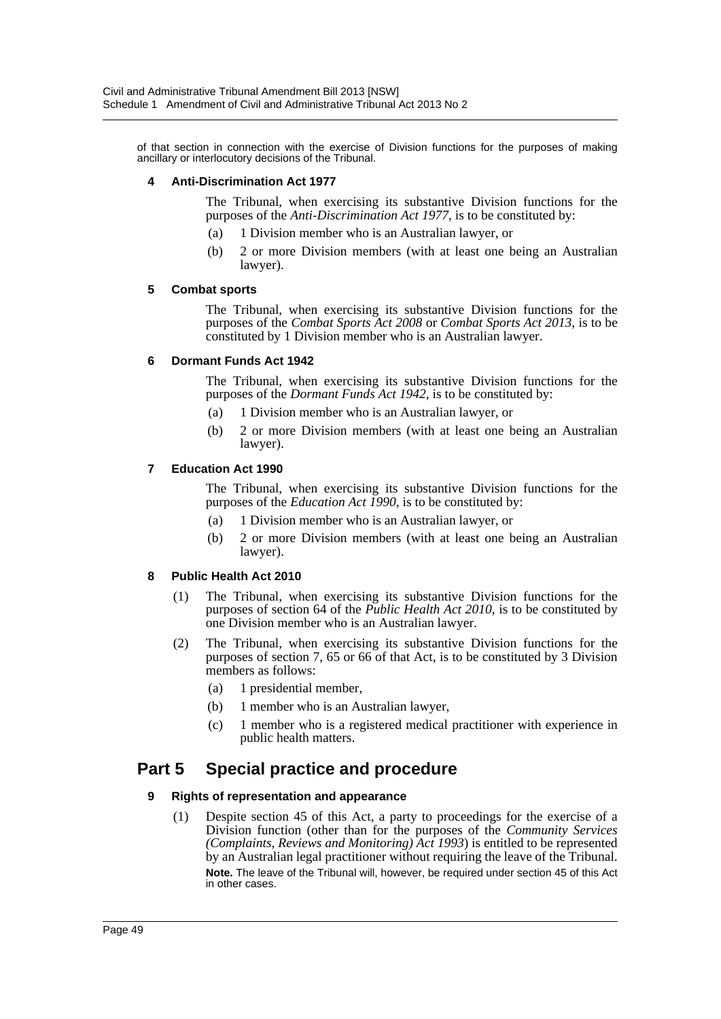of that section in connection with the exercise of Division functions for the purposes of making ancillary or interlocutory decisions of the Tribunal.

#### **4 Anti-Discrimination Act 1977**

The Tribunal, when exercising its substantive Division functions for the purposes of the *Anti-Discrimination Act 1977*, is to be constituted by:

- (a) 1 Division member who is an Australian lawyer, or
- (b) 2 or more Division members (with at least one being an Australian lawyer).

#### **5 Combat sports**

The Tribunal, when exercising its substantive Division functions for the purposes of the *Combat Sports Act 2008* or *Combat Sports Act 2013*, is to be constituted by 1 Division member who is an Australian lawyer.

#### **6 Dormant Funds Act 1942**

The Tribunal, when exercising its substantive Division functions for the purposes of the *Dormant Funds Act 1942*, is to be constituted by:

- (a) 1 Division member who is an Australian lawyer, or
- (b) 2 or more Division members (with at least one being an Australian lawyer).

#### **7 Education Act 1990**

The Tribunal, when exercising its substantive Division functions for the purposes of the *Education Act 1990*, is to be constituted by:

- (a) 1 Division member who is an Australian lawyer, or
- (b) 2 or more Division members (with at least one being an Australian lawyer).

## **8 Public Health Act 2010**

- (1) The Tribunal, when exercising its substantive Division functions for the purposes of section 64 of the *Public Health Act 2010*, is to be constituted by one Division member who is an Australian lawyer.
- (2) The Tribunal, when exercising its substantive Division functions for the purposes of section 7, 65 or 66 of that Act, is to be constituted by 3 Division members as follows:
	- (a) 1 presidential member,
	- (b) 1 member who is an Australian lawyer,
	- (c) 1 member who is a registered medical practitioner with experience in public health matters.

# **Part 5 Special practice and procedure**

## **9 Rights of representation and appearance**

(1) Despite section 45 of this Act, a party to proceedings for the exercise of a Division function (other than for the purposes of the *Community Services (Complaints, Reviews and Monitoring) Act 1993*) is entitled to be represented by an Australian legal practitioner without requiring the leave of the Tribunal. **Note.** The leave of the Tribunal will, however, be required under section 45 of this Act in other cases.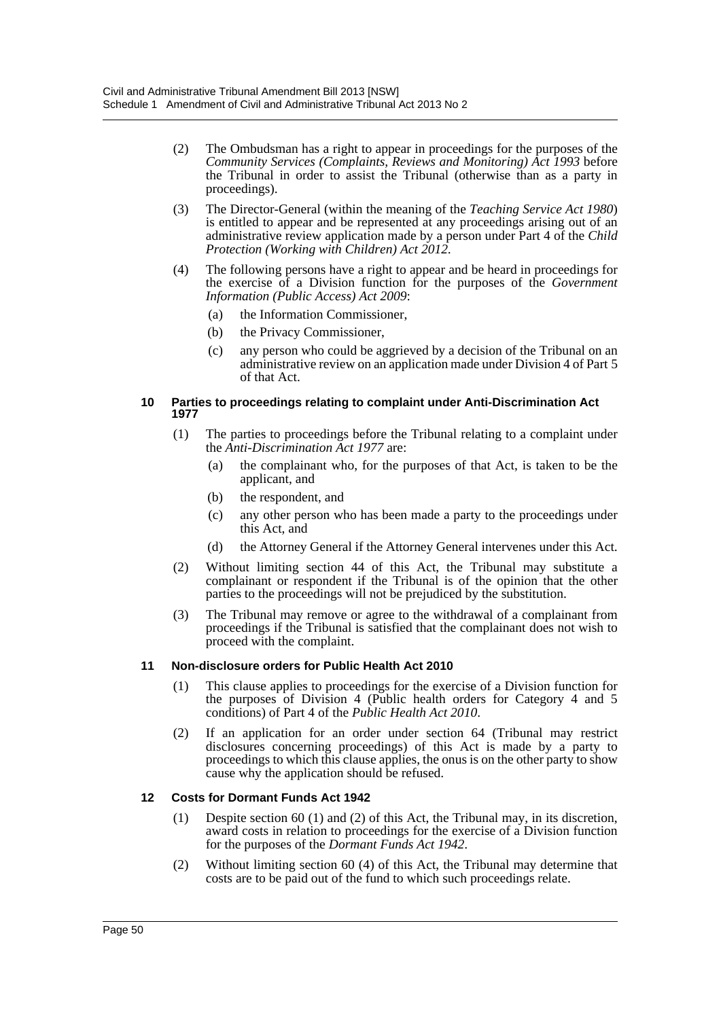- (2) The Ombudsman has a right to appear in proceedings for the purposes of the *Community Services (Complaints, Reviews and Monitoring) Act 1993* before the Tribunal in order to assist the Tribunal (otherwise than as a party in proceedings).
- (3) The Director-General (within the meaning of the *Teaching Service Act 1980*) is entitled to appear and be represented at any proceedings arising out of an administrative review application made by a person under Part 4 of the *Child Protection (Working with Children) Act 2012*.
- (4) The following persons have a right to appear and be heard in proceedings for the exercise of a Division function for the purposes of the *Government Information (Public Access) Act 2009*:
	- (a) the Information Commissioner,
	- (b) the Privacy Commissioner,
	- (c) any person who could be aggrieved by a decision of the Tribunal on an administrative review on an application made under Division 4 of Part 5 of that Act.

#### **10 Parties to proceedings relating to complaint under Anti-Discrimination Act 1977**

- (1) The parties to proceedings before the Tribunal relating to a complaint under the *Anti-Discrimination Act 1977* are:
	- (a) the complainant who, for the purposes of that Act, is taken to be the applicant, and
	- (b) the respondent, and
	- (c) any other person who has been made a party to the proceedings under this Act, and
	- (d) the Attorney General if the Attorney General intervenes under this Act.
- (2) Without limiting section 44 of this Act, the Tribunal may substitute a complainant or respondent if the Tribunal is of the opinion that the other parties to the proceedings will not be prejudiced by the substitution.
- (3) The Tribunal may remove or agree to the withdrawal of a complainant from proceedings if the Tribunal is satisfied that the complainant does not wish to proceed with the complaint.

## **11 Non-disclosure orders for Public Health Act 2010**

- (1) This clause applies to proceedings for the exercise of a Division function for the purposes of Division 4 (Public health orders for Category 4 and 5 conditions) of Part 4 of the *Public Health Act 2010*.
- (2) If an application for an order under section 64 (Tribunal may restrict disclosures concerning proceedings) of this Act is made by a party to proceedings to which this clause applies, the onus is on the other party to show cause why the application should be refused.

## **12 Costs for Dormant Funds Act 1942**

- (1) Despite section 60 (1) and (2) of this Act, the Tribunal may, in its discretion, award costs in relation to proceedings for the exercise of a Division function for the purposes of the *Dormant Funds Act 1942*.
- (2) Without limiting section 60 (4) of this Act, the Tribunal may determine that costs are to be paid out of the fund to which such proceedings relate.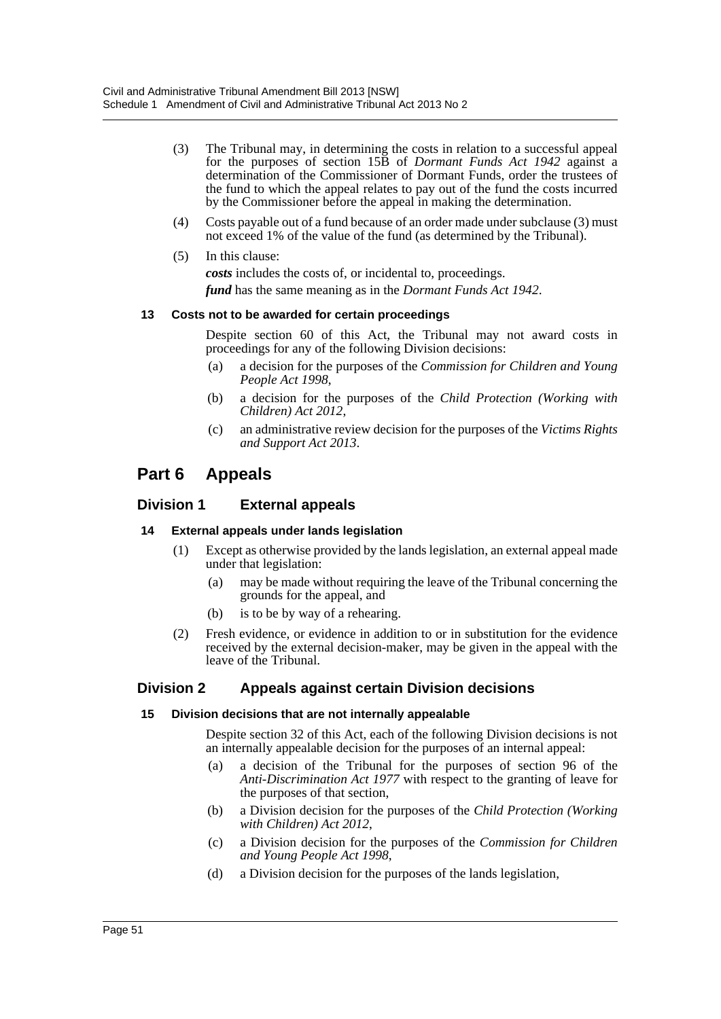- (3) The Tribunal may, in determining the costs in relation to a successful appeal for the purposes of section 15B of *Dormant Funds Act 1942* against a determination of the Commissioner of Dormant Funds, order the trustees of the fund to which the appeal relates to pay out of the fund the costs incurred by the Commissioner before the appeal in making the determination.
- (4) Costs payable out of a fund because of an order made under subclause (3) must not exceed 1% of the value of the fund (as determined by the Tribunal).
- (5) In this clause:
	- *costs* includes the costs of, or incidental to, proceedings. *fund* has the same meaning as in the *Dormant Funds Act 1942*.

## **13 Costs not to be awarded for certain proceedings**

Despite section 60 of this Act, the Tribunal may not award costs in proceedings for any of the following Division decisions:

- (a) a decision for the purposes of the *Commission for Children and Young People Act 1998*,
- (b) a decision for the purposes of the *Child Protection (Working with Children) Act 2012*,
- (c) an administrative review decision for the purposes of the *Victims Rights and Support Act 2013*.

# **Part 6 Appeals**

# **Division 1 External appeals**

## **14 External appeals under lands legislation**

- (1) Except as otherwise provided by the lands legislation, an external appeal made under that legislation:
	- (a) may be made without requiring the leave of the Tribunal concerning the grounds for the appeal, and
	- (b) is to be by way of a rehearing.
- (2) Fresh evidence, or evidence in addition to or in substitution for the evidence received by the external decision-maker, may be given in the appeal with the leave of the Tribunal.

# **Division 2 Appeals against certain Division decisions**

## **15 Division decisions that are not internally appealable**

Despite section 32 of this Act, each of the following Division decisions is not an internally appealable decision for the purposes of an internal appeal:

- (a) a decision of the Tribunal for the purposes of section 96 of the *Anti-Discrimination Act 1977* with respect to the granting of leave for the purposes of that section,
- (b) a Division decision for the purposes of the *Child Protection (Working with Children) Act 2012*,
- (c) a Division decision for the purposes of the *Commission for Children and Young People Act 1998*,
- (d) a Division decision for the purposes of the lands legislation,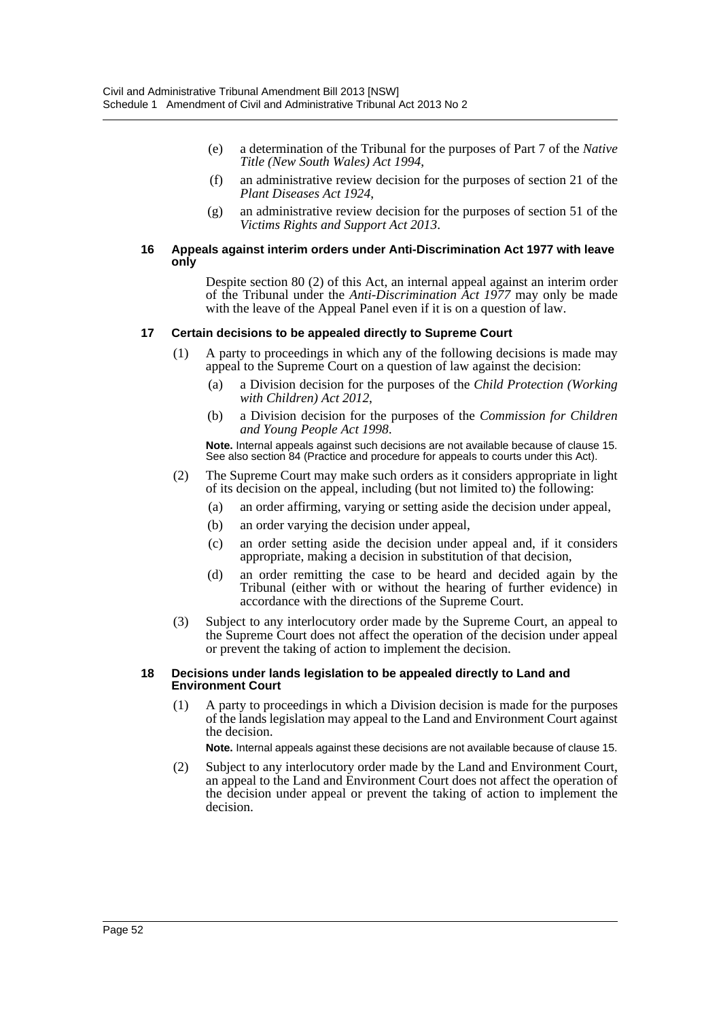- (e) a determination of the Tribunal for the purposes of Part 7 of the *Native Title (New South Wales) Act 1994*,
- (f) an administrative review decision for the purposes of section 21 of the *Plant Diseases Act 1924*,
- (g) an administrative review decision for the purposes of section 51 of the *Victims Rights and Support Act 2013*.

#### **16 Appeals against interim orders under Anti-Discrimination Act 1977 with leave only**

Despite section 80 (2) of this Act, an internal appeal against an interim order of the Tribunal under the *Anti-Discrimination Act 1977* may only be made with the leave of the Appeal Panel even if it is on a question of law.

## **17 Certain decisions to be appealed directly to Supreme Court**

- (1) A party to proceedings in which any of the following decisions is made may appeal to the Supreme Court on a question of law against the decision:
	- (a) a Division decision for the purposes of the *Child Protection (Working with Children) Act 2012*,
	- (b) a Division decision for the purposes of the *Commission for Children and Young People Act 1998*.

**Note.** Internal appeals against such decisions are not available because of clause 15. See also section 84 (Practice and procedure for appeals to courts under this Act).

- (2) The Supreme Court may make such orders as it considers appropriate in light of its decision on the appeal, including (but not limited to) the following:
	- (a) an order affirming, varying or setting aside the decision under appeal,
	- (b) an order varying the decision under appeal,
	- (c) an order setting aside the decision under appeal and, if it considers appropriate, making a decision in substitution of that decision,
	- (d) an order remitting the case to be heard and decided again by the Tribunal (either with or without the hearing of further evidence) in accordance with the directions of the Supreme Court.
- (3) Subject to any interlocutory order made by the Supreme Court, an appeal to the Supreme Court does not affect the operation of the decision under appeal or prevent the taking of action to implement the decision.

#### **18 Decisions under lands legislation to be appealed directly to Land and Environment Court**

(1) A party to proceedings in which a Division decision is made for the purposes of the lands legislation may appeal to the Land and Environment Court against the decision.

**Note.** Internal appeals against these decisions are not available because of clause 15.

(2) Subject to any interlocutory order made by the Land and Environment Court, an appeal to the Land and Environment Court does not affect the operation of the decision under appeal or prevent the taking of action to implement the decision.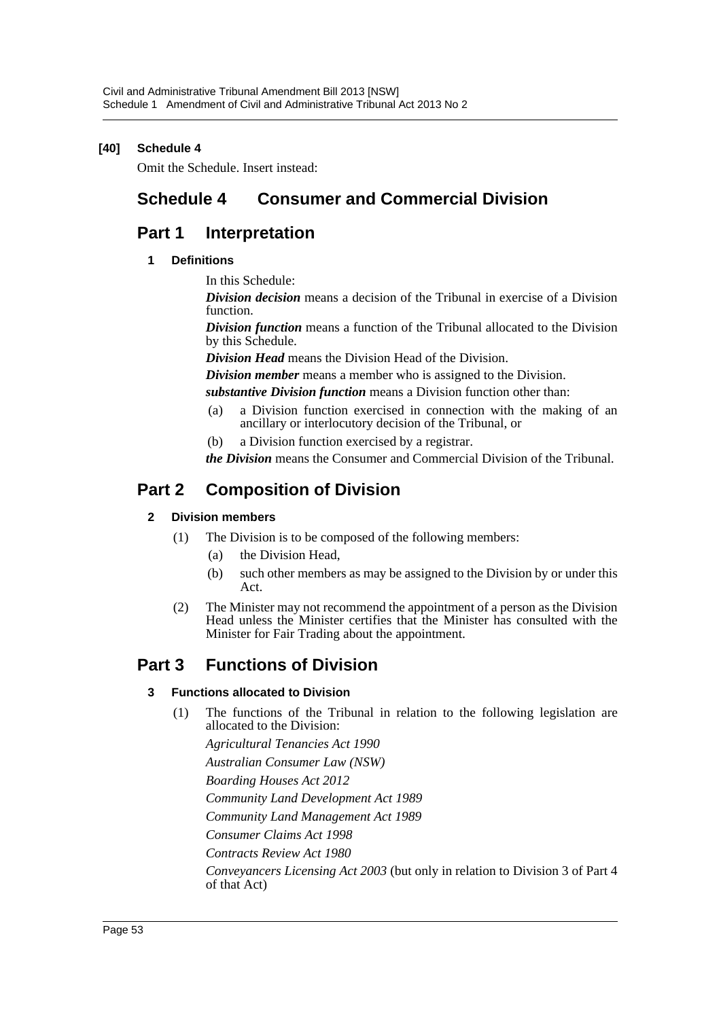## **[40] Schedule 4**

Omit the Schedule. Insert instead:

# **Schedule 4 Consumer and Commercial Division**

# **Part 1 Interpretation**

## **1 Definitions**

In this Schedule:

*Division decision* means a decision of the Tribunal in exercise of a Division function.

*Division function* means a function of the Tribunal allocated to the Division by this Schedule.

*Division Head* means the Division Head of the Division.

*Division member* means a member who is assigned to the Division.

*substantive Division function* means a Division function other than:

- (a) a Division function exercised in connection with the making of an ancillary or interlocutory decision of the Tribunal, or
- (b) a Division function exercised by a registrar.

*the Division* means the Consumer and Commercial Division of the Tribunal.

# **Part 2 Composition of Division**

## **2 Division members**

- (1) The Division is to be composed of the following members:
	- (a) the Division Head,
	- (b) such other members as may be assigned to the Division by or under this Act.
- (2) The Minister may not recommend the appointment of a person as the Division Head unless the Minister certifies that the Minister has consulted with the Minister for Fair Trading about the appointment.

# **Part 3 Functions of Division**

## **3 Functions allocated to Division**

(1) The functions of the Tribunal in relation to the following legislation are allocated to the Division:

*Agricultural Tenancies Act 1990*

*Australian Consumer Law (NSW)*

*Boarding Houses Act 2012*

*Community Land Development Act 1989*

*Community Land Management Act 1989*

*Consumer Claims Act 1998*

*Contracts Review Act 1980*

*Conveyancers Licensing Act 2003* (but only in relation to Division 3 of Part 4 of that Act)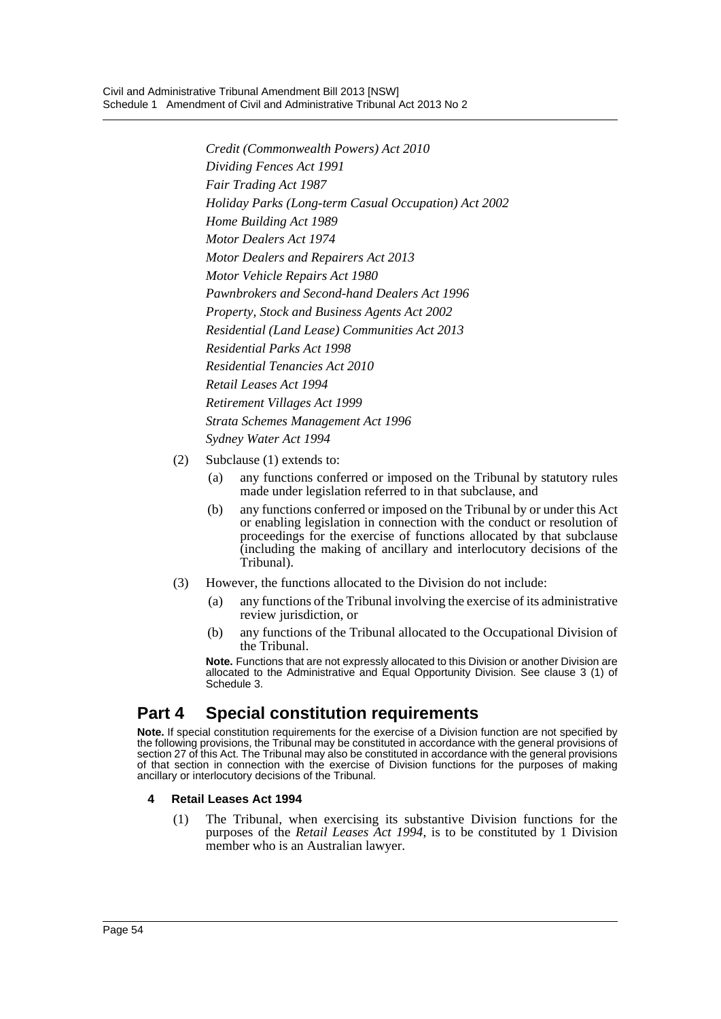*Credit (Commonwealth Powers) Act 2010 Dividing Fences Act 1991 Fair Trading Act 1987 Holiday Parks (Long-term Casual Occupation) Act 2002 Home Building Act 1989 Motor Dealers Act 1974 Motor Dealers and Repairers Act 2013 Motor Vehicle Repairs Act 1980 Pawnbrokers and Second-hand Dealers Act 1996 Property, Stock and Business Agents Act 2002 Residential (Land Lease) Communities Act 2013 Residential Parks Act 1998 Residential Tenancies Act 2010 Retail Leases Act 1994 Retirement Villages Act 1999 Strata Schemes Management Act 1996 Sydney Water Act 1994*

- (2) Subclause (1) extends to:
	- (a) any functions conferred or imposed on the Tribunal by statutory rules made under legislation referred to in that subclause, and
	- (b) any functions conferred or imposed on the Tribunal by or under this Act or enabling legislation in connection with the conduct or resolution of proceedings for the exercise of functions allocated by that subclause (including the making of ancillary and interlocutory decisions of the Tribunal).
- (3) However, the functions allocated to the Division do not include:
	- (a) any functions of the Tribunal involving the exercise of its administrative review jurisdiction, or
	- (b) any functions of the Tribunal allocated to the Occupational Division of the Tribunal.

**Note.** Functions that are not expressly allocated to this Division or another Division are allocated to the Administrative and Equal Opportunity Division. See clause 3 (1) of Schedule 3.

# **Part 4 Special constitution requirements**

**Note.** If special constitution requirements for the exercise of a Division function are not specified by the following provisions, the Tribunal may be constituted in accordance with the general provisions of section 27 of this Act. The Tribunal may also be constituted in accordance with the general provisions of that section in connection with the exercise of Division functions for the purposes of making ancillary or interlocutory decisions of the Tribunal.

## **4 Retail Leases Act 1994**

(1) The Tribunal, when exercising its substantive Division functions for the purposes of the *Retail Leases Act 1994*, is to be constituted by 1 Division member who is an Australian lawyer.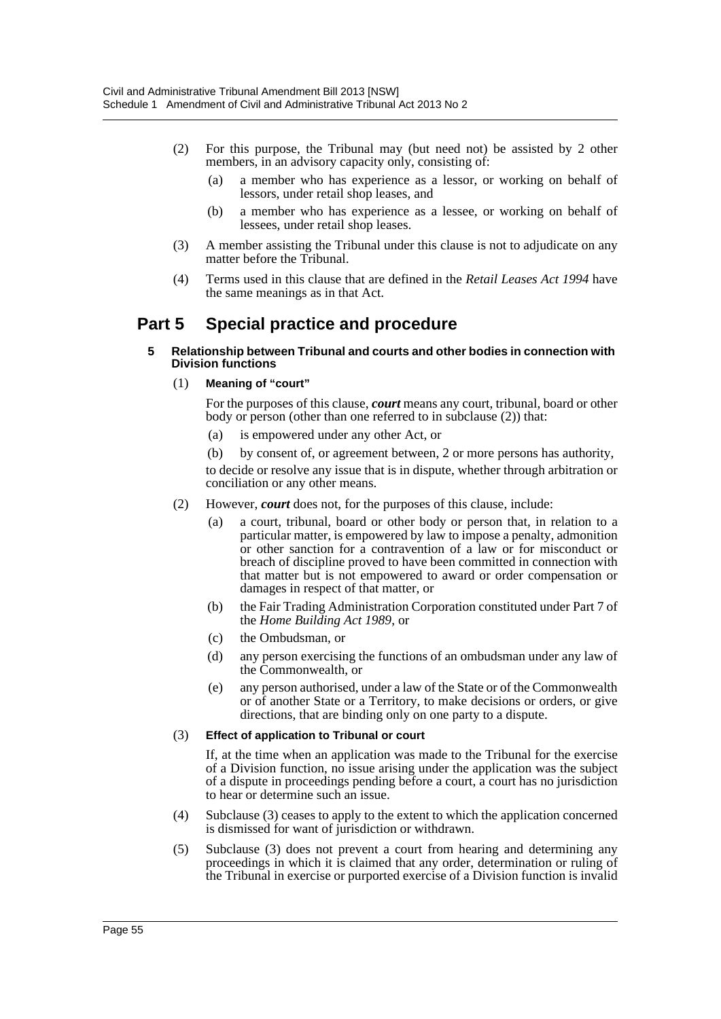- (2) For this purpose, the Tribunal may (but need not) be assisted by 2 other members, in an advisory capacity only, consisting of:
	- (a) a member who has experience as a lessor, or working on behalf of lessors, under retail shop leases, and
	- (b) a member who has experience as a lessee, or working on behalf of lessees, under retail shop leases.
- (3) A member assisting the Tribunal under this clause is not to adjudicate on any matter before the Tribunal.
- (4) Terms used in this clause that are defined in the *Retail Leases Act 1994* have the same meanings as in that Act.

# **Part 5 Special practice and procedure**

#### **5 Relationship between Tribunal and courts and other bodies in connection with Division functions**

## (1) **Meaning of "court"**

For the purposes of this clause, *court* means any court, tribunal, board or other body or person (other than one referred to in subclause (2)) that:

- (a) is empowered under any other Act, or
- (b) by consent of, or agreement between, 2 or more persons has authority,

to decide or resolve any issue that is in dispute, whether through arbitration or conciliation or any other means.

- (2) However, *court* does not, for the purposes of this clause, include:
	- (a) a court, tribunal, board or other body or person that, in relation to a particular matter, is empowered by law to impose a penalty, admonition or other sanction for a contravention of a law or for misconduct or breach of discipline proved to have been committed in connection with that matter but is not empowered to award or order compensation or damages in respect of that matter, or
	- (b) the Fair Trading Administration Corporation constituted under Part 7 of the *Home Building Act 1989*, or
	- (c) the Ombudsman, or
	- (d) any person exercising the functions of an ombudsman under any law of the Commonwealth, or
	- (e) any person authorised, under a law of the State or of the Commonwealth or of another State or a Territory, to make decisions or orders, or give directions, that are binding only on one party to a dispute.

## (3) **Effect of application to Tribunal or court**

If, at the time when an application was made to the Tribunal for the exercise of a Division function, no issue arising under the application was the subject of a dispute in proceedings pending before a court, a court has no jurisdiction to hear or determine such an issue.

- (4) Subclause (3) ceases to apply to the extent to which the application concerned is dismissed for want of jurisdiction or withdrawn.
- (5) Subclause (3) does not prevent a court from hearing and determining any proceedings in which it is claimed that any order, determination or ruling of the Tribunal in exercise or purported exercise of a Division function is invalid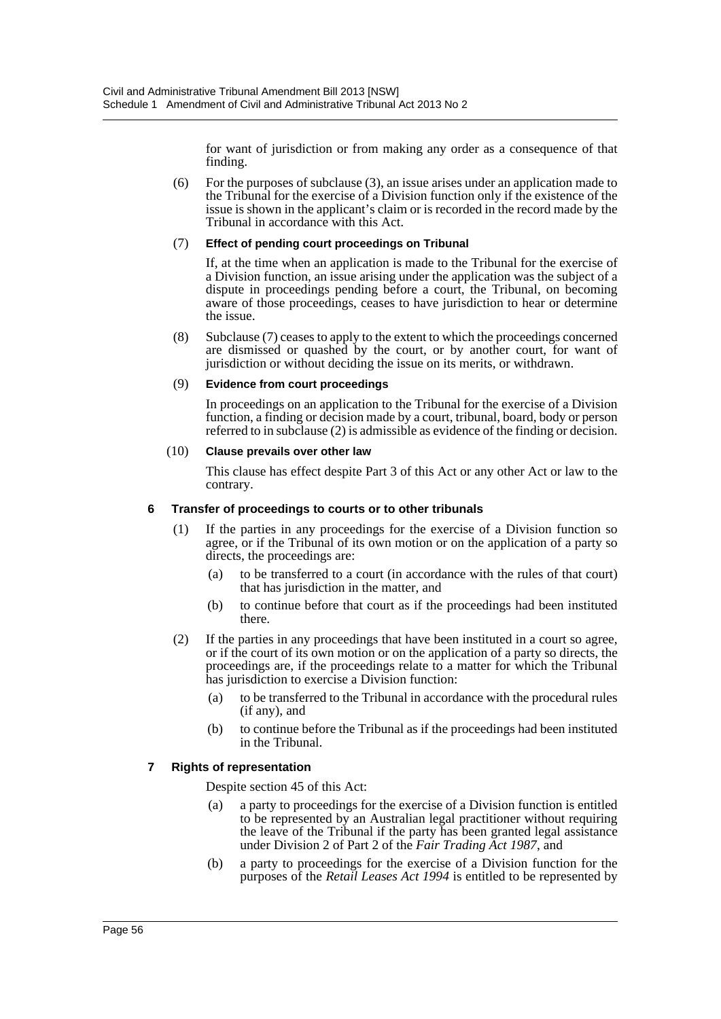for want of jurisdiction or from making any order as a consequence of that finding.

(6) For the purposes of subclause (3), an issue arises under an application made to the Tribunal for the exercise of a Division function only if the existence of the issue is shown in the applicant's claim or is recorded in the record made by the Tribunal in accordance with this Act.

## (7) **Effect of pending court proceedings on Tribunal**

If, at the time when an application is made to the Tribunal for the exercise of a Division function, an issue arising under the application was the subject of a dispute in proceedings pending before a court, the Tribunal, on becoming aware of those proceedings, ceases to have jurisdiction to hear or determine the issue.

(8) Subclause (7) ceases to apply to the extent to which the proceedings concerned are dismissed or quashed by the court, or by another court, for want of jurisdiction or without deciding the issue on its merits, or withdrawn.

#### (9) **Evidence from court proceedings**

In proceedings on an application to the Tribunal for the exercise of a Division function, a finding or decision made by a court, tribunal, board, body or person referred to in subclause (2) is admissible as evidence of the finding or decision.

#### (10) **Clause prevails over other law**

This clause has effect despite Part 3 of this Act or any other Act or law to the contrary.

## **6 Transfer of proceedings to courts or to other tribunals**

- (1) If the parties in any proceedings for the exercise of a Division function so agree, or if the Tribunal of its own motion or on the application of a party so directs, the proceedings are:
	- (a) to be transferred to a court (in accordance with the rules of that court) that has jurisdiction in the matter, and
	- (b) to continue before that court as if the proceedings had been instituted there.
- (2) If the parties in any proceedings that have been instituted in a court so agree, or if the court of its own motion or on the application of a party so directs, the proceedings are, if the proceedings relate to a matter for which the Tribunal has jurisdiction to exercise a Division function:
	- (a) to be transferred to the Tribunal in accordance with the procedural rules (if any), and
	- (b) to continue before the Tribunal as if the proceedings had been instituted in the Tribunal.

## **7 Rights of representation**

Despite section 45 of this Act:

- (a) a party to proceedings for the exercise of a Division function is entitled to be represented by an Australian legal practitioner without requiring the leave of the Tribunal if the party has been granted legal assistance under Division 2 of Part 2 of the *Fair Trading Act 1987*, and
- (b) a party to proceedings for the exercise of a Division function for the purposes of the *Retail Leases Act 1994* is entitled to be represented by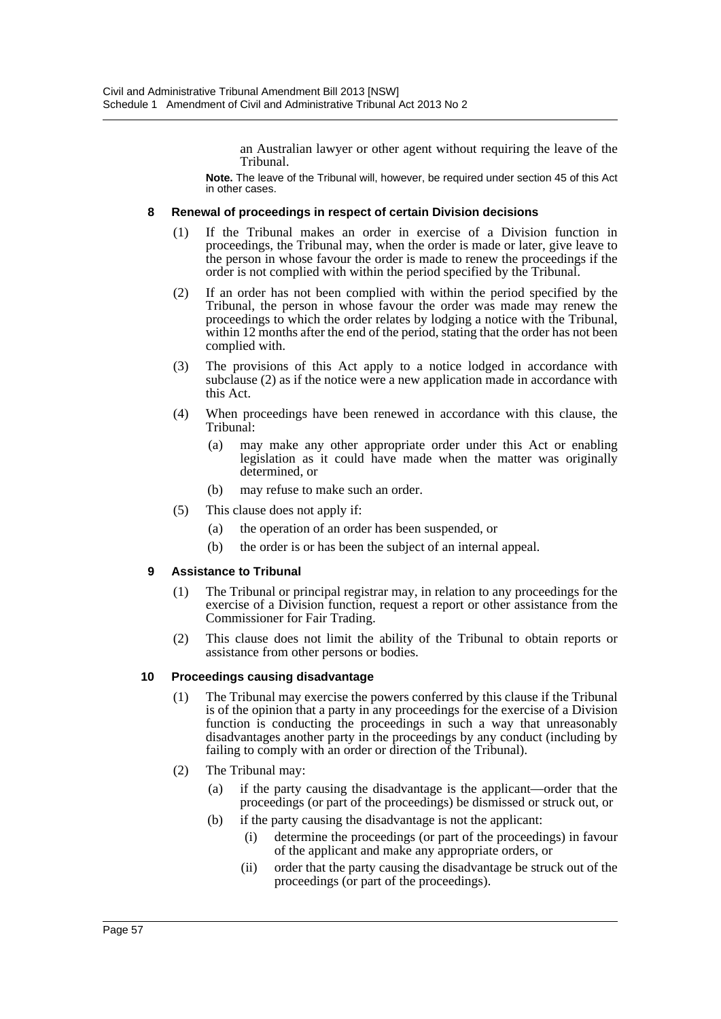an Australian lawyer or other agent without requiring the leave of the Tribunal.

**Note.** The leave of the Tribunal will, however, be required under section 45 of this Act in other cases.

## **8 Renewal of proceedings in respect of certain Division decisions**

- (1) If the Tribunal makes an order in exercise of a Division function in proceedings, the Tribunal may, when the order is made or later, give leave to the person in whose favour the order is made to renew the proceedings if the order is not complied with within the period specified by the Tribunal.
- (2) If an order has not been complied with within the period specified by the Tribunal, the person in whose favour the order was made may renew the proceedings to which the order relates by lodging a notice with the Tribunal, within 12 months after the end of the period, stating that the order has not been complied with.
- (3) The provisions of this Act apply to a notice lodged in accordance with subclause (2) as if the notice were a new application made in accordance with this Act.
- (4) When proceedings have been renewed in accordance with this clause, the Tribunal:
	- (a) may make any other appropriate order under this Act or enabling legislation as it could have made when the matter was originally determined, or
	- (b) may refuse to make such an order.
- (5) This clause does not apply if:
	- (a) the operation of an order has been suspended, or
	- (b) the order is or has been the subject of an internal appeal.

## **9 Assistance to Tribunal**

- (1) The Tribunal or principal registrar may, in relation to any proceedings for the exercise of a Division function, request a report or other assistance from the Commissioner for Fair Trading.
- (2) This clause does not limit the ability of the Tribunal to obtain reports or assistance from other persons or bodies.

## **10 Proceedings causing disadvantage**

- (1) The Tribunal may exercise the powers conferred by this clause if the Tribunal is of the opinion that a party in any proceedings for the exercise of a Division function is conducting the proceedings in such a way that unreasonably disadvantages another party in the proceedings by any conduct (including by failing to comply with an order or direction of the Tribunal).
- (2) The Tribunal may:
	- (a) if the party causing the disadvantage is the applicant—order that the proceedings (or part of the proceedings) be dismissed or struck out, or
	- (b) if the party causing the disadvantage is not the applicant:
		- (i) determine the proceedings (or part of the proceedings) in favour of the applicant and make any appropriate orders, or
		- (ii) order that the party causing the disadvantage be struck out of the proceedings (or part of the proceedings).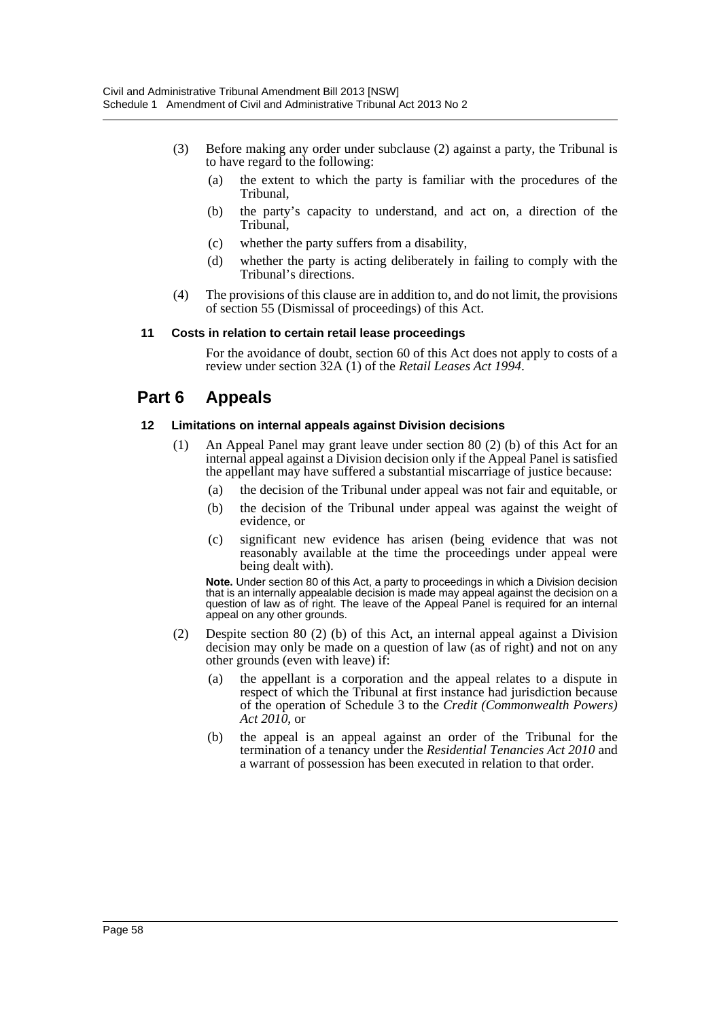- (3) Before making any order under subclause (2) against a party, the Tribunal is to have regard to the following:
	- (a) the extent to which the party is familiar with the procedures of the Tribunal,
	- (b) the party's capacity to understand, and act on, a direction of the Tribunal,
	- (c) whether the party suffers from a disability,
	- (d) whether the party is acting deliberately in failing to comply with the Tribunal's directions.
- (4) The provisions of this clause are in addition to, and do not limit, the provisions of section 55 (Dismissal of proceedings) of this Act.

#### **11 Costs in relation to certain retail lease proceedings**

For the avoidance of doubt, section 60 of this Act does not apply to costs of a review under section 32A (1) of the *Retail Leases Act 1994*.

# **Part 6 Appeals**

#### **12 Limitations on internal appeals against Division decisions**

- (1) An Appeal Panel may grant leave under section 80 (2) (b) of this Act for an internal appeal against a Division decision only if the Appeal Panel is satisfied the appellant may have suffered a substantial miscarriage of justice because:
	- (a) the decision of the Tribunal under appeal was not fair and equitable, or
	- (b) the decision of the Tribunal under appeal was against the weight of evidence, or
	- (c) significant new evidence has arisen (being evidence that was not reasonably available at the time the proceedings under appeal were being dealt with).

**Note.** Under section 80 of this Act, a party to proceedings in which a Division decision that is an internally appealable decision is made may appeal against the decision on a question of law as of right. The leave of the Appeal Panel is required for an internal appeal on any other grounds.

- (2) Despite section 80 (2) (b) of this Act, an internal appeal against a Division decision may only be made on a question of law (as of right) and not on any other grounds (even with leave) if:
	- (a) the appellant is a corporation and the appeal relates to a dispute in respect of which the Tribunal at first instance had jurisdiction because of the operation of Schedule 3 to the *Credit (Commonwealth Powers) Act 2010*, or
	- (b) the appeal is an appeal against an order of the Tribunal for the termination of a tenancy under the *Residential Tenancies Act 2010* and a warrant of possession has been executed in relation to that order.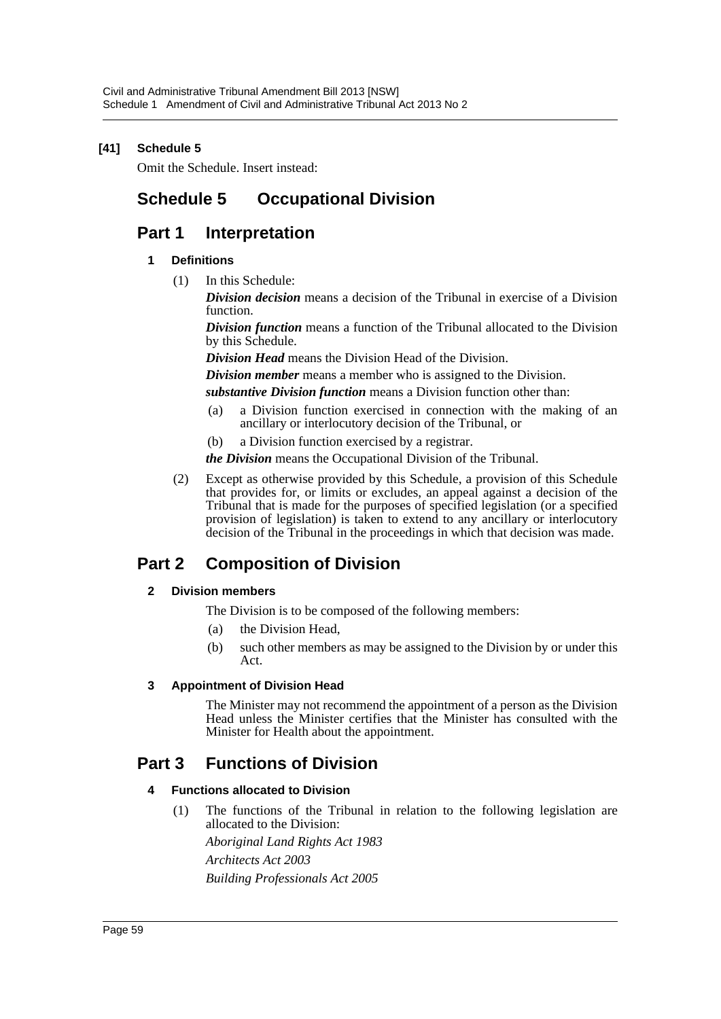# **[41] Schedule 5**

Omit the Schedule. Insert instead:

# **Schedule 5 Occupational Division**

# **Part 1 Interpretation**

## **1 Definitions**

(1) In this Schedule:

*Division decision* means a decision of the Tribunal in exercise of a Division function.

*Division function* means a function of the Tribunal allocated to the Division by this Schedule.

*Division Head* means the Division Head of the Division.

*Division member* means a member who is assigned to the Division.

*substantive Division function* means a Division function other than:

- (a) a Division function exercised in connection with the making of an ancillary or interlocutory decision of the Tribunal, or
- (b) a Division function exercised by a registrar.

*the Division* means the Occupational Division of the Tribunal.

(2) Except as otherwise provided by this Schedule, a provision of this Schedule that provides for, or limits or excludes, an appeal against a decision of the Tribunal that is made for the purposes of specified legislation (or a specified provision of legislation) is taken to extend to any ancillary or interlocutory decision of the Tribunal in the proceedings in which that decision was made.

# **Part 2 Composition of Division**

## **2 Division members**

- The Division is to be composed of the following members:
	- (a) the Division Head,
- (b) such other members as may be assigned to the Division by or under this Act.

## **3 Appointment of Division Head**

The Minister may not recommend the appointment of a person as the Division Head unless the Minister certifies that the Minister has consulted with the Minister for Health about the appointment.

# **Part 3 Functions of Division**

## **4 Functions allocated to Division**

(1) The functions of the Tribunal in relation to the following legislation are allocated to the Division:

*Aboriginal Land Rights Act 1983 Architects Act 2003 Building Professionals Act 2005*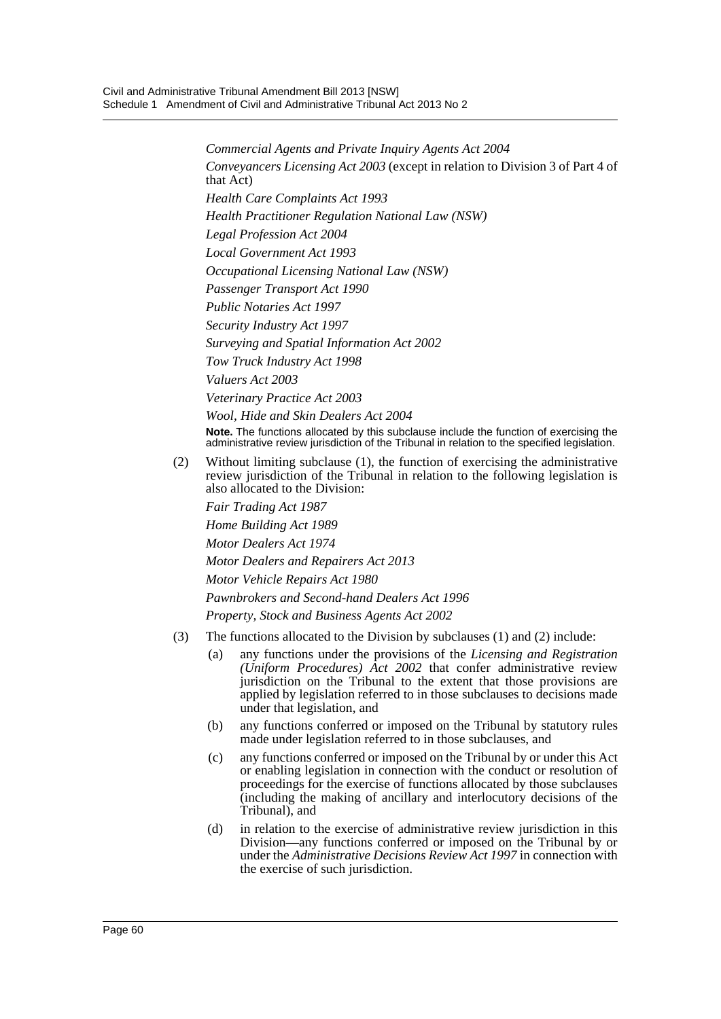*Commercial Agents and Private Inquiry Agents Act 2004 Conveyancers Licensing Act 2003* (except in relation to Division 3 of Part 4 of that Act) *Health Care Complaints Act 1993 Health Practitioner Regulation National Law (NSW) Legal Profession Act 2004 Local Government Act 1993 Occupational Licensing National Law (NSW) Passenger Transport Act 1990 Public Notaries Act 1997 Security Industry Act 1997 Surveying and Spatial Information Act 2002 Tow Truck Industry Act 1998 Valuers Act 2003 Veterinary Practice Act 2003 Wool, Hide and Skin Dealers Act 2004* **Note.** The functions allocated by this subclause include the function of exercising the administrative review jurisdiction of the Tribunal in relation to the specified legislation. (2) Without limiting subclause (1), the function of exercising the administrative review jurisdiction of the Tribunal in relation to the following legislation is

also allocated to the Division:

*Fair Trading Act 1987 Home Building Act 1989 Motor Dealers Act 1974 Motor Dealers and Repairers Act 2013 Motor Vehicle Repairs Act 1980 Pawnbrokers and Second-hand Dealers Act 1996 Property, Stock and Business Agents Act 2002*

- (3) The functions allocated to the Division by subclauses (1) and (2) include:
	- (a) any functions under the provisions of the *Licensing and Registration (Uniform Procedures) Act 2002* that confer administrative review jurisdiction on the Tribunal to the extent that those provisions are applied by legislation referred to in those subclauses to decisions made under that legislation, and
	- (b) any functions conferred or imposed on the Tribunal by statutory rules made under legislation referred to in those subclauses, and
	- (c) any functions conferred or imposed on the Tribunal by or under this Act or enabling legislation in connection with the conduct or resolution of proceedings for the exercise of functions allocated by those subclauses (including the making of ancillary and interlocutory decisions of the Tribunal), and
	- (d) in relation to the exercise of administrative review jurisdiction in this Division—any functions conferred or imposed on the Tribunal by or under the *Administrative Decisions Review Act 1997* in connection with the exercise of such jurisdiction.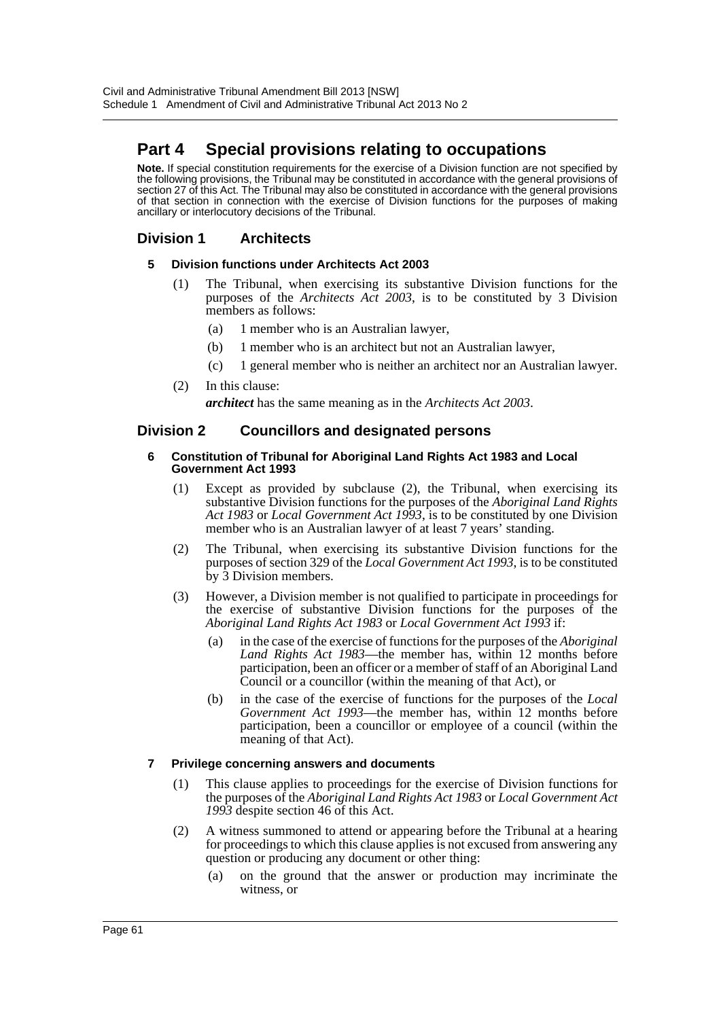# **Part 4 Special provisions relating to occupations**

**Note.** If special constitution requirements for the exercise of a Division function are not specified by the following provisions, the Tribunal may be constituted in accordance with the general provisions of section 27 of this Act. The Tribunal may also be constituted in accordance with the general provisions of that section in connection with the exercise of Division functions for the purposes of making ancillary or interlocutory decisions of the Tribunal.

# **Division 1 Architects**

## **5 Division functions under Architects Act 2003**

- (1) The Tribunal, when exercising its substantive Division functions for the purposes of the *Architects Act 2003*, is to be constituted by 3 Division members as follows:
	- (a) 1 member who is an Australian lawyer,
	- (b) 1 member who is an architect but not an Australian lawyer,
	- (c) 1 general member who is neither an architect nor an Australian lawyer.
- (2) In this clause:

*architect* has the same meaning as in the *Architects Act 2003*.

# **Division 2 Councillors and designated persons**

#### **6 Constitution of Tribunal for Aboriginal Land Rights Act 1983 and Local Government Act 1993**

- (1) Except as provided by subclause (2), the Tribunal, when exercising its substantive Division functions for the purposes of the *Aboriginal Land Rights Act 1983* or *Local Government Act 1993*, is to be constituted by one Division member who is an Australian lawyer of at least 7 years' standing.
- (2) The Tribunal, when exercising its substantive Division functions for the purposes of section 329 of the *Local Government Act 1993*, is to be constituted by 3 Division members.
- (3) However, a Division member is not qualified to participate in proceedings for the exercise of substantive Division functions for the purposes of the *Aboriginal Land Rights Act 1983* or *Local Government Act 1993* if:
	- (a) in the case of the exercise of functions for the purposes of the *Aboriginal Land Rights Act 1983*—the member has, within 12 months before participation, been an officer or a member of staff of an Aboriginal Land Council or a councillor (within the meaning of that Act), or
	- (b) in the case of the exercise of functions for the purposes of the *Local Government Act 1993*—the member has, within 12 months before participation, been a councillor or employee of a council (within the meaning of that Act).

## **7 Privilege concerning answers and documents**

- (1) This clause applies to proceedings for the exercise of Division functions for the purposes of the *Aboriginal Land Rights Act 1983* or *Local Government Act 1993* despite section 46 of this Act.
- (2) A witness summoned to attend or appearing before the Tribunal at a hearing for proceedings to which this clause applies is not excused from answering any question or producing any document or other thing:
	- (a) on the ground that the answer or production may incriminate the witness, or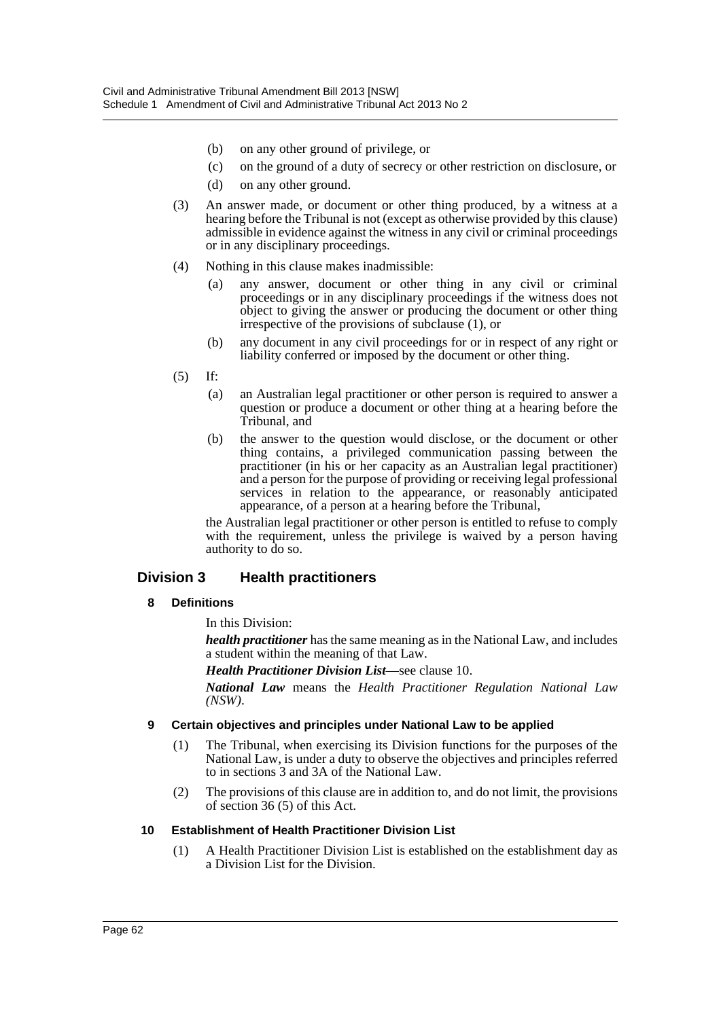- (b) on any other ground of privilege, or
- (c) on the ground of a duty of secrecy or other restriction on disclosure, or
- (d) on any other ground.
- (3) An answer made, or document or other thing produced, by a witness at a hearing before the Tribunal is not (except as otherwise provided by this clause) admissible in evidence against the witness in any civil or criminal proceedings or in any disciplinary proceedings.
- (4) Nothing in this clause makes inadmissible:
	- (a) any answer, document or other thing in any civil or criminal proceedings or in any disciplinary proceedings if the witness does not object to giving the answer or producing the document or other thing irrespective of the provisions of subclause (1), or
	- (b) any document in any civil proceedings for or in respect of any right or liability conferred or imposed by the document or other thing.
- (5) If:
	- (a) an Australian legal practitioner or other person is required to answer a question or produce a document or other thing at a hearing before the Tribunal, and
	- (b) the answer to the question would disclose, or the document or other thing contains, a privileged communication passing between the practitioner (in his or her capacity as an Australian legal practitioner) and a person for the purpose of providing or receiving legal professional services in relation to the appearance, or reasonably anticipated appearance, of a person at a hearing before the Tribunal,

the Australian legal practitioner or other person is entitled to refuse to comply with the requirement, unless the privilege is waived by a person having authority to do so.

# **Division 3 Health practitioners**

## **8 Definitions**

In this Division:

*health practitioner* has the same meaning as in the National Law, and includes a student within the meaning of that Law.

*Health Practitioner Division List*—see clause 10.

*National Law* means the *Health Practitioner Regulation National Law (NSW)*.

## **9 Certain objectives and principles under National Law to be applied**

- (1) The Tribunal, when exercising its Division functions for the purposes of the National Law, is under a duty to observe the objectives and principles referred to in sections 3 and 3A of the National Law.
- (2) The provisions of this clause are in addition to, and do not limit, the provisions of section 36 (5) of this Act.

## **10 Establishment of Health Practitioner Division List**

(1) A Health Practitioner Division List is established on the establishment day as a Division List for the Division.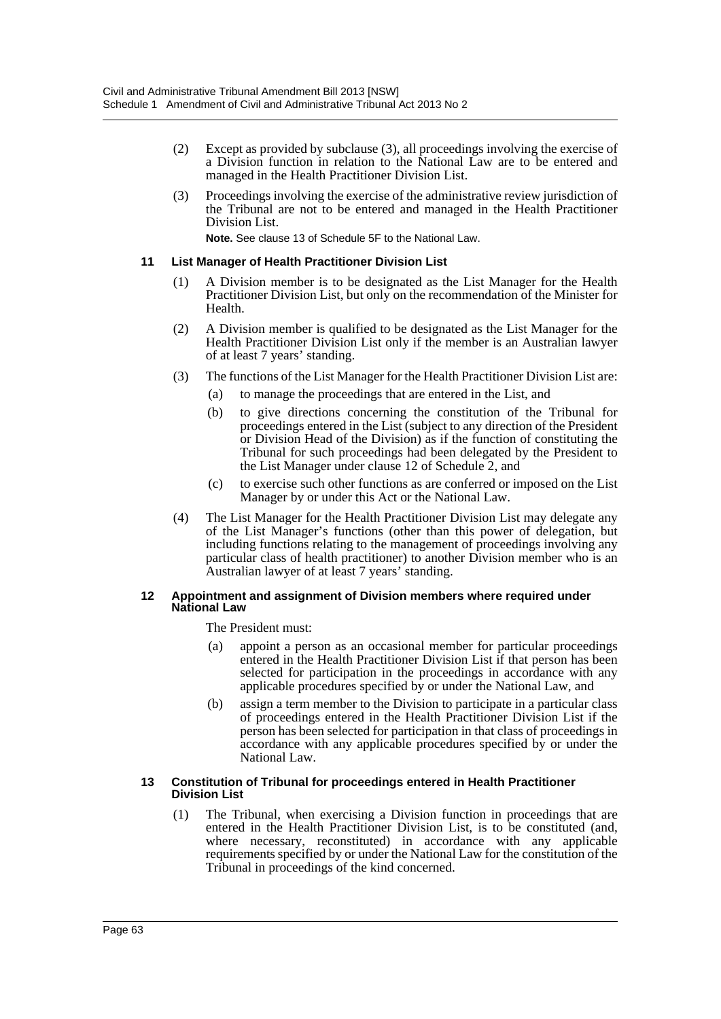- (2) Except as provided by subclause (3), all proceedings involving the exercise of a Division function in relation to the National Law are to be entered and managed in the Health Practitioner Division List.
- (3) Proceedings involving the exercise of the administrative review jurisdiction of the Tribunal are not to be entered and managed in the Health Practitioner Division List.

**Note.** See clause 13 of Schedule 5F to the National Law.

## **11 List Manager of Health Practitioner Division List**

- (1) A Division member is to be designated as the List Manager for the Health Practitioner Division List, but only on the recommendation of the Minister for Health.
- (2) A Division member is qualified to be designated as the List Manager for the Health Practitioner Division List only if the member is an Australian lawyer of at least 7 years' standing.
- (3) The functions of the List Manager for the Health Practitioner Division List are:
	- (a) to manage the proceedings that are entered in the List, and
	- (b) to give directions concerning the constitution of the Tribunal for proceedings entered in the List (subject to any direction of the President or Division Head of the Division) as if the function of constituting the Tribunal for such proceedings had been delegated by the President to the List Manager under clause 12 of Schedule 2, and
	- (c) to exercise such other functions as are conferred or imposed on the List Manager by or under this Act or the National Law.
- (4) The List Manager for the Health Practitioner Division List may delegate any of the List Manager's functions (other than this power of delegation, but including functions relating to the management of proceedings involving any particular class of health practitioner) to another Division member who is an Australian lawyer of at least 7 years' standing.

#### **12 Appointment and assignment of Division members where required under National Law**

The President must:

- (a) appoint a person as an occasional member for particular proceedings entered in the Health Practitioner Division List if that person has been selected for participation in the proceedings in accordance with any applicable procedures specified by or under the National Law, and
- (b) assign a term member to the Division to participate in a particular class of proceedings entered in the Health Practitioner Division List if the person has been selected for participation in that class of proceedings in accordance with any applicable procedures specified by or under the National Law.

#### **13 Constitution of Tribunal for proceedings entered in Health Practitioner Division List**

(1) The Tribunal, when exercising a Division function in proceedings that are entered in the Health Practitioner Division List, is to be constituted (and, where necessary, reconstituted) in accordance with any applicable requirements specified by or under the National Law for the constitution of the Tribunal in proceedings of the kind concerned.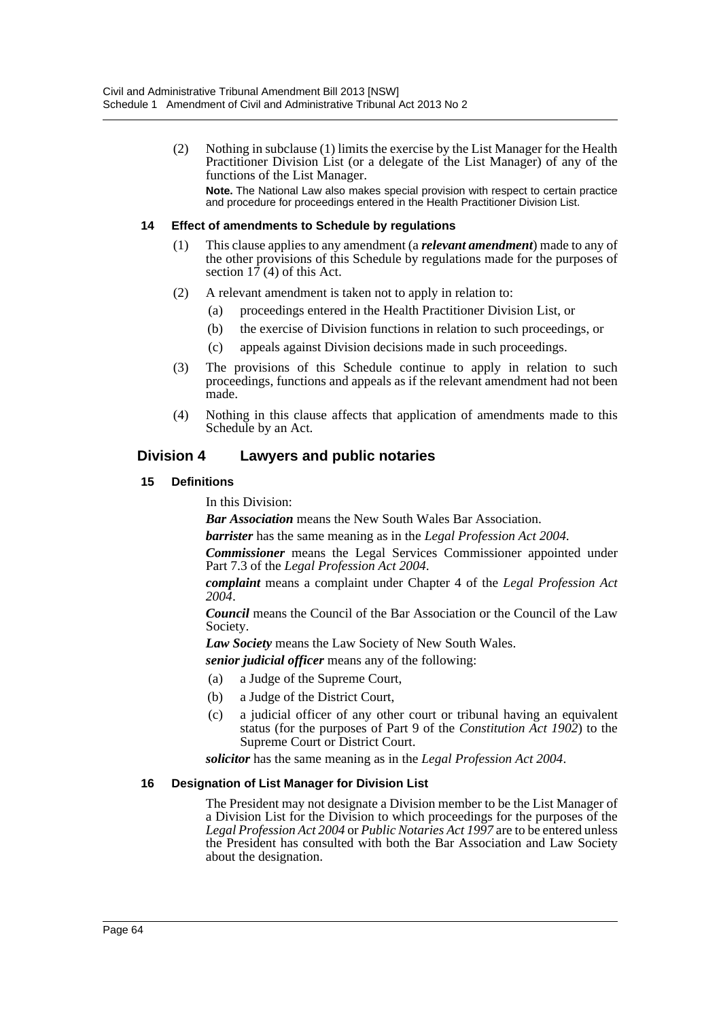(2) Nothing in subclause (1) limits the exercise by the List Manager for the Health Practitioner Division List (or a delegate of the List Manager) of any of the functions of the List Manager. **Note.** The National Law also makes special provision with respect to certain practice and procedure for proceedings entered in the Health Practitioner Division List.

## **14 Effect of amendments to Schedule by regulations**

- (1) This clause applies to any amendment (a *relevant amendment*) made to any of the other provisions of this Schedule by regulations made for the purposes of section  $1\bar{7}$  (4) of this Act.
- (2) A relevant amendment is taken not to apply in relation to:
	- (a) proceedings entered in the Health Practitioner Division List, or
	- (b) the exercise of Division functions in relation to such proceedings, or
	- (c) appeals against Division decisions made in such proceedings.
- (3) The provisions of this Schedule continue to apply in relation to such proceedings, functions and appeals as if the relevant amendment had not been made.
- (4) Nothing in this clause affects that application of amendments made to this Schedule by an Act.

# **Division 4 Lawyers and public notaries**

## **15 Definitions**

In this Division:

*Bar Association* means the New South Wales Bar Association.

*barrister* has the same meaning as in the *Legal Profession Act 2004*.

*Commissioner* means the Legal Services Commissioner appointed under Part 7.3 of the *Legal Profession Act 2004*.

*complaint* means a complaint under Chapter 4 of the *Legal Profession Act 2004*.

*Council* means the Council of the Bar Association or the Council of the Law Society.

*Law Society* means the Law Society of New South Wales.

*senior judicial officer* means any of the following:

- (a) a Judge of the Supreme Court,
- (b) a Judge of the District Court,
- (c) a judicial officer of any other court or tribunal having an equivalent status (for the purposes of Part 9 of the *Constitution Act 1902*) to the Supreme Court or District Court.

*solicitor* has the same meaning as in the *Legal Profession Act 2004*.

## **16 Designation of List Manager for Division List**

The President may not designate a Division member to be the List Manager of a Division List for the Division to which proceedings for the purposes of the *Legal Profession Act 2004* or *Public Notaries Act 1997* are to be entered unless the President has consulted with both the Bar Association and Law Society about the designation.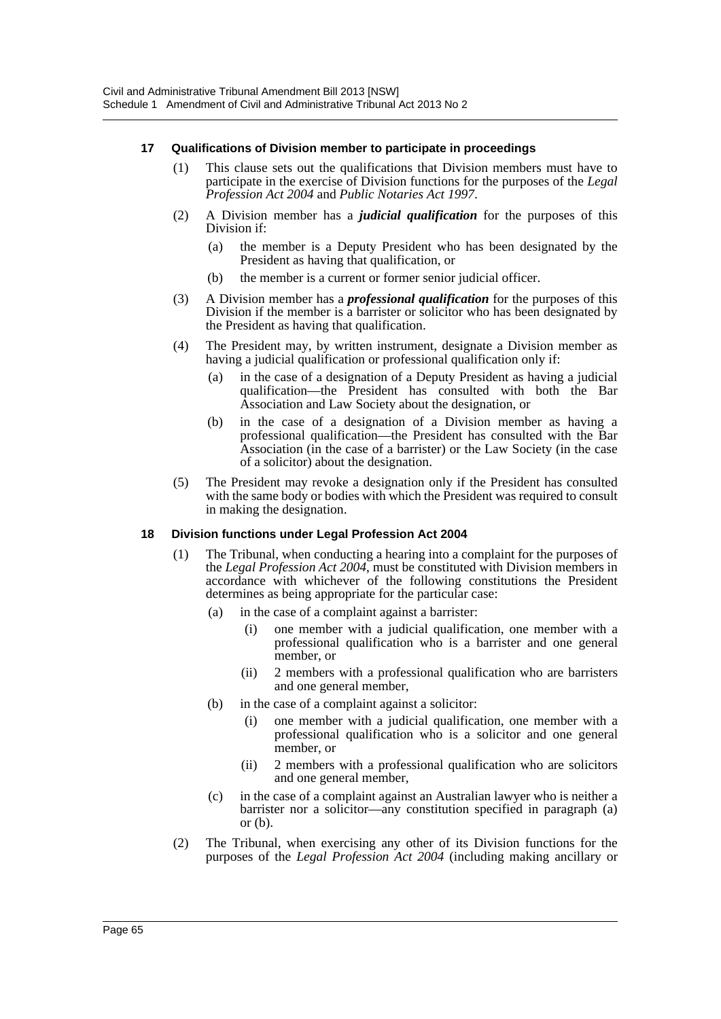## **17 Qualifications of Division member to participate in proceedings**

- (1) This clause sets out the qualifications that Division members must have to participate in the exercise of Division functions for the purposes of the *Legal Profession Act 2004* and *Public Notaries Act 1997*.
- (2) A Division member has a *judicial qualification* for the purposes of this Division if:
	- (a) the member is a Deputy President who has been designated by the President as having that qualification, or
	- (b) the member is a current or former senior judicial officer.
- (3) A Division member has a *professional qualification* for the purposes of this Division if the member is a barrister or solicitor who has been designated by the President as having that qualification.
- (4) The President may, by written instrument, designate a Division member as having a judicial qualification or professional qualification only if:
	- (a) in the case of a designation of a Deputy President as having a judicial qualification—the President has consulted with both the Bar Association and Law Society about the designation, or
	- (b) in the case of a designation of a Division member as having a professional qualification—the President has consulted with the Bar Association (in the case of a barrister) or the Law Society (in the case of a solicitor) about the designation.
- (5) The President may revoke a designation only if the President has consulted with the same body or bodies with which the President was required to consult in making the designation.

## **18 Division functions under Legal Profession Act 2004**

- (1) The Tribunal, when conducting a hearing into a complaint for the purposes of the *Legal Profession Act 2004*, must be constituted with Division members in accordance with whichever of the following constitutions the President determines as being appropriate for the particular case:
	- (a) in the case of a complaint against a barrister:
		- (i) one member with a judicial qualification, one member with a professional qualification who is a barrister and one general member, or
		- (ii) 2 members with a professional qualification who are barristers and one general member,
	- (b) in the case of a complaint against a solicitor:
		- (i) one member with a judicial qualification, one member with a professional qualification who is a solicitor and one general member, or
		- (ii) 2 members with a professional qualification who are solicitors and one general member,
	- (c) in the case of a complaint against an Australian lawyer who is neither a barrister nor a solicitor—any constitution specified in paragraph (a) or (b).
- (2) The Tribunal, when exercising any other of its Division functions for the purposes of the *Legal Profession Act 2004* (including making ancillary or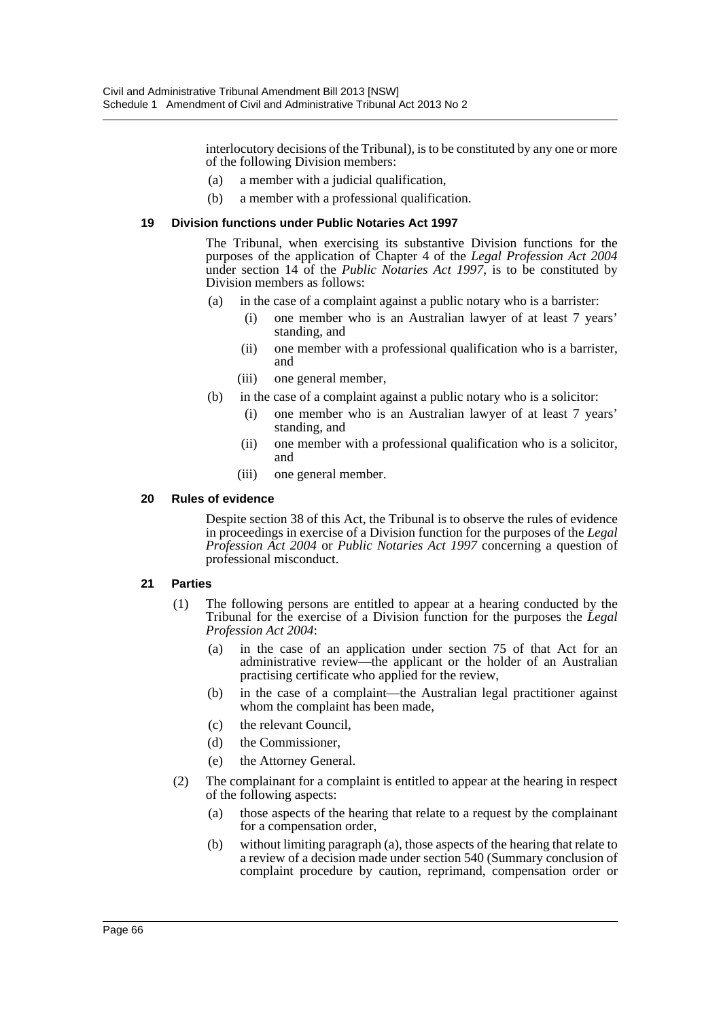interlocutory decisions of the Tribunal), is to be constituted by any one or more of the following Division members:

- (a) a member with a judicial qualification,
- (b) a member with a professional qualification.

#### **19 Division functions under Public Notaries Act 1997**

The Tribunal, when exercising its substantive Division functions for the purposes of the application of Chapter 4 of the *Legal Profession Act 2004* under section 14 of the *Public Notaries Act 1997*, is to be constituted by Division members as follows:

- (a) in the case of a complaint against a public notary who is a barrister:
	- (i) one member who is an Australian lawyer of at least 7 years' standing, and
	- (ii) one member with a professional qualification who is a barrister, and
	- (iii) one general member,
- (b) in the case of a complaint against a public notary who is a solicitor:
	- (i) one member who is an Australian lawyer of at least 7 years' standing, and
	- (ii) one member with a professional qualification who is a solicitor, and
	- (iii) one general member.

#### **20 Rules of evidence**

Despite section 38 of this Act, the Tribunal is to observe the rules of evidence in proceedings in exercise of a Division function for the purposes of the *Legal Profession Act 2004* or *Public Notaries Act 1997* concerning a question of professional misconduct.

## **21 Parties**

- (1) The following persons are entitled to appear at a hearing conducted by the Tribunal for the exercise of a Division function for the purposes the *Legal Profession Act 2004*:
	- (a) in the case of an application under section 75 of that Act for an administrative review—the applicant or the holder of an Australian practising certificate who applied for the review,
	- (b) in the case of a complaint—the Australian legal practitioner against whom the complaint has been made,
	- (c) the relevant Council,
	- (d) the Commissioner,
	- (e) the Attorney General.
- (2) The complainant for a complaint is entitled to appear at the hearing in respect of the following aspects:
	- (a) those aspects of the hearing that relate to a request by the complainant for a compensation order,
	- (b) without limiting paragraph (a), those aspects of the hearing that relate to a review of a decision made under section 540 (Summary conclusion of complaint procedure by caution, reprimand, compensation order or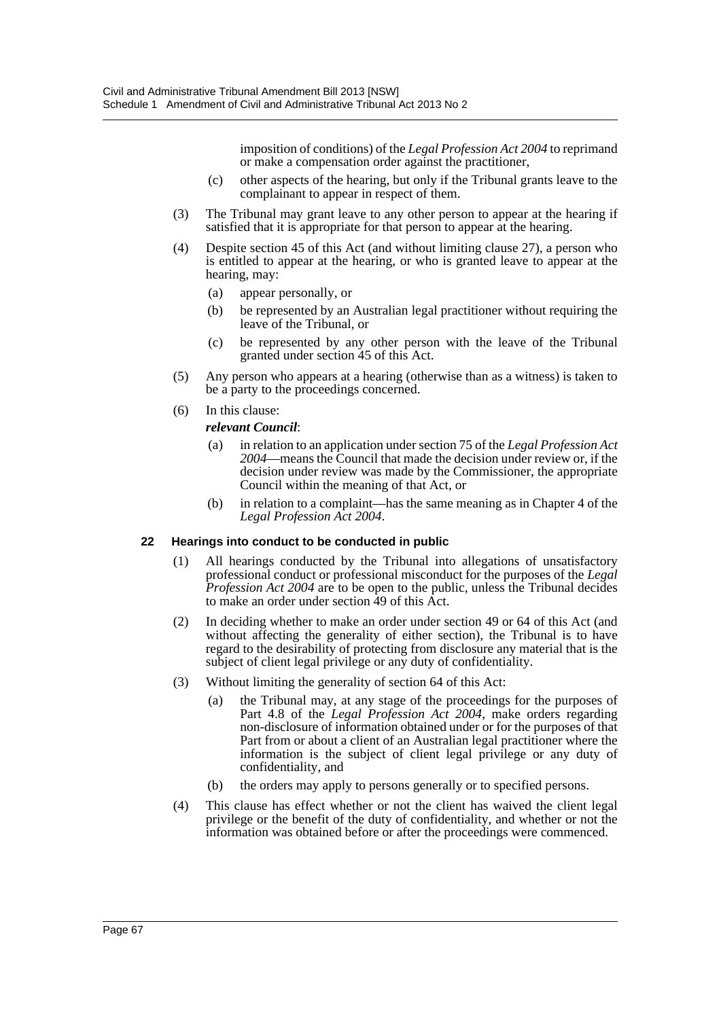imposition of conditions) of the *Legal Profession Act 2004* to reprimand or make a compensation order against the practitioner,

- (c) other aspects of the hearing, but only if the Tribunal grants leave to the complainant to appear in respect of them.
- (3) The Tribunal may grant leave to any other person to appear at the hearing if satisfied that it is appropriate for that person to appear at the hearing.
- (4) Despite section 45 of this Act (and without limiting clause 27), a person who is entitled to appear at the hearing, or who is granted leave to appear at the hearing, may:
	- (a) appear personally, or
	- (b) be represented by an Australian legal practitioner without requiring the leave of the Tribunal, or
	- (c) be represented by any other person with the leave of the Tribunal granted under section 45 of this Act.
- (5) Any person who appears at a hearing (otherwise than as a witness) is taken to be a party to the proceedings concerned.
- (6) In this clause:

#### *relevant Council*:

- (a) in relation to an application under section 75 of the *Legal Profession Act 2004*—means the Council that made the decision under review or, if the decision under review was made by the Commissioner, the appropriate Council within the meaning of that Act, or
- (b) in relation to a complaint—has the same meaning as in Chapter 4 of the *Legal Profession Act 2004*.

#### **22 Hearings into conduct to be conducted in public**

- (1) All hearings conducted by the Tribunal into allegations of unsatisfactory professional conduct or professional misconduct for the purposes of the *Legal Profession Act 2004* are to be open to the public, unless the Tribunal decides to make an order under section 49 of this Act.
- (2) In deciding whether to make an order under section 49 or 64 of this Act (and without affecting the generality of either section), the Tribunal is to have regard to the desirability of protecting from disclosure any material that is the subject of client legal privilege or any duty of confidentiality.
- (3) Without limiting the generality of section 64 of this Act:
	- (a) the Tribunal may, at any stage of the proceedings for the purposes of Part 4.8 of the *Legal Profession Act 2004*, make orders regarding non-disclosure of information obtained under or for the purposes of that Part from or about a client of an Australian legal practitioner where the information is the subject of client legal privilege or any duty of confidentiality, and
	- (b) the orders may apply to persons generally or to specified persons.
- (4) This clause has effect whether or not the client has waived the client legal privilege or the benefit of the duty of confidentiality, and whether or not the information was obtained before or after the proceedings were commenced.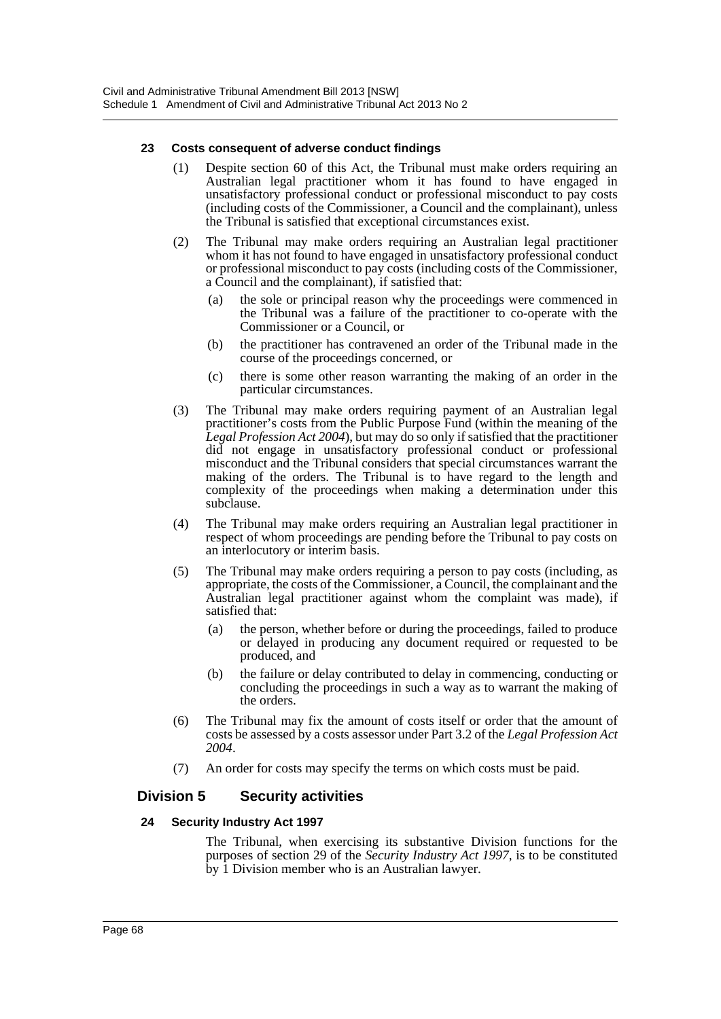## **23 Costs consequent of adverse conduct findings**

- (1) Despite section 60 of this Act, the Tribunal must make orders requiring an Australian legal practitioner whom it has found to have engaged in unsatisfactory professional conduct or professional misconduct to pay costs (including costs of the Commissioner, a Council and the complainant), unless the Tribunal is satisfied that exceptional circumstances exist.
- (2) The Tribunal may make orders requiring an Australian legal practitioner whom it has not found to have engaged in unsatisfactory professional conduct or professional misconduct to pay costs (including costs of the Commissioner, a Council and the complainant), if satisfied that:
	- (a) the sole or principal reason why the proceedings were commenced in the Tribunal was a failure of the practitioner to co-operate with the Commissioner or a Council, or
	- (b) the practitioner has contravened an order of the Tribunal made in the course of the proceedings concerned, or
	- (c) there is some other reason warranting the making of an order in the particular circumstances.
- (3) The Tribunal may make orders requiring payment of an Australian legal practitioner's costs from the Public Purpose Fund (within the meaning of the *Legal Profession Act 2004*), but may do so only if satisfied that the practitioner did not engage in unsatisfactory professional conduct or professional misconduct and the Tribunal considers that special circumstances warrant the making of the orders. The Tribunal is to have regard to the length and complexity of the proceedings when making a determination under this subclause.
- (4) The Tribunal may make orders requiring an Australian legal practitioner in respect of whom proceedings are pending before the Tribunal to pay costs on an interlocutory or interim basis.
- (5) The Tribunal may make orders requiring a person to pay costs (including, as appropriate, the costs of the Commissioner, a Council, the complainant and the Australian legal practitioner against whom the complaint was made), if satisfied that:
	- (a) the person, whether before or during the proceedings, failed to produce or delayed in producing any document required or requested to be produced, and
	- (b) the failure or delay contributed to delay in commencing, conducting or concluding the proceedings in such a way as to warrant the making of the orders.
- (6) The Tribunal may fix the amount of costs itself or order that the amount of costs be assessed by a costs assessor under Part 3.2 of the *Legal Profession Act 2004*.
- (7) An order for costs may specify the terms on which costs must be paid.

# **Division 5 Security activities**

## **24 Security Industry Act 1997**

The Tribunal, when exercising its substantive Division functions for the purposes of section 29 of the *Security Industry Act 1997*, is to be constituted by 1 Division member who is an Australian lawyer.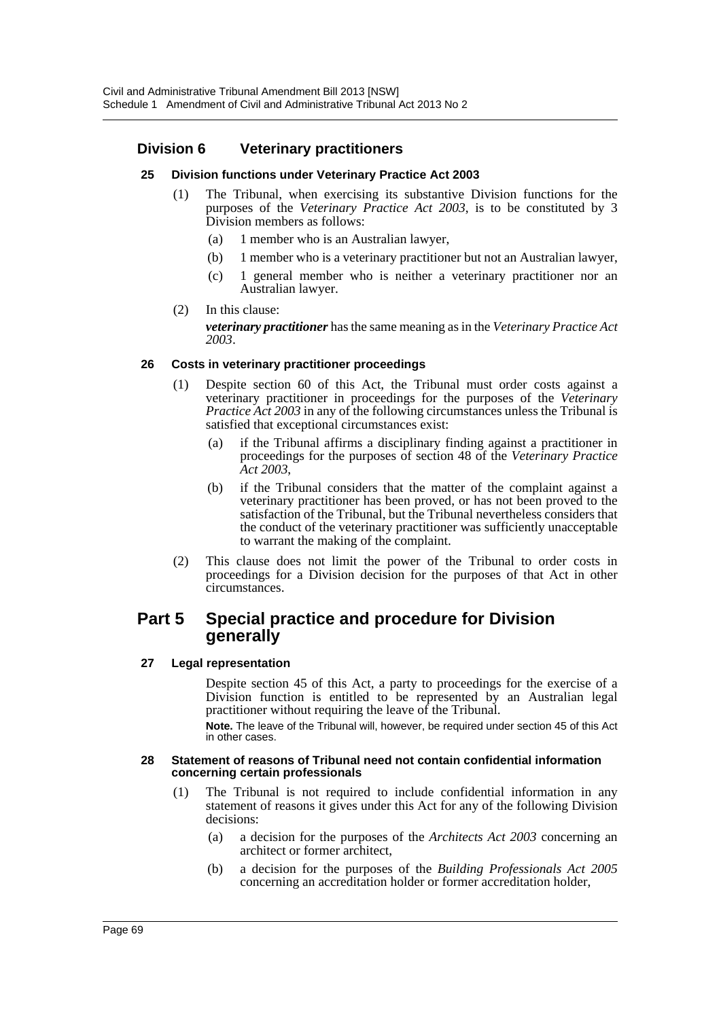# **Division 6 Veterinary practitioners**

## **25 Division functions under Veterinary Practice Act 2003**

- (1) The Tribunal, when exercising its substantive Division functions for the purposes of the *Veterinary Practice Act 2003*, is to be constituted by 3 Division members as follows:
	- (a) 1 member who is an Australian lawyer,
	- (b) 1 member who is a veterinary practitioner but not an Australian lawyer,
	- (c) 1 general member who is neither a veterinary practitioner nor an Australian lawyer.
- (2) In this clause:

*veterinary practitioner* has the same meaning as in the *Veterinary Practice Act 2003*.

## **26 Costs in veterinary practitioner proceedings**

- (1) Despite section 60 of this Act, the Tribunal must order costs against a veterinary practitioner in proceedings for the purposes of the *Veterinary Practice Act 2003* in any of the following circumstances unless the Tribunal is satisfied that exceptional circumstances exist:
	- (a) if the Tribunal affirms a disciplinary finding against a practitioner in proceedings for the purposes of section 48 of the *Veterinary Practice Act 2003*,
	- (b) if the Tribunal considers that the matter of the complaint against a veterinary practitioner has been proved, or has not been proved to the satisfaction of the Tribunal, but the Tribunal nevertheless considers that the conduct of the veterinary practitioner was sufficiently unacceptable to warrant the making of the complaint.
- (2) This clause does not limit the power of the Tribunal to order costs in proceedings for a Division decision for the purposes of that Act in other circumstances.

# **Part 5 Special practice and procedure for Division generally**

## **27 Legal representation**

Despite section 45 of this Act, a party to proceedings for the exercise of a Division function is entitled to be represented by an Australian legal practitioner without requiring the leave of the Tribunal. **Note.** The leave of the Tribunal will, however, be required under section 45 of this Act in other cases.

#### **28 Statement of reasons of Tribunal need not contain confidential information concerning certain professionals**

- (1) The Tribunal is not required to include confidential information in any statement of reasons it gives under this Act for any of the following Division decisions:
	- (a) a decision for the purposes of the *Architects Act 2003* concerning an architect or former architect,
	- (b) a decision for the purposes of the *Building Professionals Act 2005* concerning an accreditation holder or former accreditation holder,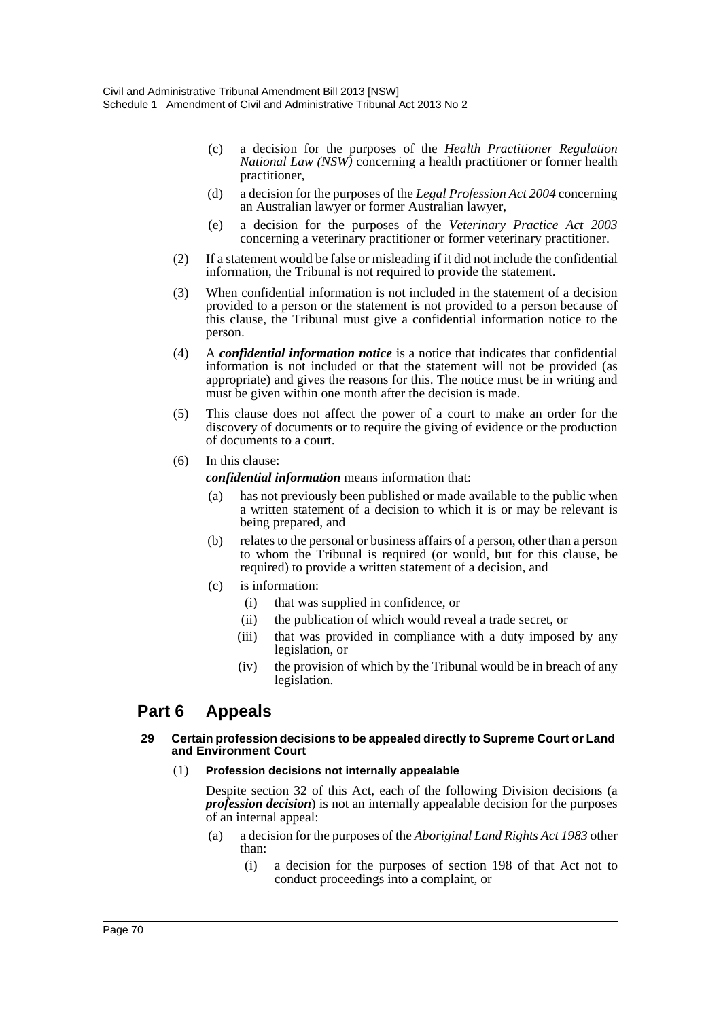- (c) a decision for the purposes of the *Health Practitioner Regulation National Law (NSW)* concerning a health practitioner or former health practitioner,
- (d) a decision for the purposes of the *Legal Profession Act 2004* concerning an Australian lawyer or former Australian lawyer,
- (e) a decision for the purposes of the *Veterinary Practice Act 2003* concerning a veterinary practitioner or former veterinary practitioner.
- (2) If a statement would be false or misleading if it did not include the confidential information, the Tribunal is not required to provide the statement.
- (3) When confidential information is not included in the statement of a decision provided to a person or the statement is not provided to a person because of this clause, the Tribunal must give a confidential information notice to the person.
- (4) A *confidential information notice* is a notice that indicates that confidential information is not included or that the statement will not be provided (as appropriate) and gives the reasons for this. The notice must be in writing and must be given within one month after the decision is made.
- (5) This clause does not affect the power of a court to make an order for the discovery of documents or to require the giving of evidence or the production of documents to a court.
- (6) In this clause:

*confidential information* means information that:

- (a) has not previously been published or made available to the public when a written statement of a decision to which it is or may be relevant is being prepared, and
- (b) relates to the personal or business affairs of a person, other than a person to whom the Tribunal is required (or would, but for this clause, be required) to provide a written statement of a decision, and
- (c) is information:
	- (i) that was supplied in confidence, or
	- (ii) the publication of which would reveal a trade secret, or
	- (iii) that was provided in compliance with a duty imposed by any legislation, or
	- (iv) the provision of which by the Tribunal would be in breach of any legislation.

# **Part 6 Appeals**

#### **29 Certain profession decisions to be appealed directly to Supreme Court or Land and Environment Court**

## (1) **Profession decisions not internally appealable**

Despite section 32 of this Act, each of the following Division decisions (a *profession decision*) is not an internally appealable decision for the purposes of an internal appeal:

- (a) a decision for the purposes of the *Aboriginal Land Rights Act 1983* other than:
	- (i) a decision for the purposes of section 198 of that Act not to conduct proceedings into a complaint, or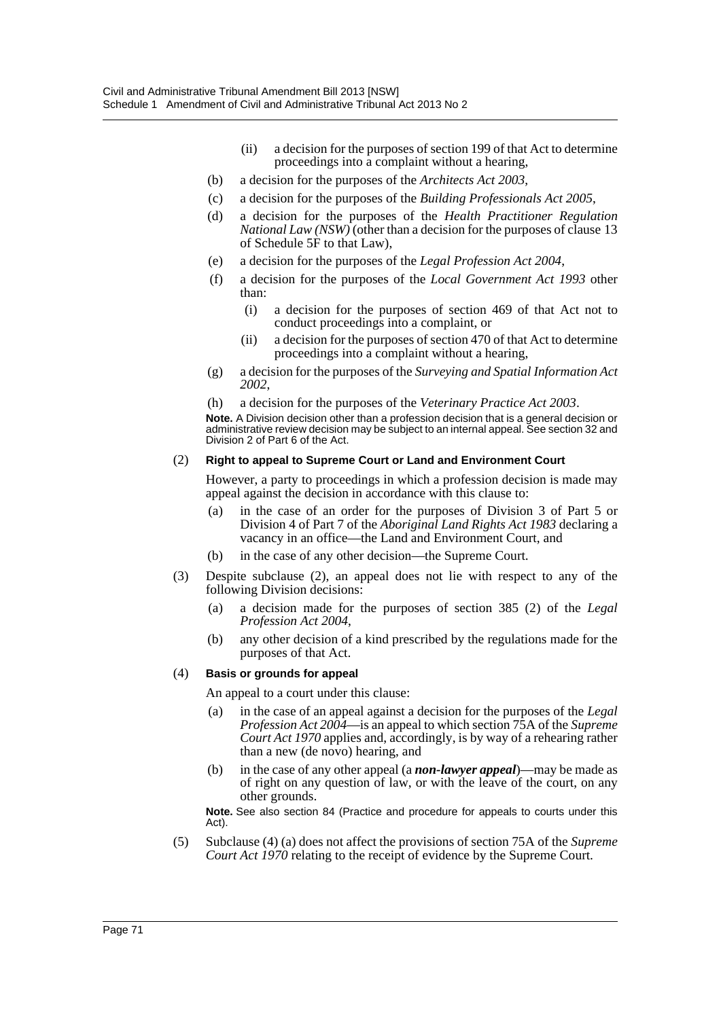- (ii) a decision for the purposes of section 199 of that Act to determine proceedings into a complaint without a hearing,
- (b) a decision for the purposes of the *Architects Act 2003*,
- (c) a decision for the purposes of the *Building Professionals Act 2005*,
- (d) a decision for the purposes of the *Health Practitioner Regulation National Law (NSW)* (other than a decision for the purposes of clause 13 of Schedule 5F to that Law),
- (e) a decision for the purposes of the *Legal Profession Act 2004*,
- (f) a decision for the purposes of the *Local Government Act 1993* other than:
	- (i) a decision for the purposes of section 469 of that Act not to conduct proceedings into a complaint, or
	- (ii) a decision for the purposes of section 470 of that Act to determine proceedings into a complaint without a hearing,
- (g) a decision for the purposes of the *Surveying and Spatial Information Act 2002*,
- (h) a decision for the purposes of the *Veterinary Practice Act 2003*.

**Note.** A Division decision other than a profession decision that is a general decision or administrative review decision may be subject to an internal appeal. See section 32 and Division 2 of Part 6 of the Act.

#### (2) **Right to appeal to Supreme Court or Land and Environment Court**

However, a party to proceedings in which a profession decision is made may appeal against the decision in accordance with this clause to:

- (a) in the case of an order for the purposes of Division 3 of Part 5 or Division 4 of Part 7 of the *Aboriginal Land Rights Act 1983* declaring a vacancy in an office—the Land and Environment Court, and
- (b) in the case of any other decision—the Supreme Court.
- (3) Despite subclause (2), an appeal does not lie with respect to any of the following Division decisions:
	- (a) a decision made for the purposes of section 385 (2) of the *Legal Profession Act 2004*,
	- (b) any other decision of a kind prescribed by the regulations made for the purposes of that Act.

## (4) **Basis or grounds for appeal**

An appeal to a court under this clause:

- (a) in the case of an appeal against a decision for the purposes of the *Legal Profession Act 2004*—is an appeal to which section 75A of the *Supreme Court Act 1970* applies and, accordingly, is by way of a rehearing rather than a new (de novo) hearing, and
- (b) in the case of any other appeal (a *non-lawyer appeal*)—may be made as of right on any question of law, or with the leave of the court, on any other grounds.

**Note.** See also section 84 (Practice and procedure for appeals to courts under this Act).

(5) Subclause (4) (a) does not affect the provisions of section 75A of the *Supreme Court Act 1970* relating to the receipt of evidence by the Supreme Court.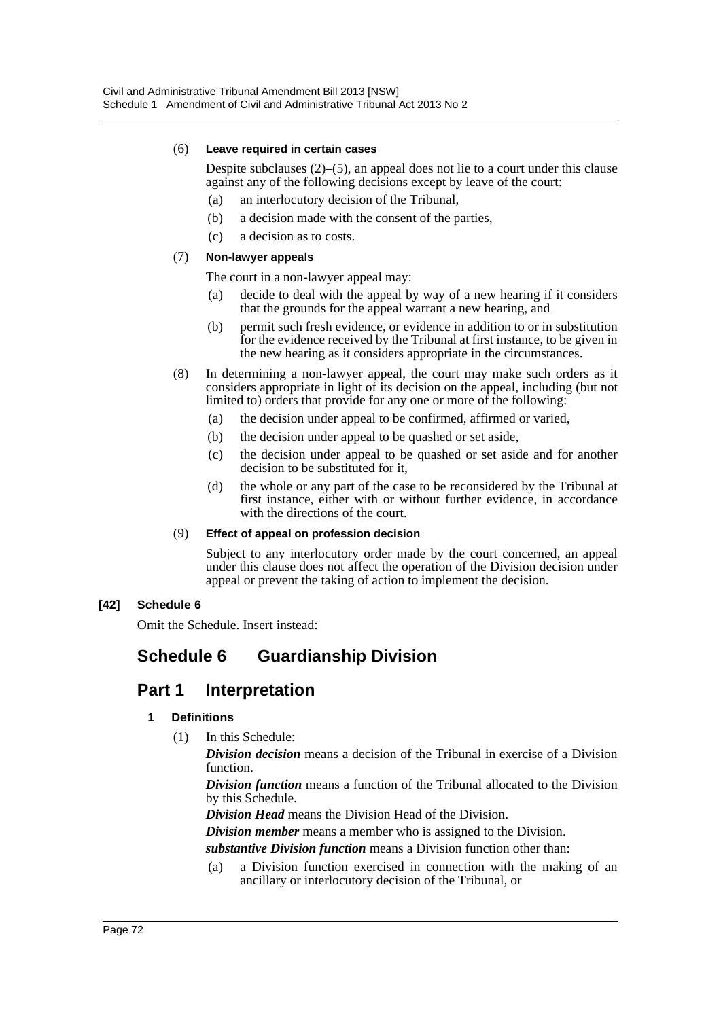#### (6) **Leave required in certain cases**

Despite subclauses (2)–(5), an appeal does not lie to a court under this clause against any of the following decisions except by leave of the court:

- (a) an interlocutory decision of the Tribunal,
- (b) a decision made with the consent of the parties,
- (c) a decision as to costs.

### (7) **Non-lawyer appeals**

The court in a non-lawyer appeal may:

- (a) decide to deal with the appeal by way of a new hearing if it considers that the grounds for the appeal warrant a new hearing, and
- (b) permit such fresh evidence, or evidence in addition to or in substitution for the evidence received by the Tribunal at first instance, to be given in the new hearing as it considers appropriate in the circumstances.
- (8) In determining a non-lawyer appeal, the court may make such orders as it considers appropriate in light of its decision on the appeal, including (but not limited to) orders that provide for any one or more of the following:
	- (a) the decision under appeal to be confirmed, affirmed or varied,
	- (b) the decision under appeal to be quashed or set aside,
	- (c) the decision under appeal to be quashed or set aside and for another decision to be substituted for it,
	- (d) the whole or any part of the case to be reconsidered by the Tribunal at first instance, either with or without further evidence, in accordance with the directions of the court.

#### (9) **Effect of appeal on profession decision**

Subject to any interlocutory order made by the court concerned, an appeal under this clause does not affect the operation of the Division decision under appeal or prevent the taking of action to implement the decision.

# **[42] Schedule 6**

Omit the Schedule. Insert instead:

# **Schedule 6 Guardianship Division**

# **Part 1 Interpretation**

# **1 Definitions**

(1) In this Schedule:

*Division decision* means a decision of the Tribunal in exercise of a Division function.

*Division function* means a function of the Tribunal allocated to the Division by this Schedule.

*Division Head* means the Division Head of the Division.

*Division member* means a member who is assigned to the Division.

*substantive Division function* means a Division function other than:

(a) a Division function exercised in connection with the making of an ancillary or interlocutory decision of the Tribunal, or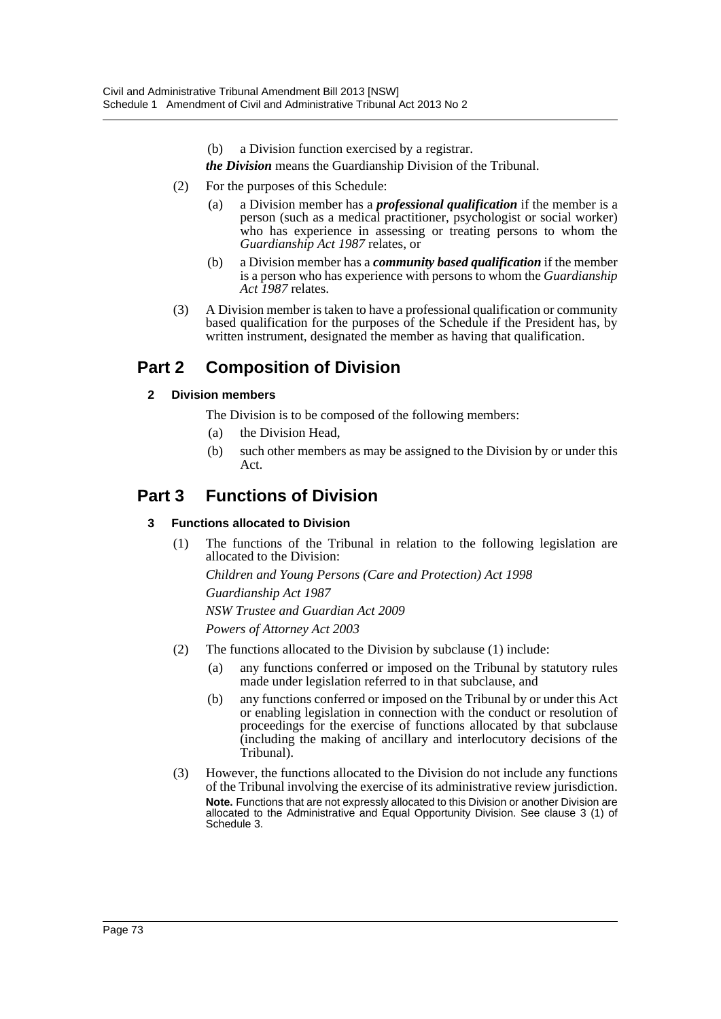- (b) a Division function exercised by a registrar.
- *the Division* means the Guardianship Division of the Tribunal.
- (2) For the purposes of this Schedule:
	- (a) a Division member has a *professional qualification* if the member is a person (such as a medical practitioner, psychologist or social worker) who has experience in assessing or treating persons to whom the *Guardianship Act 1987* relates, or
	- (b) a Division member has a *community based qualification* if the member is a person who has experience with persons to whom the *Guardianship Act 1987* relates.
- (3) A Division member is taken to have a professional qualification or community based qualification for the purposes of the Schedule if the President has, by written instrument, designated the member as having that qualification.

# **Part 2 Composition of Division**

# **2 Division members**

The Division is to be composed of the following members:

- (a) the Division Head,
- (b) such other members as may be assigned to the Division by or under this Act.

# **Part 3 Functions of Division**

# **3 Functions allocated to Division**

(1) The functions of the Tribunal in relation to the following legislation are allocated to the Division:

*Children and Young Persons (Care and Protection) Act 1998 Guardianship Act 1987*

*NSW Trustee and Guardian Act 2009*

*Powers of Attorney Act 2003*

- (2) The functions allocated to the Division by subclause (1) include:
	- (a) any functions conferred or imposed on the Tribunal by statutory rules made under legislation referred to in that subclause, and
	- (b) any functions conferred or imposed on the Tribunal by or under this Act or enabling legislation in connection with the conduct or resolution of proceedings for the exercise of functions allocated by that subclause (including the making of ancillary and interlocutory decisions of the Tribunal).
- (3) However, the functions allocated to the Division do not include any functions of the Tribunal involving the exercise of its administrative review jurisdiction. **Note.** Functions that are not expressly allocated to this Division or another Division are allocated to the Administrative and Equal Opportunity Division. See clause 3 (1) of Schedule 3.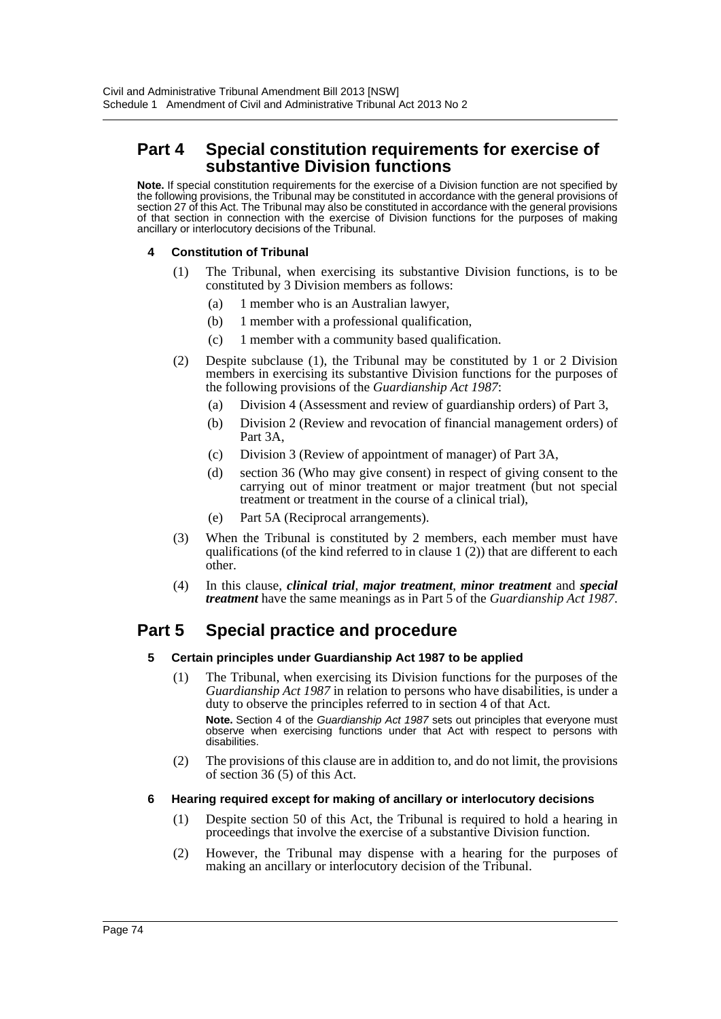# **Part 4 Special constitution requirements for exercise of substantive Division functions**

**Note.** If special constitution requirements for the exercise of a Division function are not specified by the following provisions, the Tribunal may be constituted in accordance with the general provisions of section 27 of this Act. The Tribunal may also be constituted in accordance with the general provisions of that section in connection with the exercise of Division functions for the purposes of making ancillary or interlocutory decisions of the Tribunal.

### **4 Constitution of Tribunal**

- (1) The Tribunal, when exercising its substantive Division functions, is to be constituted by 3 Division members as follows:
	- (a) 1 member who is an Australian lawyer,
	- (b) 1 member with a professional qualification,
	- (c) 1 member with a community based qualification.
- (2) Despite subclause (1), the Tribunal may be constituted by 1 or 2 Division members in exercising its substantive Division functions for the purposes of the following provisions of the *Guardianship Act 1987*:
	- (a) Division 4 (Assessment and review of guardianship orders) of Part 3,
	- (b) Division 2 (Review and revocation of financial management orders) of Part 3A,
	- (c) Division 3 (Review of appointment of manager) of Part 3A,
	- (d) section 36 (Who may give consent) in respect of giving consent to the carrying out of minor treatment or major treatment (but not special treatment or treatment in the course of a clinical trial),
	- (e) Part 5A (Reciprocal arrangements).
- (3) When the Tribunal is constituted by 2 members, each member must have qualifications (of the kind referred to in clause  $1(2)$ ) that are different to each other.
- (4) In this clause, *clinical trial*, *major treatment*, *minor treatment* and *special treatment* have the same meanings as in Part 5 of the *Guardianship Act 1987*.

# **Part 5 Special practice and procedure**

#### **5 Certain principles under Guardianship Act 1987 to be applied**

- (1) The Tribunal, when exercising its Division functions for the purposes of the *Guardianship Act 1987* in relation to persons who have disabilities, is under a duty to observe the principles referred to in section 4 of that Act. **Note.** Section 4 of the *Guardianship Act 1987* sets out principles that everyone must observe when exercising functions under that Act with respect to persons with disabilities.
- (2) The provisions of this clause are in addition to, and do not limit, the provisions of section 36 (5) of this Act.

#### **6 Hearing required except for making of ancillary or interlocutory decisions**

- (1) Despite section 50 of this Act, the Tribunal is required to hold a hearing in proceedings that involve the exercise of a substantive Division function.
- (2) However, the Tribunal may dispense with a hearing for the purposes of making an ancillary or interlocutory decision of the Tribunal.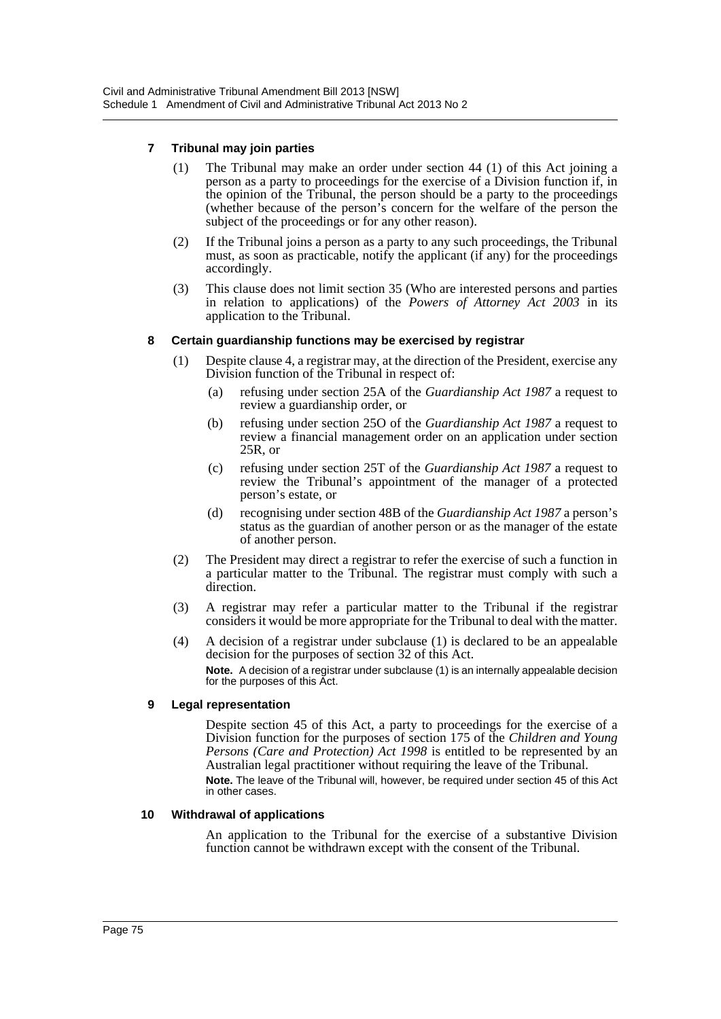### **7 Tribunal may join parties**

- (1) The Tribunal may make an order under section 44 (1) of this Act joining a person as a party to proceedings for the exercise of a Division function if, in the opinion of the Tribunal, the person should be a party to the proceedings (whether because of the person's concern for the welfare of the person the subject of the proceedings or for any other reason).
- (2) If the Tribunal joins a person as a party to any such proceedings, the Tribunal must, as soon as practicable, notify the applicant (if any) for the proceedings accordingly.
- (3) This clause does not limit section 35 (Who are interested persons and parties in relation to applications) of the *Powers of Attorney Act 2003* in its application to the Tribunal.

#### **8 Certain guardianship functions may be exercised by registrar**

- (1) Despite clause 4, a registrar may, at the direction of the President, exercise any Division function of the Tribunal in respect of:
	- (a) refusing under section 25A of the *Guardianship Act 1987* a request to review a guardianship order, or
	- (b) refusing under section 25O of the *Guardianship Act 1987* a request to review a financial management order on an application under section 25R, or
	- (c) refusing under section 25T of the *Guardianship Act 1987* a request to review the Tribunal's appointment of the manager of a protected person's estate, or
	- (d) recognising under section 48B of the *Guardianship Act 1987* a person's status as the guardian of another person or as the manager of the estate of another person.
- (2) The President may direct a registrar to refer the exercise of such a function in a particular matter to the Tribunal. The registrar must comply with such a direction.
- (3) A registrar may refer a particular matter to the Tribunal if the registrar considers it would be more appropriate for the Tribunal to deal with the matter.
- (4) A decision of a registrar under subclause (1) is declared to be an appealable decision for the purposes of section 32 of this Act. **Note.** A decision of a registrar under subclause (1) is an internally appealable decision for the purposes of this Act.

#### **9 Legal representation**

Despite section 45 of this Act, a party to proceedings for the exercise of a Division function for the purposes of section 175 of the *Children and Young Persons (Care and Protection) Act 1998* is entitled to be represented by an Australian legal practitioner without requiring the leave of the Tribunal. **Note.** The leave of the Tribunal will, however, be required under section 45 of this Act in other cases.

#### **10 Withdrawal of applications**

An application to the Tribunal for the exercise of a substantive Division function cannot be withdrawn except with the consent of the Tribunal.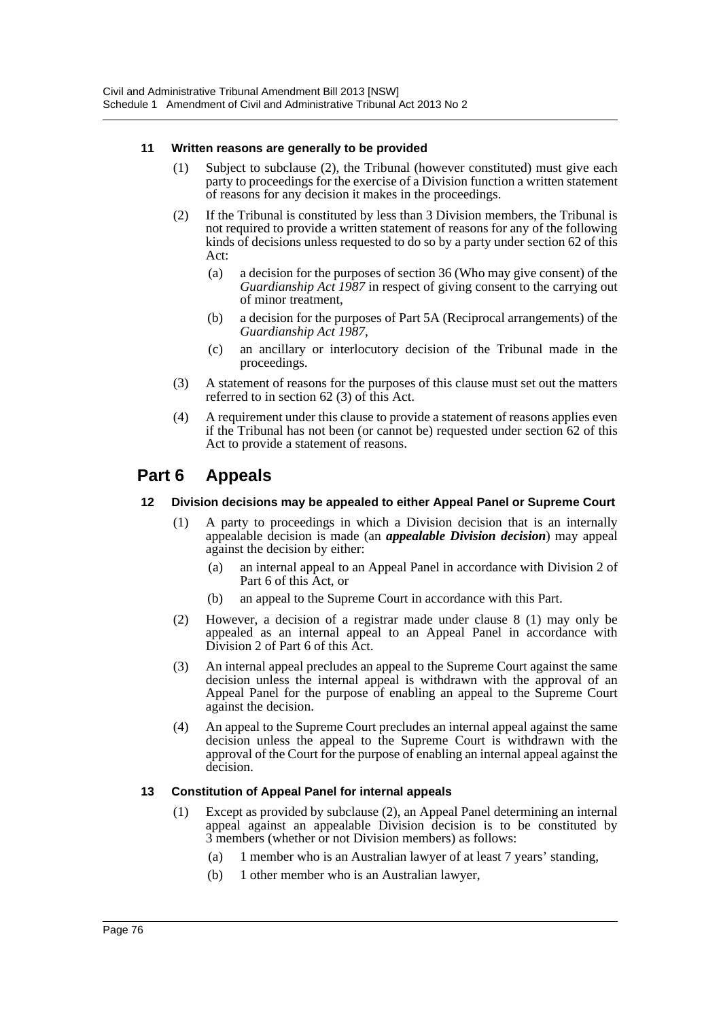### **11 Written reasons are generally to be provided**

- (1) Subject to subclause (2), the Tribunal (however constituted) must give each party to proceedings for the exercise of a Division function a written statement of reasons for any decision it makes in the proceedings.
- (2) If the Tribunal is constituted by less than 3 Division members, the Tribunal is not required to provide a written statement of reasons for any of the following kinds of decisions unless requested to do so by a party under section 62 of this Act:
	- (a) a decision for the purposes of section 36 (Who may give consent) of the *Guardianship Act 1987* in respect of giving consent to the carrying out of minor treatment,
	- (b) a decision for the purposes of Part 5A (Reciprocal arrangements) of the *Guardianship Act 1987*,
	- (c) an ancillary or interlocutory decision of the Tribunal made in the proceedings.
- (3) A statement of reasons for the purposes of this clause must set out the matters referred to in section 62 (3) of this Act.
- (4) A requirement under this clause to provide a statement of reasons applies even if the Tribunal has not been (or cannot be) requested under section 62 of this Act to provide a statement of reasons.

# **Part 6 Appeals**

### **12 Division decisions may be appealed to either Appeal Panel or Supreme Court**

- (1) A party to proceedings in which a Division decision that is an internally appealable decision is made (an *appealable Division decision*) may appeal against the decision by either:
	- (a) an internal appeal to an Appeal Panel in accordance with Division 2 of Part 6 of this Act, or
	- (b) an appeal to the Supreme Court in accordance with this Part.
- (2) However, a decision of a registrar made under clause 8 (1) may only be appealed as an internal appeal to an Appeal Panel in accordance with Division 2 of Part 6 of this Act.
- (3) An internal appeal precludes an appeal to the Supreme Court against the same decision unless the internal appeal is withdrawn with the approval of an Appeal Panel for the purpose of enabling an appeal to the Supreme Court against the decision.
- (4) An appeal to the Supreme Court precludes an internal appeal against the same decision unless the appeal to the Supreme Court is withdrawn with the approval of the Court for the purpose of enabling an internal appeal against the decision.

# **13 Constitution of Appeal Panel for internal appeals**

- (1) Except as provided by subclause (2), an Appeal Panel determining an internal appeal against an appealable Division decision is to be constituted by 3 members (whether or not Division members) as follows:
	- (a) 1 member who is an Australian lawyer of at least 7 years' standing,
	- (b) 1 other member who is an Australian lawyer,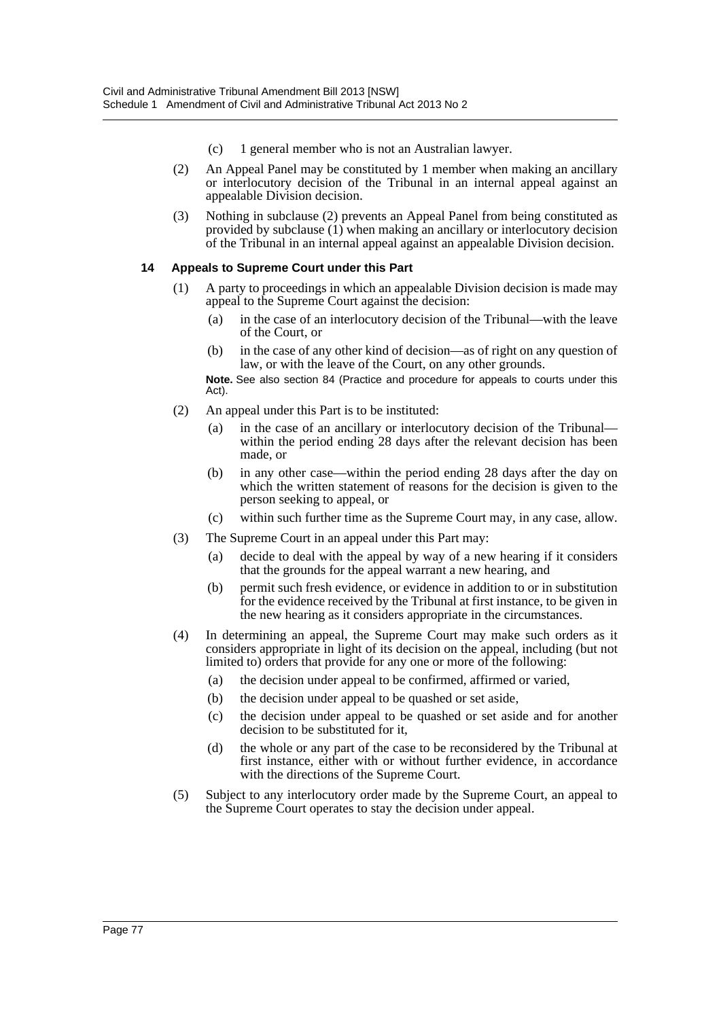- (c) 1 general member who is not an Australian lawyer.
- (2) An Appeal Panel may be constituted by 1 member when making an ancillary or interlocutory decision of the Tribunal in an internal appeal against an appealable Division decision.
- (3) Nothing in subclause (2) prevents an Appeal Panel from being constituted as provided by subclause (1) when making an ancillary or interlocutory decision of the Tribunal in an internal appeal against an appealable Division decision.

### **14 Appeals to Supreme Court under this Part**

- (1) A party to proceedings in which an appealable Division decision is made may appeal to the Supreme Court against the decision:
	- (a) in the case of an interlocutory decision of the Tribunal—with the leave of the Court, or
	- (b) in the case of any other kind of decision—as of right on any question of law, or with the leave of the Court, on any other grounds.

**Note.** See also section 84 (Practice and procedure for appeals to courts under this Act).

- (2) An appeal under this Part is to be instituted:
	- (a) in the case of an ancillary or interlocutory decision of the Tribunal within the period ending 28 days after the relevant decision has been made, or
	- (b) in any other case—within the period ending 28 days after the day on which the written statement of reasons for the decision is given to the person seeking to appeal, or
	- (c) within such further time as the Supreme Court may, in any case, allow.
- (3) The Supreme Court in an appeal under this Part may:
	- (a) decide to deal with the appeal by way of a new hearing if it considers that the grounds for the appeal warrant a new hearing, and
	- (b) permit such fresh evidence, or evidence in addition to or in substitution for the evidence received by the Tribunal at first instance, to be given in the new hearing as it considers appropriate in the circumstances.
- (4) In determining an appeal, the Supreme Court may make such orders as it considers appropriate in light of its decision on the appeal, including (but not limited to) orders that provide for any one or more of the following:
	- (a) the decision under appeal to be confirmed, affirmed or varied,
	- (b) the decision under appeal to be quashed or set aside,
	- (c) the decision under appeal to be quashed or set aside and for another decision to be substituted for it,
	- (d) the whole or any part of the case to be reconsidered by the Tribunal at first instance, either with or without further evidence, in accordance with the directions of the Supreme Court.
- (5) Subject to any interlocutory order made by the Supreme Court, an appeal to the Supreme Court operates to stay the decision under appeal.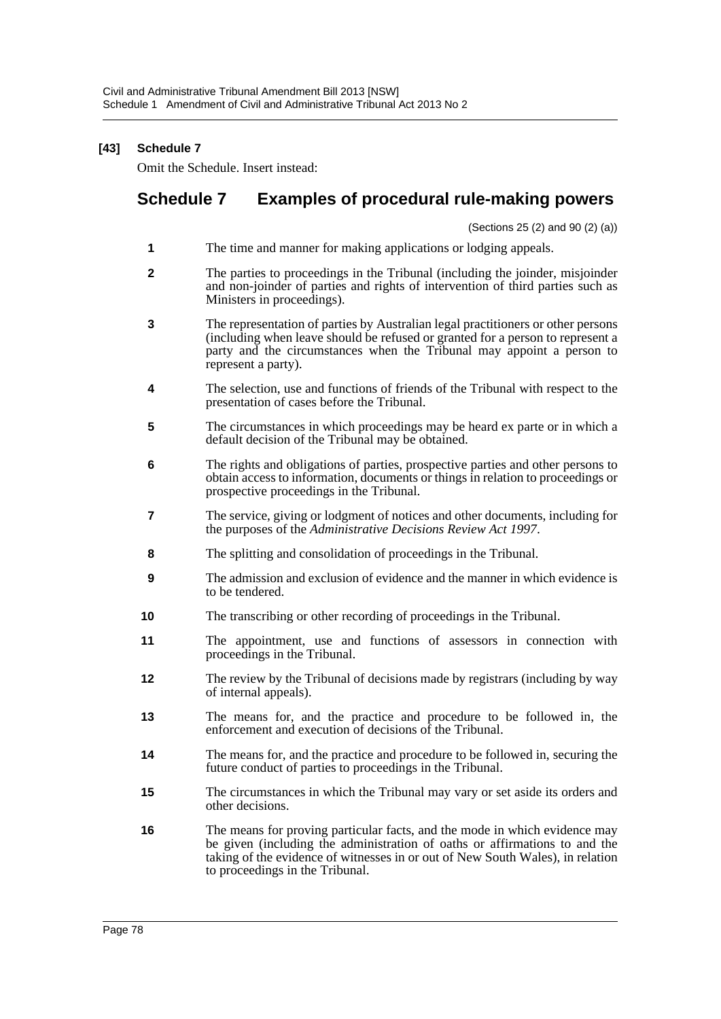# **[43] Schedule 7**

Omit the Schedule. Insert instead:

# **Schedule 7 Examples of procedural rule-making powers**

(Sections 25 (2) and 90 (2) (a))

- **1** The time and manner for making applications or lodging appeals.
- **2** The parties to proceedings in the Tribunal (including the joinder, misjoinder and non-joinder of parties and rights of intervention of third parties such as Ministers in proceedings).
- **3** The representation of parties by Australian legal practitioners or other persons (including when leave should be refused or granted for a person to represent a party and the circumstances when the Tribunal may appoint a person to represent a party).
- **4** The selection, use and functions of friends of the Tribunal with respect to the presentation of cases before the Tribunal.
- **5** The circumstances in which proceedings may be heard ex parte or in which a default decision of the Tribunal may be obtained.
- **6** The rights and obligations of parties, prospective parties and other persons to obtain access to information, documents or things in relation to proceedings or prospective proceedings in the Tribunal.
- **7** The service, giving or lodgment of notices and other documents, including for the purposes of the *Administrative Decisions Review Act 1997*.
- **8** The splitting and consolidation of proceedings in the Tribunal.
- **9** The admission and exclusion of evidence and the manner in which evidence is to be tendered.
- **10** The transcribing or other recording of proceedings in the Tribunal.
- **11** The appointment, use and functions of assessors in connection with proceedings in the Tribunal.
- **12** The review by the Tribunal of decisions made by registrars (including by way of internal appeals).
- **13** The means for, and the practice and procedure to be followed in, the enforcement and execution of decisions of the Tribunal.
- **14** The means for, and the practice and procedure to be followed in, securing the future conduct of parties to proceedings in the Tribunal.
- **15** The circumstances in which the Tribunal may vary or set aside its orders and other decisions.
- **16** The means for proving particular facts, and the mode in which evidence may be given (including the administration of oaths or affirmations to and the taking of the evidence of witnesses in or out of New South Wales), in relation to proceedings in the Tribunal.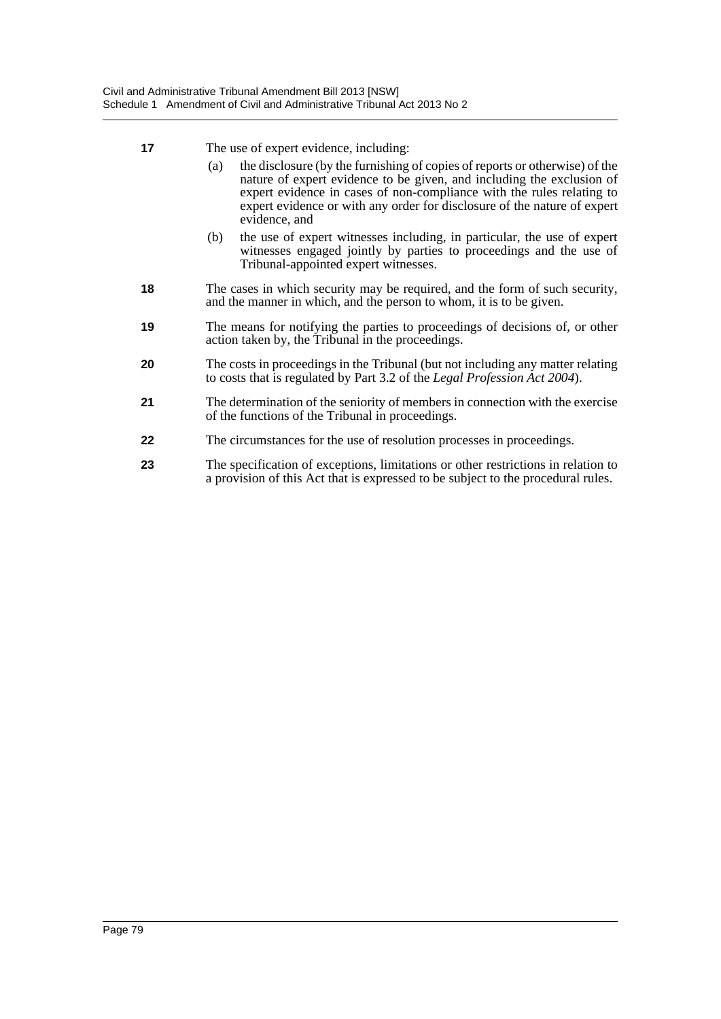- **17** The use of expert evidence, including:
	- (a) the disclosure (by the furnishing of copies of reports or otherwise) of the nature of expert evidence to be given, and including the exclusion of expert evidence in cases of non-compliance with the rules relating to expert evidence or with any order for disclosure of the nature of expert evidence, and
	- (b) the use of expert witnesses including, in particular, the use of expert witnesses engaged jointly by parties to proceedings and the use of Tribunal-appointed expert witnesses.
- **18** The cases in which security may be required, and the form of such security, and the manner in which, and the person to whom, it is to be given.
- **19** The means for notifying the parties to proceedings of decisions of, or other action taken by, the Tribunal in the proceedings.
- **20** The costs in proceedings in the Tribunal (but not including any matter relating to costs that is regulated by Part 3.2 of the *Legal Profession Act 2004*).
- **21** The determination of the seniority of members in connection with the exercise of the functions of the Tribunal in proceedings.
- **22** The circumstances for the use of resolution processes in proceedings.
- **23** The specification of exceptions, limitations or other restrictions in relation to a provision of this Act that is expressed to be subject to the procedural rules.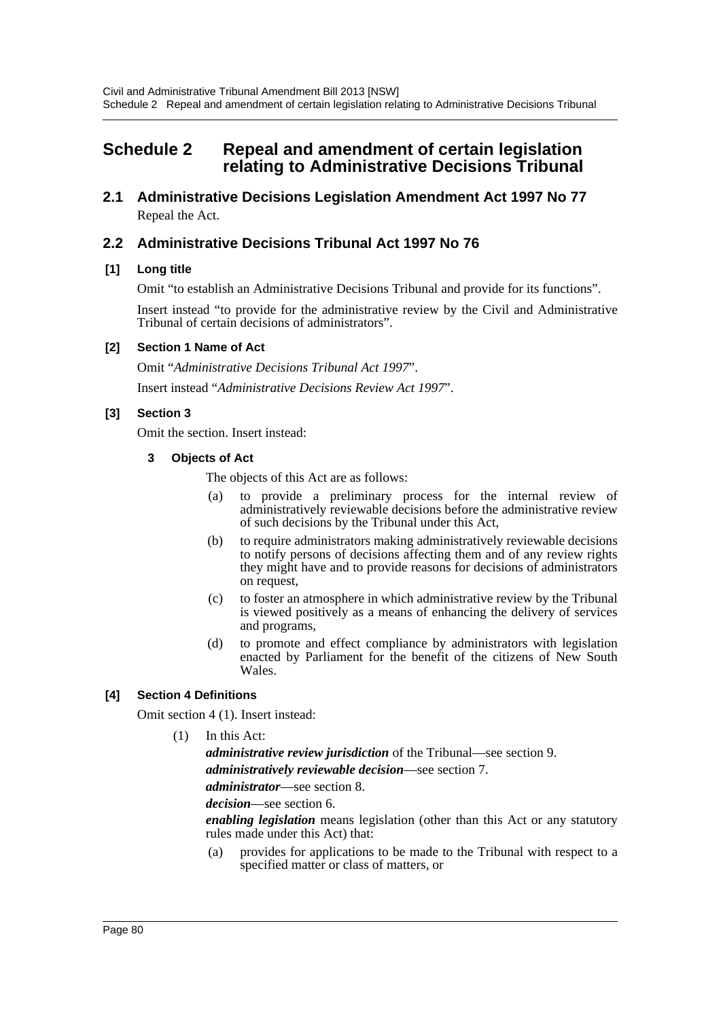# **Schedule 2 Repeal and amendment of certain legislation relating to Administrative Decisions Tribunal**

**2.1 Administrative Decisions Legislation Amendment Act 1997 No 77** Repeal the Act.

# **2.2 Administrative Decisions Tribunal Act 1997 No 76**

# **[1] Long title**

Omit "to establish an Administrative Decisions Tribunal and provide for its functions".

Insert instead "to provide for the administrative review by the Civil and Administrative Tribunal of certain decisions of administrators".

### **[2] Section 1 Name of Act**

Omit "*Administrative Decisions Tribunal Act 1997*".

Insert instead "*Administrative Decisions Review Act 1997*".

# **[3] Section 3**

Omit the section. Insert instead:

### **3 Objects of Act**

The objects of this Act are as follows:

- (a) to provide a preliminary process for the internal review of administratively reviewable decisions before the administrative review of such decisions by the Tribunal under this Act,
- (b) to require administrators making administratively reviewable decisions to notify persons of decisions affecting them and of any review rights they might have and to provide reasons for decisions of administrators on request,
- (c) to foster an atmosphere in which administrative review by the Tribunal is viewed positively as a means of enhancing the delivery of services and programs,
- (d) to promote and effect compliance by administrators with legislation enacted by Parliament for the benefit of the citizens of New South Wales.

# **[4] Section 4 Definitions**

Omit section 4 (1). Insert instead:

(1) In this Act:

*administrative review jurisdiction* of the Tribunal—see section 9.

*administratively reviewable decision*—see section 7.

*administrator*—see section 8.

*decision*—see section 6.

*enabling legislation* means legislation (other than this Act or any statutory rules made under this Act) that:

(a) provides for applications to be made to the Tribunal with respect to a specified matter or class of matters, or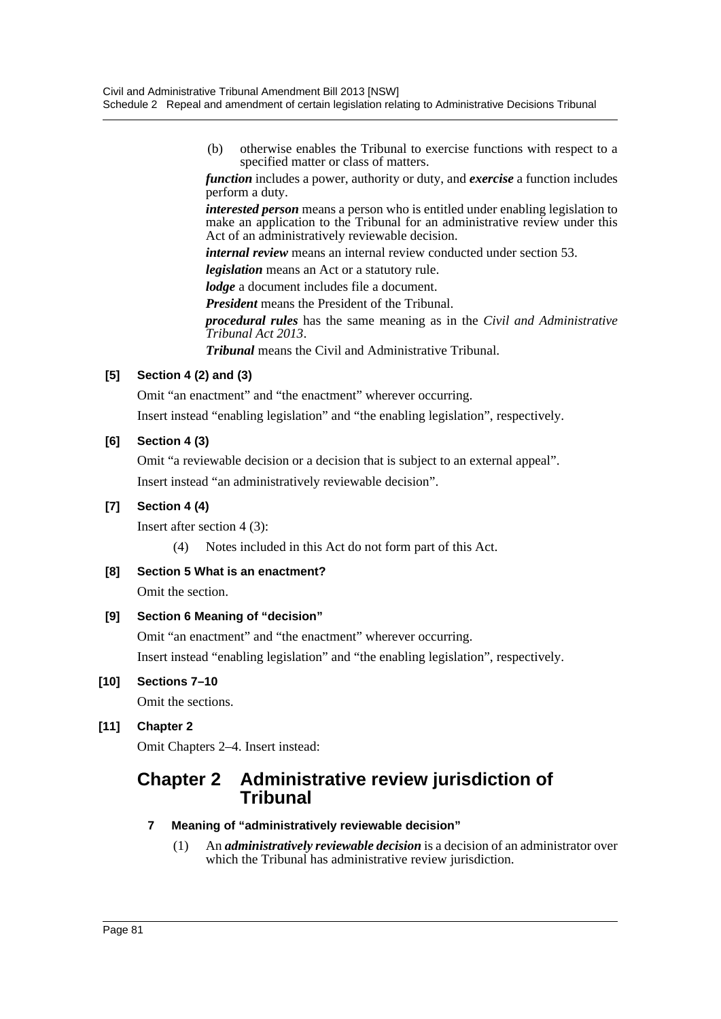(b) otherwise enables the Tribunal to exercise functions with respect to a specified matter or class of matters.

*function* includes a power, authority or duty, and *exercise* a function includes perform a duty.

*interested person* means a person who is entitled under enabling legislation to make an application to the Tribunal for an administrative review under this Act of an administratively reviewable decision.

*internal review* means an internal review conducted under section 53.

*legislation* means an Act or a statutory rule.

*lodge* a document includes file a document.

*President* means the President of the Tribunal.

*procedural rules* has the same meaning as in the *Civil and Administrative Tribunal Act 2013*.

*Tribunal* means the Civil and Administrative Tribunal.

# **[5] Section 4 (2) and (3)**

Omit "an enactment" and "the enactment" wherever occurring.

Insert instead "enabling legislation" and "the enabling legislation", respectively.

# **[6] Section 4 (3)**

Omit "a reviewable decision or a decision that is subject to an external appeal". Insert instead "an administratively reviewable decision".

# **[7] Section 4 (4)**

Insert after section 4 (3):

(4) Notes included in this Act do not form part of this Act.

**[8] Section 5 What is an enactment?**

Omit the section.

# **[9] Section 6 Meaning of "decision"**

Omit "an enactment" and "the enactment" wherever occurring. Insert instead "enabling legislation" and "the enabling legislation", respectively.

# **[10] Sections 7–10**

Omit the sections.

# **[11] Chapter 2**

Omit Chapters 2–4. Insert instead:

# **Chapter 2 Administrative review jurisdiction of Tribunal**

#### **7 Meaning of "administratively reviewable decision"**

(1) An *administratively reviewable decision* is a decision of an administrator over which the Tribunal has administrative review jurisdiction.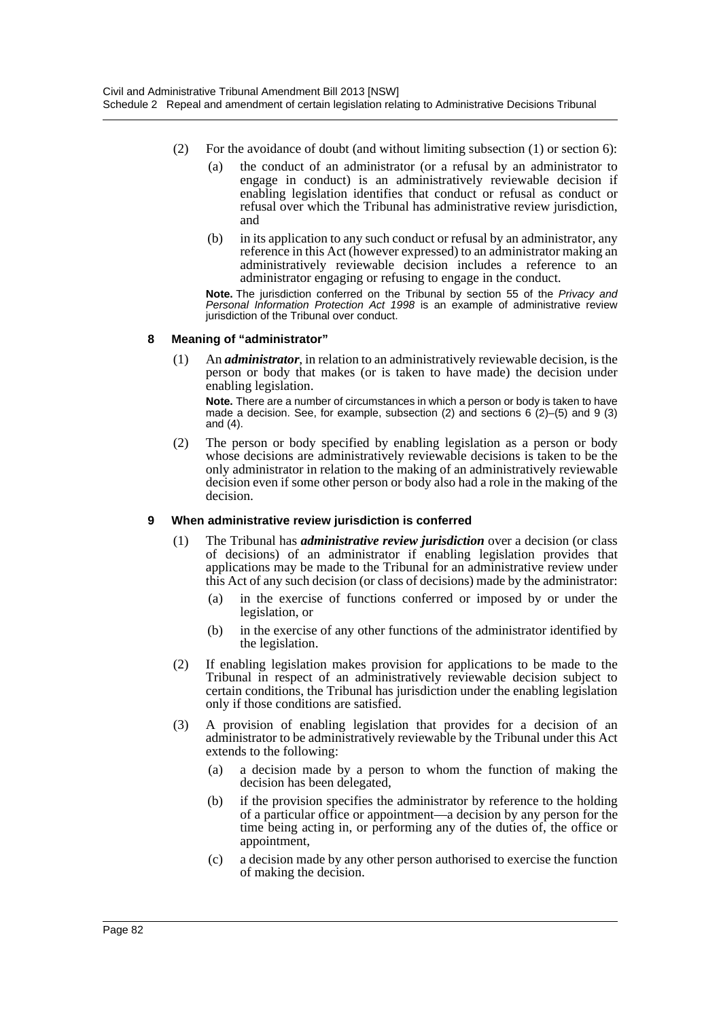- (2) For the avoidance of doubt (and without limiting subsection (1) or section 6):
	- (a) the conduct of an administrator (or a refusal by an administrator to engage in conduct) is an administratively reviewable decision if enabling legislation identifies that conduct or refusal as conduct or refusal over which the Tribunal has administrative review jurisdiction, and
	- (b) in its application to any such conduct or refusal by an administrator, any reference in this Act (however expressed) to an administrator making an administratively reviewable decision includes a reference to an administrator engaging or refusing to engage in the conduct.

**Note.** The jurisdiction conferred on the Tribunal by section 55 of the *Privacy and Personal Information Protection Act 1998* is an example of administrative review jurisdiction of the Tribunal over conduct.

#### **8 Meaning of "administrator"**

(1) An *administrator*, in relation to an administratively reviewable decision, is the person or body that makes (or is taken to have made) the decision under enabling legislation.

**Note.** There are a number of circumstances in which a person or body is taken to have made a decision. See, for example, subsection (2) and sections 6  $(2)$ –(5) and 9 (3) and (4).

(2) The person or body specified by enabling legislation as a person or body whose decisions are administratively reviewable decisions is taken to be the only administrator in relation to the making of an administratively reviewable decision even if some other person or body also had a role in the making of the decision.

#### **9 When administrative review jurisdiction is conferred**

- (1) The Tribunal has *administrative review jurisdiction* over a decision (or class of decisions) of an administrator if enabling legislation provides that applications may be made to the Tribunal for an administrative review under this Act of any such decision (or class of decisions) made by the administrator:
	- (a) in the exercise of functions conferred or imposed by or under the legislation, or
	- (b) in the exercise of any other functions of the administrator identified by the legislation.
- (2) If enabling legislation makes provision for applications to be made to the Tribunal in respect of an administratively reviewable decision subject to certain conditions, the Tribunal has jurisdiction under the enabling legislation only if those conditions are satisfied.
- (3) A provision of enabling legislation that provides for a decision of an administrator to be administratively reviewable by the Tribunal under this Act extends to the following:
	- (a) a decision made by a person to whom the function of making the decision has been delegated,
	- (b) if the provision specifies the administrator by reference to the holding of a particular office or appointment—a decision by any person for the time being acting in, or performing any of the duties of, the office or appointment,
	- (c) a decision made by any other person authorised to exercise the function of making the decision.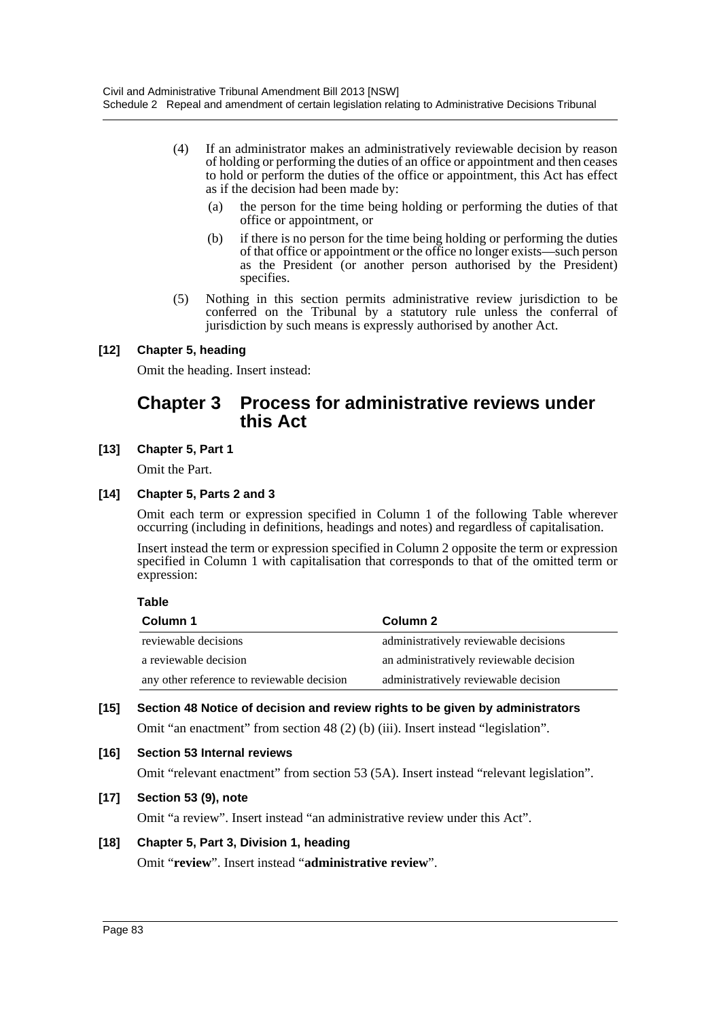- (4) If an administrator makes an administratively reviewable decision by reason of holding or performing the duties of an office or appointment and then ceases to hold or perform the duties of the office or appointment, this Act has effect as if the decision had been made by:
	- (a) the person for the time being holding or performing the duties of that office or appointment, or
	- (b) if there is no person for the time being holding or performing the duties of that office or appointment or the office no longer exists—such person as the President (or another person authorised by the President) specifies.
- (5) Nothing in this section permits administrative review jurisdiction to be conferred on the Tribunal by a statutory rule unless the conferral of jurisdiction by such means is expressly authorised by another Act.

# **[12] Chapter 5, heading**

Omit the heading. Insert instead:

# **Chapter 3 Process for administrative reviews under this Act**

**[13] Chapter 5, Part 1**

Omit the Part.

# **[14] Chapter 5, Parts 2 and 3**

Omit each term or expression specified in Column 1 of the following Table wherever occurring (including in definitions, headings and notes) and regardless of capitalisation.

Insert instead the term or expression specified in Column 2 opposite the term or expression specified in Column 1 with capitalisation that corresponds to that of the omitted term or expression:

# **Table**

| Column 1                                   | Column 2                                |
|--------------------------------------------|-----------------------------------------|
| reviewable decisions                       | administratively reviewable decisions   |
| a reviewable decision                      | an administratively reviewable decision |
| any other reference to reviewable decision | administratively reviewable decision    |

# **[15] Section 48 Notice of decision and review rights to be given by administrators** Omit "an enactment" from section 48 (2) (b) (iii). Insert instead "legislation".

# **[16] Section 53 Internal reviews**

Omit "relevant enactment" from section 53 (5A). Insert instead "relevant legislation".

# **[17] Section 53 (9), note**

Omit "a review". Insert instead "an administrative review under this Act".

# **[18] Chapter 5, Part 3, Division 1, heading**

Omit "**review**". Insert instead "**administrative review**".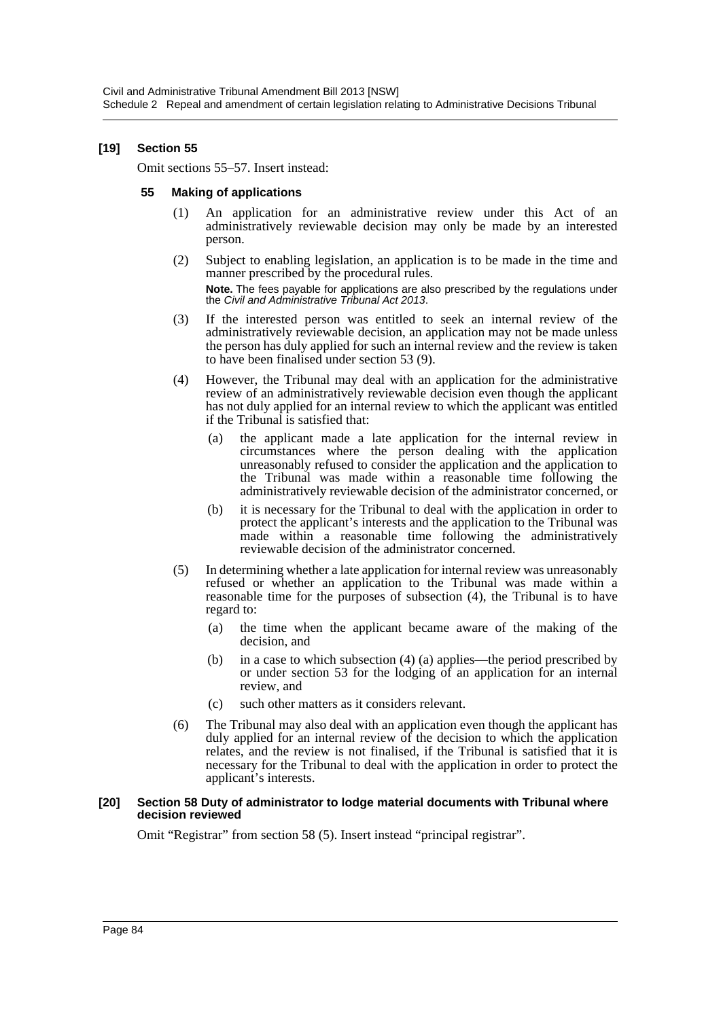### **[19] Section 55**

Omit sections 55–57. Insert instead:

#### **55 Making of applications**

- (1) An application for an administrative review under this Act of an administratively reviewable decision may only be made by an interested person.
- (2) Subject to enabling legislation, an application is to be made in the time and manner prescribed by the procedural rules.

**Note.** The fees payable for applications are also prescribed by the regulations under the *Civil and Administrative Tribunal Act 2013*.

- (3) If the interested person was entitled to seek an internal review of the administratively reviewable decision, an application may not be made unless the person has duly applied for such an internal review and the review is taken to have been finalised under section 53 (9).
- (4) However, the Tribunal may deal with an application for the administrative review of an administratively reviewable decision even though the applicant has not duly applied for an internal review to which the applicant was entitled if the Tribunal is satisfied that:
	- (a) the applicant made a late application for the internal review in circumstances where the person dealing with the application unreasonably refused to consider the application and the application to the Tribunal was made within a reasonable time following the administratively reviewable decision of the administrator concerned, or
	- (b) it is necessary for the Tribunal to deal with the application in order to protect the applicant's interests and the application to the Tribunal was made within a reasonable time following the administratively reviewable decision of the administrator concerned.
- (5) In determining whether a late application for internal review was unreasonably refused or whether an application to the Tribunal was made within a reasonable time for the purposes of subsection (4), the Tribunal is to have regard to:
	- (a) the time when the applicant became aware of the making of the decision, and
	- (b) in a case to which subsection (4) (a) applies—the period prescribed by or under section 53 for the lodging of an application for an internal review, and
	- (c) such other matters as it considers relevant.
- (6) The Tribunal may also deal with an application even though the applicant has duly applied for an internal review of the decision to which the application relates, and the review is not finalised, if the Tribunal is satisfied that it is necessary for the Tribunal to deal with the application in order to protect the applicant's interests.

#### **[20] Section 58 Duty of administrator to lodge material documents with Tribunal where decision reviewed**

Omit "Registrar" from section 58 (5). Insert instead "principal registrar".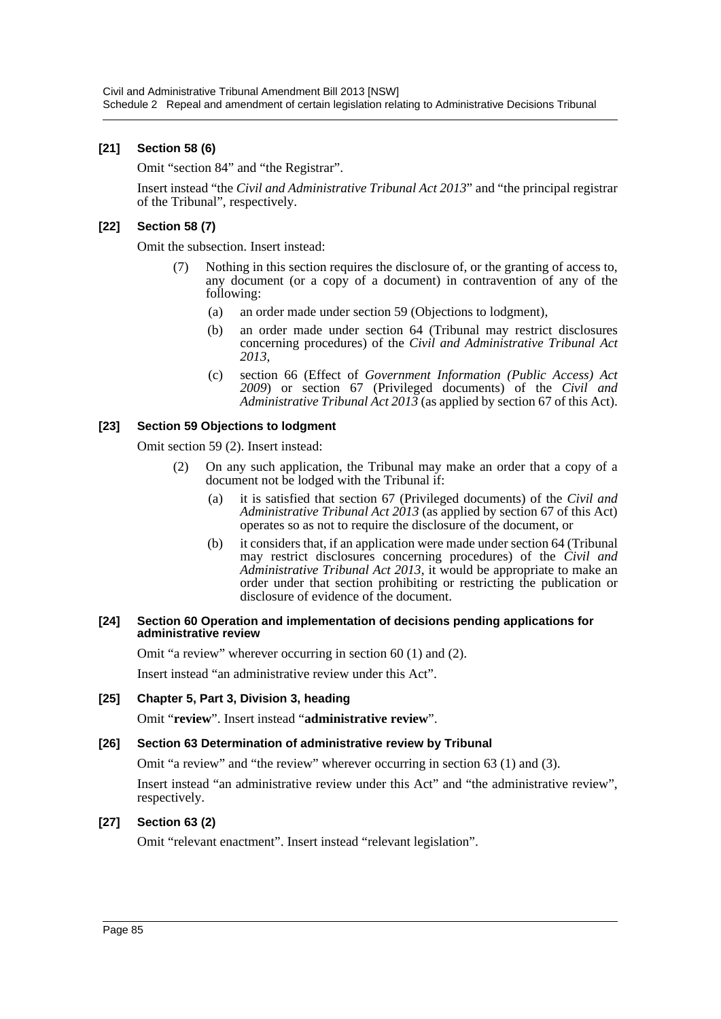# **[21] Section 58 (6)**

Omit "section 84" and "the Registrar".

Insert instead "the *Civil and Administrative Tribunal Act 2013*" and "the principal registrar of the Tribunal", respectively.

### **[22] Section 58 (7)**

Omit the subsection. Insert instead:

- (7) Nothing in this section requires the disclosure of, or the granting of access to, any document (or a copy of a document) in contravention of any of the following:
	- (a) an order made under section 59 (Objections to lodgment),
	- (b) an order made under section 64 (Tribunal may restrict disclosures concerning procedures) of the *Civil and Administrative Tribunal Act 2013*,
	- (c) section 66 (Effect of *Government Information (Public Access) Act 2009*) or section 67 (Privileged documents) of the *Civil and Administrative Tribunal Act 2013* (as applied by section 67 of this Act).

#### **[23] Section 59 Objections to lodgment**

Omit section 59 (2). Insert instead:

- (2) On any such application, the Tribunal may make an order that a copy of a document not be lodged with the Tribunal if:
	- (a) it is satisfied that section 67 (Privileged documents) of the *Civil and Administrative Tribunal Act 2013* (as applied by section 67 of this Act) operates so as not to require the disclosure of the document, or
	- (b) it considers that, if an application were made under section 64 (Tribunal may restrict disclosures concerning procedures) of the *Civil and Administrative Tribunal Act 2013*, it would be appropriate to make an order under that section prohibiting or restricting the publication or disclosure of evidence of the document.

#### **[24] Section 60 Operation and implementation of decisions pending applications for administrative review**

Omit "a review" wherever occurring in section 60 (1) and (2).

Insert instead "an administrative review under this Act".

#### **[25] Chapter 5, Part 3, Division 3, heading**

Omit "**review**". Insert instead "**administrative review**".

#### **[26] Section 63 Determination of administrative review by Tribunal**

Omit "a review" and "the review" wherever occurring in section 63 (1) and (3).

Insert instead "an administrative review under this Act" and "the administrative review", respectively.

#### **[27] Section 63 (2)**

Omit "relevant enactment". Insert instead "relevant legislation".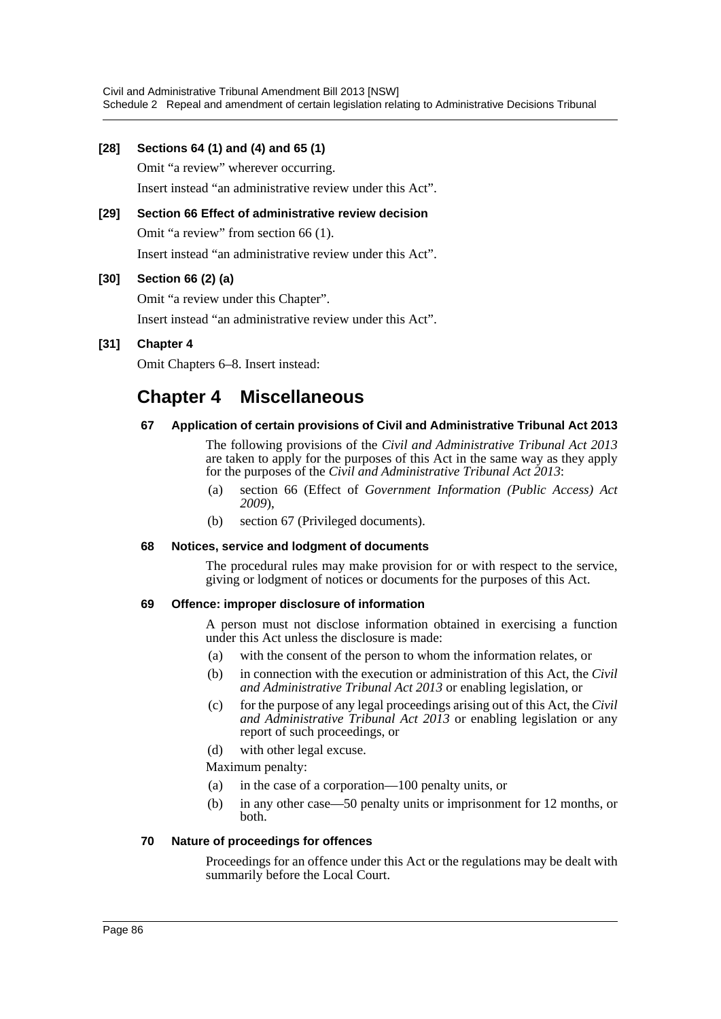### **[28] Sections 64 (1) and (4) and 65 (1)**

Omit "a review" wherever occurring. Insert instead "an administrative review under this Act".

# **[29] Section 66 Effect of administrative review decision**

Omit "a review" from section 66 (1).

Insert instead "an administrative review under this Act".

### **[30] Section 66 (2) (a)**

Omit "a review under this Chapter".

Insert instead "an administrative review under this Act".

# **[31] Chapter 4**

Omit Chapters 6–8. Insert instead:

# **Chapter 4 Miscellaneous**

### **67 Application of certain provisions of Civil and Administrative Tribunal Act 2013**

The following provisions of the *Civil and Administrative Tribunal Act 2013* are taken to apply for the purposes of this Act in the same way as they apply for the purposes of the *Civil and Administrative Tribunal Act 2013*:

- (a) section 66 (Effect of *Government Information (Public Access) Act 2009*),
- (b) section 67 (Privileged documents).

#### **68 Notices, service and lodgment of documents**

The procedural rules may make provision for or with respect to the service, giving or lodgment of notices or documents for the purposes of this Act.

#### **69 Offence: improper disclosure of information**

A person must not disclose information obtained in exercising a function under this Act unless the disclosure is made:

- (a) with the consent of the person to whom the information relates, or
- (b) in connection with the execution or administration of this Act, the *Civil and Administrative Tribunal Act 2013* or enabling legislation, or
- (c) for the purpose of any legal proceedings arising out of this Act, the *Civil and Administrative Tribunal Act 2013* or enabling legislation or any report of such proceedings, or
- (d) with other legal excuse.

Maximum penalty:

- (a) in the case of a corporation—100 penalty units, or
- (b) in any other case—50 penalty units or imprisonment for 12 months, or both.

#### **70 Nature of proceedings for offences**

Proceedings for an offence under this Act or the regulations may be dealt with summarily before the Local Court.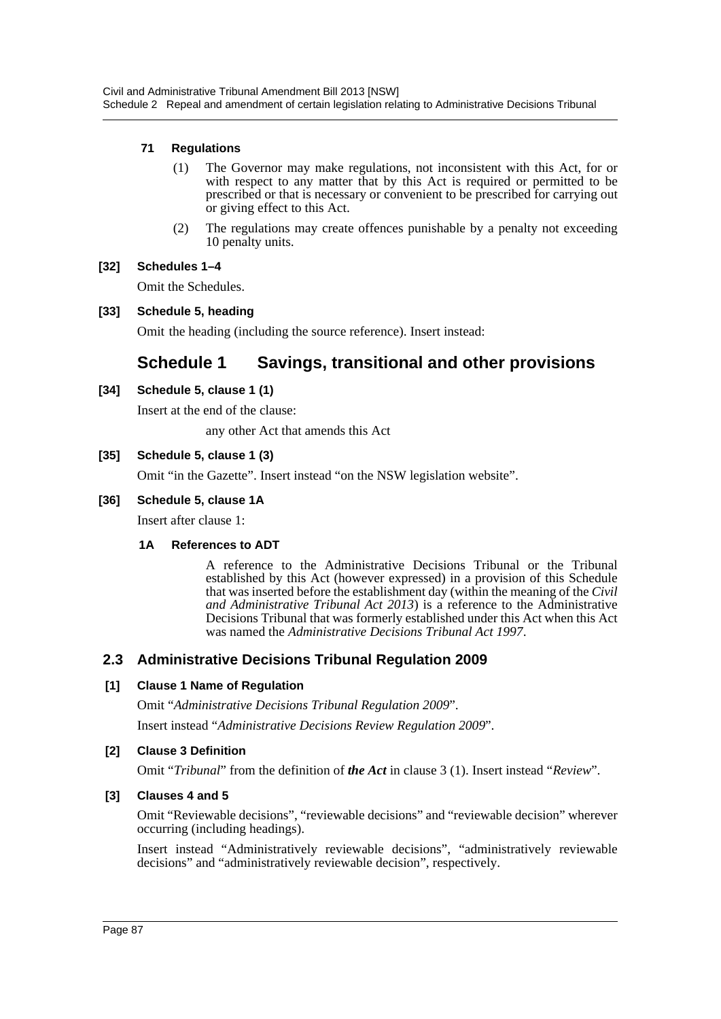# **71 Regulations**

- (1) The Governor may make regulations, not inconsistent with this Act, for or with respect to any matter that by this Act is required or permitted to be prescribed or that is necessary or convenient to be prescribed for carrying out or giving effect to this Act.
- (2) The regulations may create offences punishable by a penalty not exceeding 10 penalty units.

### **[32] Schedules 1–4**

Omit the Schedules.

# **[33] Schedule 5, heading**

Omit the heading (including the source reference). Insert instead:

# **Schedule 1 Savings, transitional and other provisions**

### **[34] Schedule 5, clause 1 (1)**

Insert at the end of the clause:

any other Act that amends this Act

### **[35] Schedule 5, clause 1 (3)**

Omit "in the Gazette". Insert instead "on the NSW legislation website".

### **[36] Schedule 5, clause 1A**

Insert after clause 1:

#### **1A References to ADT**

A reference to the Administrative Decisions Tribunal or the Tribunal established by this Act (however expressed) in a provision of this Schedule that was inserted before the establishment day (within the meaning of the *Civil and Administrative Tribunal Act 2013*) is a reference to the Administrative Decisions Tribunal that was formerly established under this Act when this Act was named the *Administrative Decisions Tribunal Act 1997*.

# **2.3 Administrative Decisions Tribunal Regulation 2009**

#### **[1] Clause 1 Name of Regulation**

Omit "*Administrative Decisions Tribunal Regulation 2009*".

Insert instead "*Administrative Decisions Review Regulation 2009*".

#### **[2] Clause 3 Definition**

Omit "*Tribunal*" from the definition of *the Act* in clause 3 (1). Insert instead "*Review*".

#### **[3] Clauses 4 and 5**

Omit "Reviewable decisions", "reviewable decisions" and "reviewable decision" wherever occurring (including headings).

Insert instead "Administratively reviewable decisions", "administratively reviewable decisions" and "administratively reviewable decision", respectively.